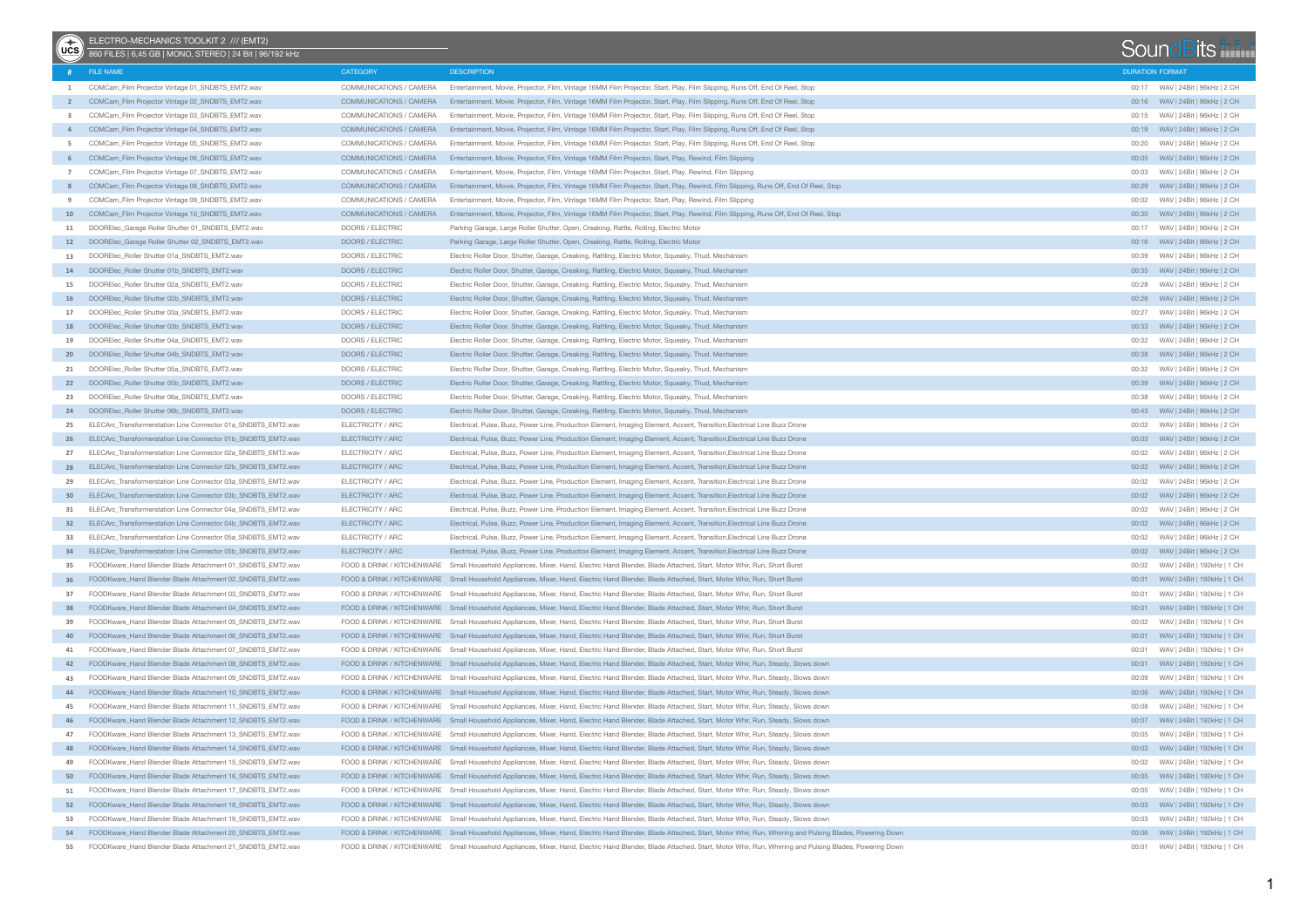| $(v \cos$               | ELECTRO-MECHANICS TOOLKIT 2 /// (EMT2)<br>860 FILES   6,45 GB   MONO, STEREO   24 Bit   96/192 kHz |                            |                                                                                                                                                                               |                        | SoundBits                            |  |
|-------------------------|----------------------------------------------------------------------------------------------------|----------------------------|-------------------------------------------------------------------------------------------------------------------------------------------------------------------------------|------------------------|--------------------------------------|--|
|                         | # FILE NAME                                                                                        | CATEGORY                   | <b>DESCRIPTION</b>                                                                                                                                                            | <b>DURATION FORMAT</b> |                                      |  |
| 1                       | COMCam_Film Projector Vintage 01_SNDBTS_EMT2.wav                                                   | COMMUNICATIONS / CAMERA    | Entertainment, Movie, Projector, Film, Vintage 16MM Film Projector, Start, Play, Film Slipping, Runs Off, End Of Reel, Stop                                                   |                        | 00:17 WAV   24Bit   96kHz   2 CH     |  |
|                         | COMCam_Film Projector Vintage 02_SNDBTS_EMT2.wav                                                   | COMMUNICATIONS / CAMERA    | Entertainment, Movie, Projector, Film, Vintage 16MM Film Projector, Start, Play, Film Slipping, Runs Off, End Of Reel, Stop                                                   |                        |                                      |  |
| $\overline{\mathbf{3}}$ | COMCam_Film Projector Vintage 03_SNDBTS_EMT2.wav                                                   | COMMUNICATIONS / CAMERA    | Entertainment, Movie, Projector, Film, Vintage 16MM Film Projector, Start, Play, Film Slipping, Runs Off, End Of Reel, Stop                                                   |                        | 00:15 WAV   24Bit   96kHz   2 CH     |  |
|                         | COMCam_Film Projector Vintage 04_SNDBTS_EMT2.wav                                                   | COMMUNICATIONS / CAMERA    | Entertainment, Movie, Projector, Film, Vintage 16MM Film Projector, Start, Play, Film Slipping, Runs Off, End Of Reel, Stop                                                   |                        | 00:19     WAV   24Bit   96kHz   2 CH |  |
| 5                       | COMCam_Film Projector Vintage 05_SNDBTS_EMT2.wav                                                   | COMMUNICATIONS / CAMERA    | Entertainment, Movie, Projector, Film, Vintage 16MM Film Projector, Start, Play, Film Slipping, Runs Off, End Of Reel, Stop                                                   | 00:20                  | WAV   24Bit   96kHz   2 CH           |  |
| 6                       | COMCam_Film Projector Vintage 06_SNDBTS_EMT2.wav                                                   | COMMUNICATIONS / CAMERA    | Entertainment, Movie, Projector, Film, Vintage 16MM Film Projector, Start, Play, Rewind, Film Slipping                                                                        |                        |                                      |  |
| $\overline{7}$          | COMCam_Film Projector Vintage 07_SNDBTS_EMT2.wav                                                   | COMMUNICATIONS / CAMERA    | Entertainment, Movie, Projector, Film, Vintage 16MM Film Projector, Start, Play, Rewind, Film Slipping                                                                        | 00:03                  | WAV   24Bit   96kHz   2 CH           |  |
| 8                       | COMCam_Film Projector Vintage 08_SNDBTS_EMT2.wav                                                   | COMMUNICATIONS / CAMERA    | Entertainment, Movie, Projector, Film, Vintage 16MM Film Projector, Start, Play, Rewind, Film Slipping, Runs Off, End Of Reel, Stop                                           |                        | 00:29 WAV   24Bit   96kHz   2 CH     |  |
| 9                       | COMCam_Film Projector Vintage 09_SNDBTS_EMT2.wav                                                   | COMMUNICATIONS / CAMERA    | Entertainment, Movie, Projector, Film, Vintage 16MM Film Projector, Start, Play, Rewind, Film Slipping                                                                        | 00:02                  | WAV   24Bit   96kHz   2 CH           |  |
|                         | 10 COMCam_Film Projector Vintage 10_SNDBTS_EMT2.wav                                                | COMMUNICATIONS / CAMERA    | Entertainment, Movie, Projector, Film, Vintage 16MM Film Projector, Start, Play, Rewind, Film Slipping, Runs Off, End Of Reel, Stop                                           |                        | 00:30 WAV   24Bit   96kHz   2 CH     |  |
| 11                      | DOORElec_Garage Roller Shutter 01_SNDBTS_EMT2.wav                                                  | DOORS / ELECTRIC           | Parking Garage, Large Roller Shutter, Open, Creaking, Rattle, Rolling, Electric Motor                                                                                         |                        | WAV   24Bit   96kHz   2 CH           |  |
|                         | 12 DOORElec Garage Roller Shutter 02 SNDBTS EMT2.wav                                               | DOORS / ELECTRIC           | Parking Garage, Large Roller Shutter, Open, Creaking, Rattle, Rolling, Electric Motor                                                                                         |                        |                                      |  |
|                         | 13 DOORElec_Roller Shutter 01a_SNDBTS_EMT2.wav                                                     | DOORS / ELECTRIC           | Electric Roller Door, Shutter, Garage, Creaking, Rattling, Electric Motor, Squeaky, Thud, Mechanism                                                                           | 00:39                  | WAV   24Bit   96kHz   2 CH           |  |
|                         | 14 DOOREIec_Roller Shutter 01b_SNDBTS_EMT2.wav                                                     | DOORS / ELECTRIC           | Electric Roller Door, Shutter, Garage, Creaking, Rattling, Electric Motor, Squeaky, Thud, Mechanism                                                                           |                        | 00:35 WAV   24Bit   96kHz   2 CH     |  |
| 15                      | DOORElec_Roller Shutter 02a_SNDBTS_EMT2.wav                                                        | DOORS / ELECTRIC           | Electric Roller Door, Shutter, Garage, Creaking, Rattling, Electric Motor, Squeaky, Thud, Mechanism                                                                           | 00:28                  | WAV   24Bit   96kHz   2 CH           |  |
|                         | 16 DOOREIec_Roller Shutter 02b_SNDBTS_EMT2.wav                                                     | DOORS / ELECTRIC           | Electric Roller Door, Shutter, Garage, Creaking, Rattling, Electric Motor, Squeaky, Thud, Mechanism                                                                           |                        | 00:26 WAV   24Bit   96kHz   2 CH     |  |
|                         | 17 DOOREIec Roller Shutter 03a SNDBTS EMT2.wav                                                     | DOORS / ELECTRIC           | Electric Roller Door, Shutter, Garage, Creaking, Rattling, Electric Motor, Squeaky, Thud, Mechanism                                                                           | 00:27                  | WAV   24Bit   96kHz   2 CH           |  |
|                         | 18 DOOREIec_Roller Shutter 03b_SNDBTS_EMT2.wav                                                     | DOORS / ELECTRIC           | Electric Roller Door, Shutter, Garage, Creaking, Rattling, Electric Motor, Squeaky, Thud, Mechanism                                                                           |                        | 00:33 WAV   24Bit   96kHz   2 CH     |  |
|                         | 19 DOORElec_Roller Shutter 04a_SNDBTS_EMT2.wav                                                     | DOORS / ELECTRIC           | Electric Roller Door, Shutter, Garage, Creaking, Rattling, Electric Motor, Squeaky, Thud, Mechanism                                                                           | 00:32                  | WAV   24Bit   96kHz   2 CH           |  |
|                         | 20 DOORElec_Roller Shutter 04b_SNDBTS_EMT2.wav                                                     | DOORS / ELECTRIC           | Electric Roller Door, Shutter, Garage, Creaking, Rattling, Electric Motor, Squeaky, Thud, Mechanism                                                                           |                        | 00:38 WAV   24Bit   96kHz   2 CH     |  |
|                         | 21 DOORElec_Roller Shutter 05a_SNDBTS_EMT2.wav                                                     | DOORS / ELECTRIC           | Electric Roller Door, Shutter, Garage, Creaking, Rattling, Electric Motor, Squeaky, Thud, Mechanism                                                                           | 00:32                  | WAV   24Bit   96kHz   2 CH           |  |
|                         | 22 DOORElec_Roller Shutter 05b_SNDBTS_EMT2.wav                                                     | DOORS / ELECTRIC           | Electric Roller Door, Shutter, Garage, Creaking, Rattling, Electric Motor, Squeaky, Thud, Mechanism                                                                           |                        | 00:39 WAV   24Bit   96kHz   2 CH     |  |
|                         | 23 DOORElec_Roller Shutter 06a_SNDBTS_EMT2.wav                                                     | DOORS / ELECTRIC           | Electric Roller Door, Shutter, Garage, Creaking, Rattling, Electric Motor, Squeaky, Thud, Mechanism                                                                           | 00:38                  | WAV   24Bit   96kHz   2 CH           |  |
|                         | 24 DOOREIec_Roller Shutter 06b_SNDBTS_EMT2.wav                                                     | DOORS / ELECTRIC           | Electric Roller Door, Shutter, Garage, Creaking, Rattling, Electric Motor, Squeaky, Thud, Mechanism                                                                           |                        | 00:43 WAV   24Bit   96kHz   2 CH     |  |
|                         | 25 ELECArc_Transformerstation Line Connector 01a_SNDBTS_EMT2.wav                                   | ELECTRICITY / ARC          | Electrical, Pulse, Buzz, Power Line, Production Element, Imaging Element, Accent, Transition, Electrical Line Buzz Drone                                                      | 00:02                  | WAV   24Bit   96kHz   2 CH           |  |
|                         | 26 ELECArc_Transformerstation Line Connector 01b_SNDBTS_EMT2.wav                                   | ELECTRICITY / ARC          | Electrical, Pulse, Buzz, Power Line, Production Element, Imaging Element, Accent, Transition, Electrical Line Buzz Drone                                                      |                        | 00:03     WAV   24Bit   96kHz   2 CH |  |
|                         | 27 ELECArc_Transformerstation Line Connector 02a_SNDBTS_EMT2.wav                                   | ELECTRICITY / ARC          | Electrical, Pulse, Buzz, Power Line, Production Element, Imaging Element, Accent, Transition, Electrical Line Buzz Drone                                                      | 00:02                  | WAV   24Bit   96kHz   2 CH           |  |
|                         | 28 ELECArc_Transformerstation Line Connector 02b_SNDBTS_EMT2.wav                                   | FI ECTRICITY / ARC         | Electrical, Pulse, Buzz, Power Line, Production Element, Imaging Element, Accent, Transition, Electrical Line Buzz Drone                                                      |                        |                                      |  |
|                         | 29 ELECArc_Transformerstation Line Connector 03a_SNDBTS_EMT2.wav                                   | ELECTRICITY / ARC          | Electrical, Pulse, Buzz, Power Line, Production Element, Imaging Element, Accent, Transition, Electrical Line Buzz Drone                                                      | 00:02                  | WAV   24Bit   96kHz   2 CH           |  |
|                         | 30 ELECArc_Transformerstation Line Connector 03b_SNDBTS_EMT2.wav                                   | ELECTRICITY / ARC          | Electrical, Pulse, Buzz, Power Line, Production Element, Imaging Element, Accent, Transition, Electrical Line Buzz Drone                                                      |                        |                                      |  |
| 31                      | ELECArc_Transformerstation Line Connector 04a_SNDBTS_EMT2.wav                                      | ELECTRICITY / ARC          | Electrical, Pulse, Buzz, Power Line, Production Element, Imaging Element, Accent, Transition, Electrical Line Buzz Drone                                                      | 00:02                  | WAV   24Bit   96kHz   2 CH           |  |
| 32                      | ELECArc_Transformerstation Line Connector 04b_SNDBTS_EMT2.wav                                      | ELECTRICITY / ARC          | Electrical, Pulse, Buzz, Power Line, Production Element, Imaging Element, Accent, Transition, Electrical Line Buzz Drone                                                      |                        |                                      |  |
| 33                      | ELECArc_Transformerstation Line Connector 05a_SNDBTS_EMT2.wav                                      | ELECTRICITY / ARC          | Electrical, Pulse, Buzz, Power Line, Production Element, Imaging Element, Accent, Transition, Electrical Line Buzz Drone                                                      | 00:02                  | WAV   24Bit   96kHz   2 CH           |  |
| 34                      | ELECArc_Transformerstation Line Connector 05b_SNDBTS_EMT2.wav                                      | ELECTRICITY / ARC          | Electrical, Pulse, Buzz, Power Line, Production Element, Imaging Element, Accent, Transition, Electrical Line Buzz Drone                                                      |                        |                                      |  |
| 35                      | FOODKware_Hand Blender Blade Attachment 01_SNDBTS_EMT2.wav                                         | FOOD & DRINK / KITCHENWARE | Small Household Appliances, Mixer, Hand, Electric Hand Blender, Blade Attached, Start, Motor Whir, Run, Short Burst                                                           | 00:02                  | WAV   24Bit   192kHz   1 CH          |  |
| 36                      | FOODKware_Hand Blender Blade Attachment 02_SNDBTS_EMT2.wav                                         |                            | FOOD & DRINK / KITCHENWARE Small Household Appliances, Mixer, Hand, Electric Hand Blender, Blade Attached, Start, Motor Whir, Run, Short Burst                                |                        |                                      |  |
| 37                      | FOODKware_Hand Blender Blade Attachment 03_SNDBTS_EMT2.wav                                         | FOOD & DRINK / KITCHENWARE | Small Household Appliances, Mixer, Hand, Electric Hand Blender, Blade Attached, Start, Motor Whir, Run, Short Burst                                                           | 00:01                  | WAV   24Bit   192kHz   1 CH          |  |
| 38                      | FOODKware_Hand Blender Blade Attachment 04_SNDBTS_EMT2.wav                                         |                            | FOOD & DRINK / KITCHENWARE Small Household Appliances, Mixer, Hand, Electric Hand Blender, Blade Attached, Start, Motor Whir, Run, Short Burst                                |                        |                                      |  |
| 39                      | FOODKware Hand Blender Blade Attachment 05_SNDBTS_EMT2.wav                                         | FOOD & DRINK / KITCHENWARE | Small Household Appliances, Mixer, Hand, Electric Hand Blender, Blade Attached, Start, Motor Whir, Run, Short Burst                                                           | 00:02                  | WAV   24Bit   192kHz   1 CH          |  |
|                         | 40 FOODKware Hand Blender Blade Attachment 06 SNDBTS EMT2.wav                                      |                            | FOOD & DRINK / KITCHENWARE Small Household Appliances, Mixer, Hand, Electric Hand Blender, Blade Attached, Start, Motor Whir, Run, Short Burst                                |                        |                                      |  |
| 41                      | FOODKware_Hand Blender Blade Attachment 07_SNDBTS_EMT2.wav                                         |                            | FOOD & DRINK / KITCHENWARE Small Household Appliances, Mixer, Hand, Electric Hand Blender, Blade Attached, Start, Motor Whir, Run, Short Burst                                | 00:01                  | WAV   24Bit   192kHz   1 CH          |  |
|                         | 42 FOODKware Hand Blender Blade Attachment 08 SNDBTS EMT2.wav                                      |                            | FOOD & DRINK / KITCHENWARE Small Household Appliances, Mixer, Hand, Electric Hand Blender, Blade Attached, Start, Motor Whir, Run, Steady, Slows down                         |                        |                                      |  |
|                         | 43 FOODKware_Hand Blender Blade Attachment 09_SNDBTS_EMT2.wav                                      |                            | FOOD & DRINK / KITCHENWARE Small Household Appliances, Mixer, Hand, Electric Hand Blender, Blade Attached, Start, Motor Whir, Run, Steady, Slows down                         | 00:09                  | WAV   24Bit   192kHz   1 CH          |  |
|                         | 44 FOODKware Hand Blender Blade Attachment 10 SNDBTS EMT2.wav                                      |                            | FOOD & DRINK / KITCHENWARE Small Household Appliances, Mixer, Hand, Electric Hand Blender, Blade Attached, Start, Motor Whir, Run, Steady, Slows down                         |                        |                                      |  |
| 45                      | FOODKware Hand Blender Blade Attachment 11 SNDBTS EMT2.wav                                         |                            | FOOD & DRINK / KITCHENWARE Small Household Appliances, Mixer, Hand, Electric Hand Blender, Blade Attached, Start, Motor Whir, Run, Steady, Slows down                         | 00:08                  | WAV   24Bit   192kHz   1 CH          |  |
| 46                      | FOODKware Hand Blender Blade Attachment 12 SNDBTS EMT2.wav                                         |                            | FOOD & DRINK / KITCHENWARE Small Household Appliances, Mixer, Hand, Electric Hand Blender, Blade Attached, Start, Motor Whir, Run, Steady, Slows down                         |                        |                                      |  |
|                         | 47 FOODKware_Hand Blender Blade Attachment 13_SNDBTS_EMT2.wav                                      |                            | FOOD & DRINK / KITCHENWARE Small Household Appliances, Mixer, Hand, Electric Hand Blender, Blade Attached, Start, Motor Whir, Run, Steady, Slows down                         |                        |                                      |  |
|                         | 48 FOODKware_Hand Blender Blade Attachment 14_SNDBTS_EMT2.wav                                      |                            | FOOD & DRINK / KITCHENWARE Small Household Appliances, Mixer, Hand, Electric Hand Blender, Blade Attached, Start, Motor Whir, Run, Steady, Slows down                         |                        |                                      |  |
|                         | 49 FOODKware_Hand Blender Blade Attachment 15_SNDBTS_EMT2.wav                                      |                            | FOOD & DRINK / KITCHENWARE Small Household Appliances, Mixer, Hand, Electric Hand Blender, Blade Attached, Start, Motor Whir, Run, Steady, Slows down                         |                        |                                      |  |
|                         | 50 FOODKware_Hand Blender Blade Attachment 16_SNDBTS_EMT2.wav                                      |                            | FOOD & DRINK / KITCHENWARE Small Household Appliances, Mixer, Hand, Electric Hand Blender, Blade Attached, Start, Motor Whir, Run, Steady, Slows down                         |                        |                                      |  |
| 51                      | FOODKware_Hand Blender Blade Attachment 17_SNDBTS_EMT2.wav                                         |                            | FOOD & DRINK / KITCHENWARE Small Household Appliances, Mixer, Hand, Electric Hand Blender, Blade Attached, Start, Motor Whir, Run, Steady, Slows down                         |                        | 00:05 WAV   24Bit   192kHz   1 CH    |  |
|                         | 52 FOODKware_Hand Blender Blade Attachment 18_SNDBTS_EMT2.wav                                      |                            | FOOD & DRINK / KITCHENWARE Small Household Appliances, Mixer, Hand, Electric Hand Blender, Blade Attached, Start, Motor Whir, Run, Steady, Slows down                         |                        |                                      |  |
| 53                      | FOODKware_Hand Blender Blade Attachment 19_SNDBTS_EMT2.wav                                         |                            | FOOD & DRINK / KITCHENWARE Small Household Appliances, Mixer, Hand, Electric Hand Blender, Blade Attached, Start, Motor Whir, Run, Steady, Slows down                         |                        |                                      |  |
| 54                      | FOODKware_Hand Blender Blade Attachment 20_SNDBTS_EMT2.wav                                         |                            | FOOD & DRINK / KITCHENWARE Small Household Appliances, Mixer, Hand, Electric Hand Blender, Blade Attached, Start, Motor Whir, Run, Whirring and Pulsing Blades, Powering Down |                        |                                      |  |
| 55                      | FOODKware_Hand Blender Blade Attachment 21_SNDBTS_EMT2.wav                                         |                            | FOOD & DRINK / KITCHENWARE Small Household Appliances, Mixer, Hand, Electric Hand Blender, Blade Attached, Start, Motor Whir, Run, Whirring and Pulsing Blades, Powering Down |                        |                                      |  |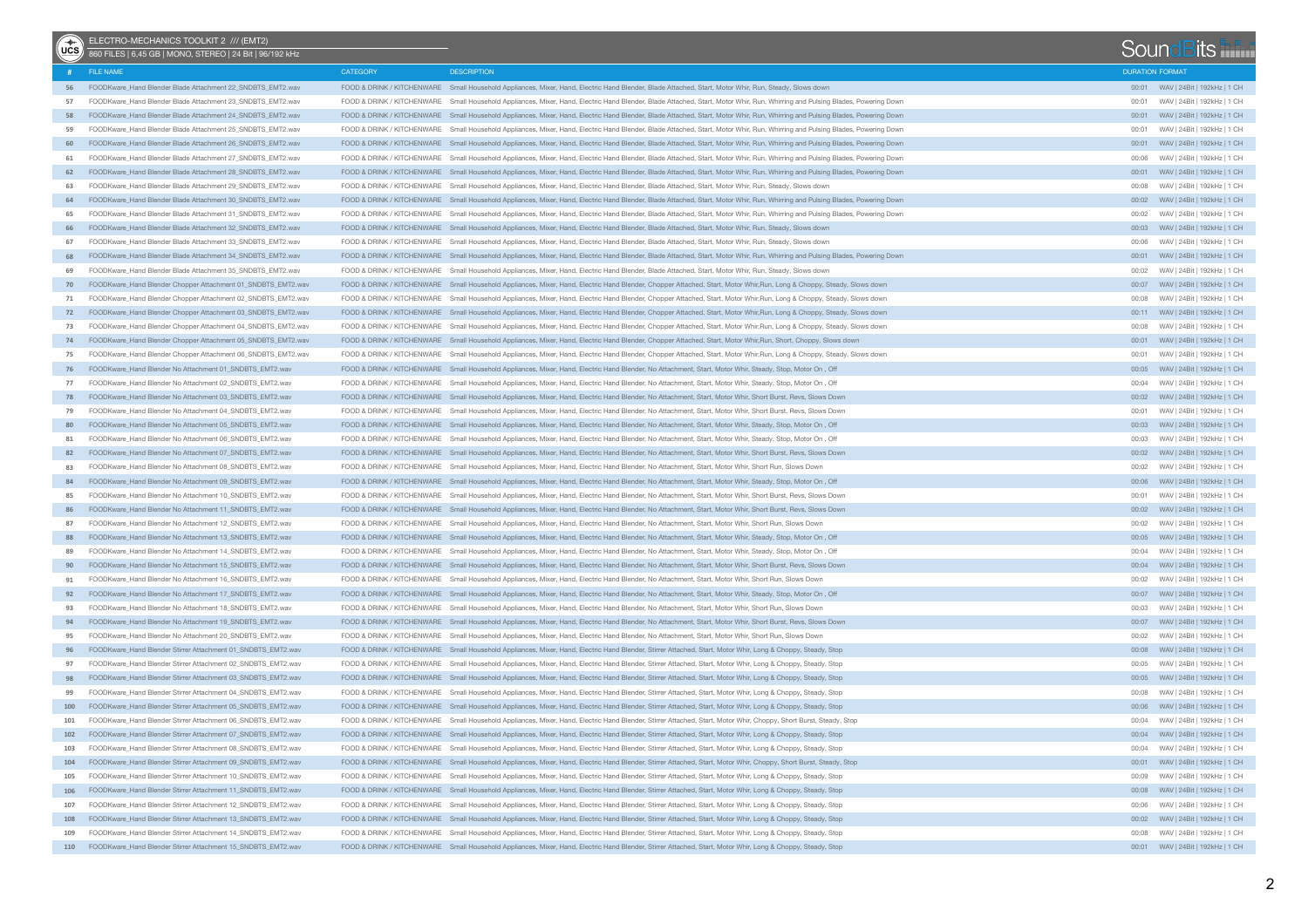| $\binom{2}{1}$ | ELECTRO-MECHANICS TOOLKIT 2 /// (EMT2)<br>860 FILES   6,45 GB   MONO, STEREO   24 Bit   96/192 kHz |                            |                                                                                                                                                                               |                        | SoundBits                             |  |
|----------------|----------------------------------------------------------------------------------------------------|----------------------------|-------------------------------------------------------------------------------------------------------------------------------------------------------------------------------|------------------------|---------------------------------------|--|
|                | # FILE NAME                                                                                        | <b>CATEGORY</b>            | <b>DESCRIPTION</b>                                                                                                                                                            | <b>DURATION FORMAT</b> |                                       |  |
| 56             | FOODKware_Hand Blender Blade Attachment 22_SNDBTS_EMT2.wav                                         |                            | FOOD & DRINK / KITCHENWARE Small Household Appliances, Mixer, Hand, Electric Hand Blender, Blade Attached, Start, Motor Whir, Run, Steady, Slows down                         |                        |                                       |  |
| 57             | FOODKware_Hand Blender Blade Attachment 23_SNDBTS_EMT2.wav                                         |                            | FOOD & DRINK / KITCHENWARE Small Household Appliances, Mixer, Hand, Electric Hand Blender, Blade Attached, Start, Motor Whir, Run, Whirring and Pulsing Blades, Powering Down | 00:01                  | WAV   24Bit   192kHz   1 CH           |  |
| 58             | FOODKware_Hand Blender Blade Attachment 24_SNDBTS_EMT2.wav                                         |                            | FOOD & DRINK / KITCHENWARE Small Household Appliances, Mixer, Hand, Electric Hand Blender, Blade Attached, Start, Motor Whir, Run, Whirring and Pulsing Blades, Powering Down |                        |                                       |  |
| 59             | FOODKware_Hand Blender Blade Attachment 25_SNDBTS_EMT2.wav                                         |                            | FOOD & DRINK / KITCHENWARE Small Household Appliances, Mixer, Hand, Electric Hand Blender, Blade Attached, Start, Motor Whir, Run, Whirring and Pulsing Blades, Powering Down | 00:01                  | WAV   24Bit   192kHz   1 CH           |  |
| 60             | FOODKware_Hand Blender Blade Attachment 26_SNDBTS_EMT2.wav                                         |                            | FOOD & DRINK / KITCHENWARE Small Household Appliances, Mixer, Hand, Electric Hand Blender, Blade Attached, Start, Motor Whir, Run, Whirring and Pulsing Blades, Powering Down |                        |                                       |  |
| 61             | FOODKware_Hand Blender Blade Attachment 27_SNDBTS_EMT2.wav                                         | FOOD & DRINK / KITCHENWARE | Small Household Appliances, Mixer, Hand, Electric Hand Blender, Blade Attached, Start, Motor Whir, Run, Whirring and Pulsing Blades, Powering Down                            | 00:06                  | WAV   24Bit   192kHz   1 CH           |  |
| 62             | FOODKware_Hand Blender Blade Attachment 28_SNDBTS_EMT2.wav                                         |                            | FOOD & DRINK / KITCHENWARE Small Household Appliances, Mixer, Hand, Electric Hand Blender, Blade Attached, Start, Motor Whir, Run, Whirring and Pulsing Blades, Powering Down |                        |                                       |  |
| 63             | FOODKware_Hand Blender Blade Attachment 29_SNDBTS_EMT2.wav                                         | FOOD & DRINK / KITCHENWARE | Small Household Appliances, Mixer, Hand, Electric Hand Blender, Blade Attached, Start, Motor Whir, Run, Steady, Slows down                                                    | 00:08                  | WAV   24Bit   192kHz   1 CH           |  |
| 64             | FOODKware_Hand Blender Blade Attachment 30_SNDBTS_EMT2.wav                                         |                            | FOOD & DRINK / KITCHENWARE Small Household Appliances, Mixer, Hand, Electric Hand Blender, Blade Attached, Start, Motor Whir, Run, Whirring and Pulsing Blades, Powering Down |                        |                                       |  |
| 65             | FOODKware_Hand Blender Blade Attachment 31_SNDBTS_EMT2.wav                                         |                            | FOOD & DRINK / KITCHENWARE Small Household Appliances, Mixer, Hand, Electric Hand Blender, Blade Attached, Start, Motor Whir, Run, Whirring and Pulsing Blades, Powering Down | 00:02                  | WAV   24Bit   192kHz   1 CH           |  |
| 66             | FOODKware_Hand Blender Blade Attachment 32_SNDBTS_EMT2.wav                                         |                            | FOOD & DRINK / KITCHENWARE Small Household Appliances, Mixer, Hand, Electric Hand Blender, Blade Attached, Start, Motor Whir, Run, Steady, Slows down                         |                        | 00:03 WAV   24Bit   192kHz   1 CH     |  |
| 67             | FOODKware_Hand Blender Blade Attachment 33_SNDBTS_EMT2.wav                                         | FOOD & DRINK / KITCHENWARE | Small Household Appliances, Mixer, Hand, Electric Hand Blender, Blade Attached, Start, Motor Whir, Run, Steady, Slows down                                                    | 00:06                  | WAV   24Bit   192kHz   1 CH           |  |
| 68             | FOODKware Hand Blender Blade Attachment 34 SNDBTS EMT2.wav                                         |                            | FOOD & DRINK / KITCHENWARE Small Household Appliances, Mixer, Hand, Electric Hand Blender, Blade Attached, Start, Motor Whir, Run, Whirring and Pulsing Blades, Powering Down |                        |                                       |  |
| 69             | FOODKware Hand Blender Blade Attachment 35 SNDBTS EMT2.wav                                         | FOOD & DRINK / KITCHENWARE | Small Household Appliances, Mixer, Hand, Electric Hand Blender, Blade Attached, Start, Motor Whir, Run, Steady, Slows down                                                    | 00:02                  | WAV   24Bit   192kHz   1 CH           |  |
|                | 70 FOODKware_Hand Blender Chopper Attachment 01_SNDBTS_EMT2.wav                                    |                            | FOOD & DRINK / KITCHENWARE Small Household Appliances, Mixer, Hand, Electric Hand Blender, Chopper Attached, Start, Motor Whir, Run, Long & Choppy, Steady, Slows down        |                        |                                       |  |
| 71             | FOODKware_Hand Blender Chopper Attachment 02_SNDBTS_EMT2.wav                                       | FOOD & DRINK / KITCHENWARE | Small Household Appliances, Mixer, Hand, Electric Hand Blender, Chopper Attached, Start, Motor Whir, Run, Long & Choppy, Steady, Slows down                                   | 00:08                  | WAV   24Bit   192kHz   1 CH           |  |
|                | 72 FOODKware_Hand Blender Chopper Attachment 03_SNDBTS_EMT2.wav                                    |                            | FOOD & DRINK / KITCHENWARE Small Household Appliances, Mixer, Hand, Electric Hand Blender, Chopper Attached, Start, Motor Whir, Run, Long & Choppy, Steady, Slows down        |                        |                                       |  |
| 73             | FOODKware_Hand Blender Chopper Attachment 04_SNDBTS_EMT2.wav                                       |                            | FOOD & DRINK / KITCHENWARE Small Household Appliances, Mixer, Hand, Electric Hand Blender, Chopper Attached, Start, Motor Whir, Run, Long & Choppy, Steady, Slows down        | 00:08                  | WAV   24Bit   192kHz   1 CH           |  |
|                | 74 FOODKware_Hand Blender Chopper Attachment 05_SNDBTS_EMT2.wav                                    |                            | FOOD & DRINK / KITCHENWARE Small Household Appliances, Mixer, Hand, Electric Hand Blender, Chopper Attached, Start, Motor Whir, Run, Short, Choppy, Slows down                |                        |                                       |  |
| 75             | FOODKware_Hand Blender Chopper Attachment 06_SNDBTS_EMT2.wav                                       |                            | FOOD & DRINK / KITCHENWARE Small Household Appliances, Mixer, Hand, Electric Hand Blender, Chopper Attached, Start, Motor Whir, Run, Long & Choppy, Steady, Slows down        | 00:01                  | WAV   24Bit   192kHz   1 CH           |  |
| 76             | FOODKware Hand Blender No Attachment 01 SNDBTS EMT2.wav                                            |                            | FOOD & DRINK / KITCHENWARE Small Household Appliances, Mixer, Hand, Electric Hand Blender, No Attachment, Start, Motor Whir, Steady, Stop, Motor On , Off                     |                        | 00:05 WAV   24Bit   192kHz   1 CH     |  |
| 77             | FOODKware Hand Blender No Attachment 02 SNDBTS_EMT2.wav                                            |                            | FOOD & DRINK / KITCHENWARE Small Household Appliances, Mixer, Hand, Electric Hand Blender, No Attachment, Start, Motor Whir, Steady, Stop, Motor On , Off                     | 00:04                  | WAV   24Bit   192kHz   1 CH           |  |
| 78             | FOODKware_Hand Blender No Attachment 03_SNDBTS_EMT2.wav                                            |                            | FOOD & DRINK / KITCHENWARE Small Household Appliances, Mixer, Hand, Electric Hand Blender, No Attachment, Start, Motor Whir, Short Burst, Revs, Slows Down                    |                        |                                       |  |
| 79             | FOODKware Hand Blender No Attachment 04 SNDBTS_EMT2.wav                                            |                            | FOOD & DRINK / KITCHENWARE Small Household Appliances, Mixer, Hand, Electric Hand Blender, No Attachment, Start, Motor Whir, Short Burst, Revs, Slows Down                    | 00:01                  | WAV   24Bit   192kHz   1 CH           |  |
| 80             | FOODKware Hand Blender No Attachment 05 SNDBTS EMT2.wav                                            |                            | FOOD & DRINK / KITCHENWARE Small Household Appliances, Mixer, Hand, Electric Hand Blender, No Attachment, Start, Motor Whir, Steady, Stop, Motor On, Off                      |                        |                                       |  |
| 81             | FOODKware_Hand Blender No Attachment 06_SNDBTS_EMT2.wav                                            |                            | FOOD & DRINK / KITCHENWARE Small Household Appliances, Mixer, Hand, Electric Hand Blender, No Attachment, Start, Motor Whir, Steady, Stop, Motor On, Off                      |                        |                                       |  |
| 82             | FOODKware_Hand Blender No Attachment 07_SNDBTS_EMT2.wav                                            |                            | FOOD & DRINK / KITCHENWARE Small Household Appliances, Mixer, Hand, Electric Hand Blender, No Attachment, Start, Motor Whir, Short Burst, Revs, Slows Down                    |                        |                                       |  |
| 83             | FOODKware_Hand Blender No Attachment 08_SNDBTS_EMT2.wav                                            |                            | FOOD & DRINK / KITCHENWARE Small Household Appliances, Mixer, Hand, Electric Hand Blender, No Attachment, Start, Motor Whir, Short Run, Slows Down                            |                        |                                       |  |
| 84             | FOODKware_Hand Blender No Attachment 09_SNDBTS_EMT2.wav                                            |                            | FOOD & DRINK / KITCHENWARE Small Household Appliances, Mixer, Hand, Electric Hand Blender, No Attachment, Start, Motor Whir, Steady, Stop, Motor On, Off                      |                        |                                       |  |
| 85             | FOODKware_Hand Blender No Attachment 10_SNDBTS_EMT2.wav                                            |                            | FOOD & DRINK / KITCHENWARE Small Household Appliances, Mixer, Hand, Electric Hand Blender, No Attachment, Start, Motor Whir, Short Burst, Revs, Slows Down                    |                        |                                       |  |
| 86             | FOODKware_Hand Blender No Attachment 11_SNDBTS_EMT2.wav                                            |                            | FOOD & DRINK / KITCHENWARE Small Household Appliances, Mixer, Hand, Electric Hand Blender, No Attachment, Start, Motor Whir, Short Burst, Revs, Slows Down                    |                        |                                       |  |
| 87             | FOODKware_Hand Blender No Attachment 12_SNDBTS_EMT2.wav                                            |                            | FOOD & DRINK / KITCHENWARE Small Household Appliances, Mixer, Hand, Electric Hand Blender, No Attachment, Start, Motor Whir, Short Run, Slows Down                            |                        |                                       |  |
| 88             | FOODKware_Hand Blender No Attachment 13_SNDBTS_EMT2.wav                                            |                            | FOOD & DRINK / KITCHENWARE Small Household Appliances, Mixer, Hand, Electric Hand Blender, No Attachment, Start, Motor Whir, Steady, Stop, Motor On , Off                     |                        |                                       |  |
| 89             | FOODKware_Hand Blender No Attachment 14_SNDBTS_EMT2.wav                                            |                            | FOOD & DRINK / KITCHENWARE Small Household Appliances, Mixer, Hand, Electric Hand Blender, No Attachment, Start, Motor Whir, Steady, Stop, Motor On , Off                     |                        | 00:04 WAV   24Bit   192kHz   1 CH     |  |
| 90             | FOODKware_Hand Blender No Attachment 15_SNDBTS_EMT2.wav                                            |                            | FOOD & DRINK / KITCHENWARE Small Household Appliances, Mixer, Hand, Electric Hand Blender, No Attachment, Start, Motor Whir, Short Burst, Revs, Slows Down                    |                        | 00:04 WAV   24Bit   192kHz   1 CH     |  |
| 91             | FOODKware_Hand Blender No Attachment 16_SNDBTS_EMT2.wav                                            |                            | FOOD & DRINK / KITCHENWARE Small Household Appliances, Mixer, Hand, Electric Hand Blender, No Attachment, Start, Motor Whir, Short Run, Slows Down                            |                        |                                       |  |
| 92             | FOODKware_Hand Blender No Attachment 17_SNDBTS_EMT2.wav                                            |                            | FOOD & DRINK / KITCHENWARE Small Household Appliances, Mixer, Hand, Electric Hand Blender, No Attachment, Start, Motor Whir, Steady, Stop, Motor On, Off                      |                        |                                       |  |
| 93             | FOODKware_Hand Blender No Attachment 18_SNDBTS_EMT2.wav                                            |                            | FOOD & DRINK / KITCHENWARE Small Household Appliances, Mixer, Hand, Electric Hand Blender, No Attachment, Start, Motor Whir, Short Run, Slows Down                            |                        | 00:03 WAV   24Bit   192kHz   1 CH     |  |
|                | 94 FOODKware Hand Blender No Attachment 19 SNDBTS EMT2.wav                                         |                            | FOOD & DRINK / KITCHENWARE Small Household Appliances, Mixer, Hand, Electric Hand Blender, No Attachment, Start, Motor Whir, Short Burst, Revs, Slows Down                    |                        |                                       |  |
| 95             | FOODKware Hand Blender No Attachment 20 SNDBTS_EMT2.wav                                            |                            | FOOD & DRINK / KITCHENWARE Small Household Appliances, Mixer, Hand, Electric Hand Blender, No Attachment, Start, Motor Whir, Short Run, Slows Down                            |                        |                                       |  |
| 96             | FOODKware Hand Blender Stirrer Attachment 01_SNDBTS_EMT2.wav                                       |                            | FOOD & DRINK / KITCHENWARE Small Household Appliances, Mixer, Hand, Electric Hand Blender, Stirrer Attached, Start, Motor Whir, Long & Choppy, Steady, Stop                   |                        |                                       |  |
| 97             | FOODKware Hand Blender Stirrer Attachment 02_SNDBTS_EMT2.wav                                       |                            | FOOD & DRINK / KITCHENWARE Small Household Appliances, Mixer, Hand, Electric Hand Blender, Stirrer Attached, Start, Motor Whir, Long & Choppy, Steady, Stop                   |                        | 00:05 WAV   24Bit   192kHz   1 CH     |  |
|                | 98 FOODKware Hand Blender Stirrer Attachment 03 SNDBTS EMT2.wav                                    |                            | FOOD & DRINK / KITCHENWARE Small Household Appliances, Mixer, Hand, Electric Hand Blender, Stirrer Attached, Start, Motor Whir, Long & Choppy, Steady, Stop                   |                        |                                       |  |
| 99             | FOODKware Hand Blender Stirrer Attachment 04 SNDBTS EMT2.wav                                       |                            | FOOD & DRINK / KITCHENWARE Small Household Appliances, Mixer, Hand, Electric Hand Blender, Stirrer Attached, Start, Motor Whir, Long & Choppy, Steady, Stop                   |                        | 00:08 WAV   24Bit   192kHz   1 CH     |  |
| 100            | FOODKware Hand Blender Stirrer Attachment 05 SNDBTS EMT2.way                                       |                            | FOOD & DRINK / KITCHENWARE Small Household Appliances, Mixer, Hand, Electric Hand Blender, Stirrer Attached, Start, Motor Whir, Long & Choppy, Steady, Stop                   |                        |                                       |  |
| 101            | FOODKware_Hand Blender Stirrer Attachment 06_SNDBTS_EMT2.wav                                       |                            | FOOD & DRINK / KITCHENWARE Small Household Appliances, Mixer, Hand, Electric Hand Blender, Stirrer Attached, Start, Motor Whir, Choppy, Short Burst, Steady, Stop             |                        | 00:04 WAV   24Bit   192kHz   1 CH     |  |
| 102            | FOODKware_Hand Blender Stirrer Attachment 07_SNDBTS_EMT2.wav                                       |                            | FOOD & DRINK / KITCHENWARE Small Household Appliances, Mixer, Hand, Electric Hand Blender, Stirrer Attached, Start, Motor Whir, Long & Choppy, Steady, Stop                   |                        |                                       |  |
| 103            | FOODKware_Hand Blender Stirrer Attachment 08_SNDBTS_EMT2.wav                                       |                            | FOOD & DRINK / KITCHENWARE Small Household Appliances, Mixer, Hand, Electric Hand Blender, Stirrer Attached, Start, Motor Whir, Long & Choppy, Steady, Stop                   |                        | 00:04 WAV   24Bit   192kHz   1 CH     |  |
| 104            | FOODKware_Hand Blender Stirrer Attachment 09_SNDBTS_EMT2.wav                                       |                            | FOOD & DRINK / KITCHENWARE Small Household Appliances, Mixer, Hand, Electric Hand Blender, Stirrer Attached, Start, Motor Whir, Choppy, Short Burst, Steady, Stop             |                        |                                       |  |
| 105            | FOODKware_Hand Blender Stirrer Attachment 10_SNDBTS_EMT2.wav                                       |                            | FOOD & DRINK / KITCHENWARE Small Household Appliances, Mixer, Hand, Electric Hand Blender, Stirrer Attached, Start, Motor Whir, Long & Choppy, Steady, Stop                   |                        | 00:09     WAV   24Bit   192kHz   1 CH |  |
| 106            | FOODKware_Hand Blender Stirrer Attachment 11_SNDBTS_EMT2.wav                                       |                            | FOOD & DRINK / KITCHENWARE Small Household Appliances, Mixer, Hand, Electric Hand Blender, Stirrer Attached, Start, Motor Whir, Long & Choppy, Steady, Stop                   |                        |                                       |  |
| 107            | FOODKware_Hand Blender Stirrer Attachment 12_SNDBTS_EMT2.wav                                       |                            | FOOD & DRINK / KITCHENWARE Small Household Appliances, Mixer, Hand, Electric Hand Blender, Stirrer Attached, Start, Motor Whir, Long & Choppy, Steady, Stop                   |                        |                                       |  |
| 108            | FOODKware_Hand Blender Stirrer Attachment 13_SNDBTS_EMT2.wav                                       |                            | FOOD & DRINK / KITCHENWARE Small Household Appliances, Mixer, Hand, Electric Hand Blender, Stirrer Attached, Start, Motor Whir, Long & Choppy, Steady, Stop                   |                        |                                       |  |
| 109            | FOODKware_Hand Blender Stirrer Attachment 14_SNDBTS_EMT2.wav                                       |                            | FOOD & DRINK / KITCHENWARE Small Household Appliances, Mixer, Hand, Electric Hand Blender, Stirrer Attached, Start, Motor Whir, Long & Choppy, Steady, Stop                   |                        |                                       |  |
|                | 110 FOODKware Hand Blender Stirrer Attachment 15 SNDBTS EMT2.wav                                   |                            | FOOD & DRINK / KITCHENWARE Small Household Appliances, Mixer, Hand, Electric Hand Blender, Stirrer Attached, Start, Motor Whir, Long & Choppy, Steady, Stop                   |                        |                                       |  |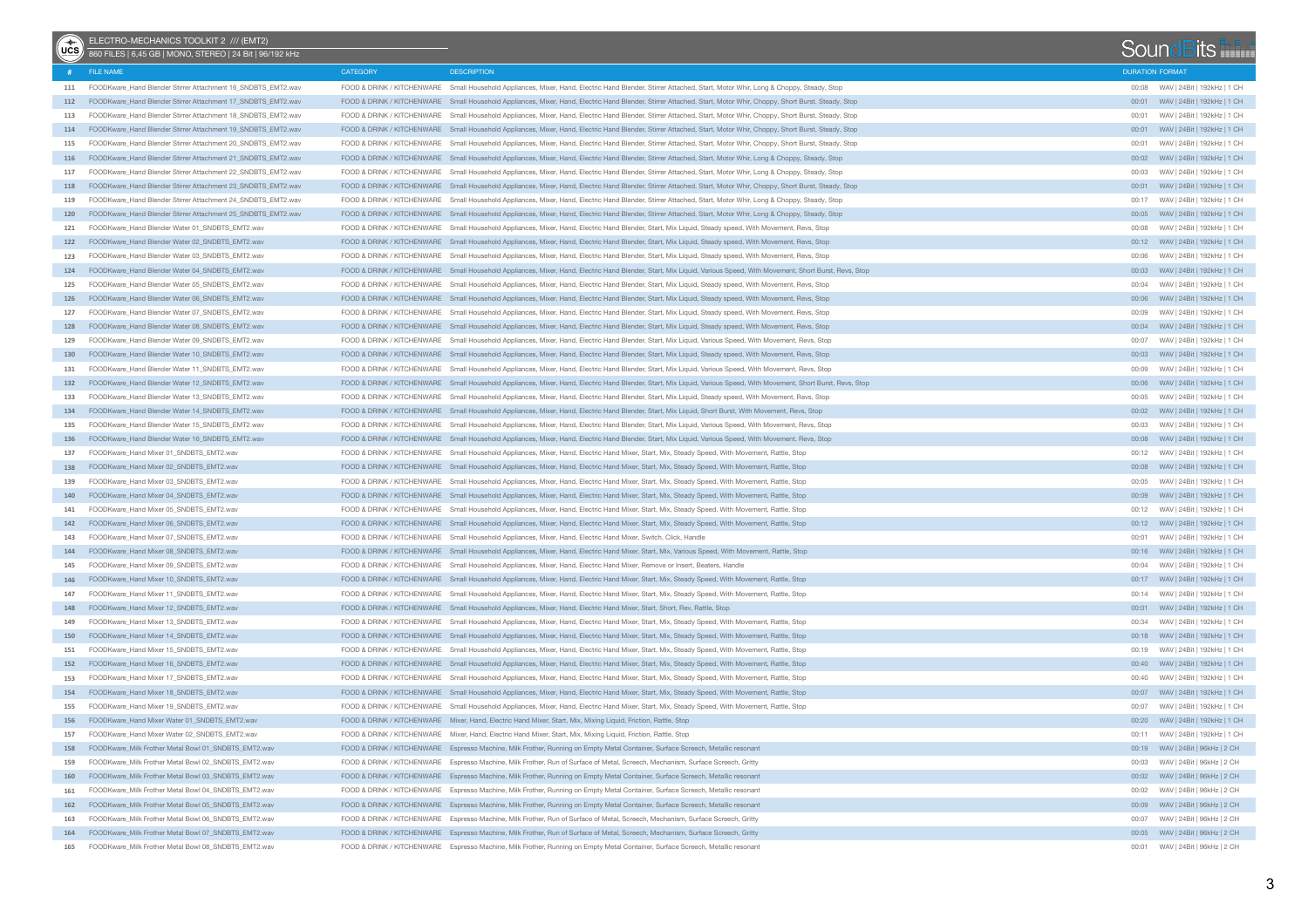| (x) | ELECTRO-MECHANICS TOOLKIT 2 /// (EMT2)<br>860 FILES   6,45 GB   MONO, STEREO   24 Bit   96/192 kHz |                 |                                                                                                                                                                     |                        | SoundBits                             |
|-----|----------------------------------------------------------------------------------------------------|-----------------|---------------------------------------------------------------------------------------------------------------------------------------------------------------------|------------------------|---------------------------------------|
|     | # FILE NAME                                                                                        | <b>CATEGORY</b> | <b>DESCRIPTION</b>                                                                                                                                                  | <b>DURATION FORMAT</b> |                                       |
| 111 | FOODKware_Hand Blender Stirrer Attachment 16_SNDBTS_EMT2.wav                                       |                 | FOOD & DRINK / KITCHENWARE Small Household Appliances, Mixer, Hand, Electric Hand Blender, Stirrer Attached, Start, Motor Whir, Long & Choppy, Steady, Stop         |                        |                                       |
|     | 112 FOODKware_Hand Blender Stirrer Attachment 17_SNDBTS_EMT2.wav                                   |                 | FOOD & DRINK / KITCHENWARE Small Household Appliances, Mixer, Hand, Electric Hand Blender, Stirrer Attached, Start, Motor Whir, Choppy, Short Burst, Steady, Stop   |                        |                                       |
| 113 | FOODKware_Hand Blender Stirrer Attachment 18_SNDBTS_EMT2.wav                                       |                 | FOOD & DRINK / KITCHENWARE Small Household Appliances, Mixer, Hand, Electric Hand Blender, Stirrer Attached, Start, Motor Whir, Choppy, Short Burst, Steady, Stop   | 00:01                  | WAV   24Bit   192kHz   1 CH           |
| 114 | FOODKware_Hand Blender Stirrer Attachment 19_SNDBTS_EMT2.wav                                       |                 | FOOD & DRINK / KITCHENWARE Small Household Appliances, Mixer, Hand, Electric Hand Blender, Stirrer Attached, Start, Motor Whir, Choppy, Short Burst, Steady, Stop   |                        |                                       |
| 115 | FOODKware_Hand Blender Stirrer Attachment 20_SNDBTS_EMT2.wav                                       |                 | FOOD & DRINK / KITCHENWARE Small Household Appliances, Mixer, Hand, Electric Hand Blender, Stirrer Attached, Start, Motor Whir, Choppy, Short Burst, Steady, Stop   | 00:01                  | WAV   24Bit   192kHz   1 CH           |
| 116 | FOODKware_Hand Blender Stirrer Attachment 21_SNDBTS_EMT2.wav                                       |                 | FOOD & DRINK / KITCHENWARE Small Household Appliances, Mixer, Hand, Electric Hand Blender, Stirrer Attached, Start, Motor Whir, Long & Choppy, Steady, Stop         |                        |                                       |
| 117 | FOODKware_Hand Blender Stirrer Attachment 22_SNDBTS_EMT2.wav                                       |                 | FOOD & DRINK / KITCHENWARE Small Household Appliances, Mixer, Hand, Electric Hand Blender, Stirrer Attached, Start, Motor Whir, Long & Choppy, Steady, Stop         |                        | WAV   24Bit   192kHz   1 CH           |
|     | 118 FOODKware Hand Blender Stirrer Attachment 23 SNDBTS EMT2.wav                                   |                 | FOOD & DRINK / KITCHENWARE Small Household Appliances, Mixer, Hand, Electric Hand Blender, Stirrer Attached, Start, Motor Whir, Choppy, Short Burst, Steady, Stop   |                        |                                       |
| 119 | FOODKware Hand Blender Stirrer Attachment 24 SNDBTS EMT2.wav                                       |                 | FOOD & DRINK / KITCHENWARE Small Household Appliances, Mixer, Hand, Electric Hand Blender, Stirrer Attached, Start, Motor Whir, Long & Choppy, Steady, Stop         |                        | 00:17 WAV   24Bit   192kHz   1 CH     |
| 120 | FOODKware_Hand Blender Stirrer Attachment 25_SNDBTS_EMT2.wav                                       |                 | FOOD & DRINK / KITCHENWARE Small Household Appliances, Mixer, Hand, Electric Hand Blender, Stirrer Attached, Start, Motor Whir, Long & Choppy, Steady, Stop         |                        |                                       |
| 121 | FOODKware_Hand Blender Water 01_SNDBTS_EMT2.wav                                                    |                 | FOOD & DRINK / KITCHENWARE Small Household Appliances, Mixer, Hand, Electric Hand Blender, Start, Mix Liquid, Steady speed, With Movement, Revs, Stop               |                        | WAV   24Bit   192kHz   1 CH           |
|     | 122 FOODKware_Hand Blender Water 02_SNDBTS_EMT2.wav                                                |                 | FOOD & DRINK / KITCHENWARE Small Household Appliances, Mixer, Hand, Electric Hand Blender, Start, Mix Liquid, Steady speed, With Movement, Revs, Stop               |                        |                                       |
| 123 | FOODKware Hand Blender Water 03 SNDBTS EMT2.wav                                                    |                 | FOOD & DRINK / KITCHENWARE Small Household Appliances, Mixer, Hand, Electric Hand Blender, Start, Mix Liquid, Steady speed, With Movement, Revs, Stop               | 00:06                  | WAV   24Bit   192kHz   1 CH           |
|     | 124 FOODKware Hand Blender Water 04 SNDBTS EMT2.wav                                                |                 | FOOD & DRINK / KITCHENWARE Small Household Appliances, Mixer, Hand, Electric Hand Blender, Start, Mix Liquid, Various Speed, With Movement, Short Burst, Revs, Stop |                        |                                       |
| 125 | FOODKware Hand Blender Water 05 SNDBTS EMT2.wav                                                    |                 | FOOD & DRINK / KITCHENWARE Small Household Appliances, Mixer, Hand, Electric Hand Blender, Start, Mix Liquid, Steady speed, With Movement, Revs, Stop               | 00:04                  | WAV   24Bit   192kHz   1 CH           |
|     | 126 FOODKware Hand Blender Water 06 SNDBTS EMT2.wav                                                |                 | FOOD & DRINK / KITCHENWARE Small Household Appliances, Mixer, Hand, Electric Hand Blender, Start, Mix Liquid, Steady speed, With Movement, Revs, Stop               |                        |                                       |
| 127 | FOODKware Hand Blender Water 07 SNDBTS EMT2.wav                                                    |                 | FOOD & DRINK / KITCHENWARE Small Household Appliances, Mixer, Hand, Electric Hand Blender, Start, Mix Liquid, Steady speed, With Movement, Revs, Stop               | 00:09                  | WAV   24Bit   192kHz   1 CH           |
|     | 128 FOODKware Hand Blender Water 08 SNDBTS EMT2.wav                                                |                 | FOOD & DRINK / KITCHENWARE Small Household Appliances, Mixer, Hand, Electric Hand Blender, Start, Mix Liquid, Steady speed, With Movement, Revs, Stop               |                        | 00:04 WAV   24Bit   192kHz   1 CH     |
| 129 | FOODKware Hand Blender Water 09 SNDBTS EMT2.wav                                                    |                 | FOOD & DRINK / KITCHENWARE Small Household Appliances, Mixer, Hand, Electric Hand Blender, Start, Mix Liquid, Various Speed, With Movement, Revs, Stop              | 00:07                  | WAV   24Bit   192kHz   1 CH           |
|     | 130 FOODKware Hand Blender Water 10 SNDBTS EMT2.wav                                                |                 | FOOD & DRINK / KITCHENWARE Small Household Appliances, Mixer, Hand, Electric Hand Blender, Start, Mix Liquid, Steady speed, With Movement, Revs, Stop               |                        | 00:03 WAV   24Bit   192kHz   1 CH     |
|     | FOODKware Hand Blender Water 11 SNDRTS FMT2.way                                                    |                 | FOOD & DRINK / KITCHENWARE Small Household Appliances, Mixer, Hand, Electric Hand Blender, Start, Mix Liquid, Various Speed, With Movement, Revs, Stop              | 00:09                  | WAV   24Bit   192kHz   1 CH           |
| 131 | 132 FOODKware Hand Blender Water 12 SNDBTS EMT2.wav                                                |                 |                                                                                                                                                                     |                        |                                       |
|     |                                                                                                    |                 | FOOD & DRINK / KITCHENWARE Small Household Appliances, Mixer, Hand, Electric Hand Blender, Start, Mix Liquid, Various Speed, With Movement, Short Burst, Revs, Stop |                        |                                       |
| 133 | FOODKware_Hand Blender Water 13_SNDBTS_EMT2.wav                                                    |                 | FOOD & DRINK / KITCHENWARE Small Household Appliances, Mixer, Hand, Electric Hand Blender, Start, Mix Liquid, Steady speed, With Movement, Revs, Stop               | 00:05                  | WAV   24Bit   192kHz   1 CH           |
|     | 134 FOODKware_Hand Blender Water 14_SNDBTS_EMT2.wav                                                |                 | FOOD & DRINK / KITCHENWARE Small Household Appliances, Mixer, Hand, Electric Hand Blender, Start, Mix Liquid, Short Burst, With Movement, Revs, Stop                |                        |                                       |
| 135 | FOODKware_Hand Blender Water 15_SNDBTS_EMT2.wav                                                    |                 | FOOD & DRINK / KITCHENWARE Small Household Appliances, Mixer, Hand, Electric Hand Blender, Start, Mix Liquid, Various Speed, With Movement, Revs, Stop              | 00:03                  | WAV   24Bit   192kHz   1 CH           |
|     | 136 FOODKware_Hand Blender Water 16_SNDBTS_EMT2.wav                                                |                 | FOOD & DRINK / KITCHENWARE Small Household Appliances, Mixer, Hand, Electric Hand Blender, Start, Mix Liquid, Various Speed, With Movement, Revs, Stop              |                        |                                       |
| 137 | FOODKware_Hand Mixer 01_SNDBTS_EMT2.wav                                                            |                 | FOOD & DRINK / KITCHENWARE Small Household Appliances, Mixer, Hand, Electric Hand Mixer, Start, Mix, Steady Speed, With Movement, Rattle, Stop                      |                        |                                       |
|     | 138 FOODKware_Hand Mixer 02_SNDBTS_EMT2.wav                                                        |                 | FOOD & DRINK / KITCHENWARE Small Household Appliances, Mixer, Hand, Electric Hand Mixer, Start, Mix, Steady Speed, With Movement, Rattle, Stop                      |                        |                                       |
| 139 | FOODKware_Hand Mixer 03_SNDBTS_EMT2.wav                                                            |                 | FOOD & DRINK / KITCHENWARE Small Household Appliances, Mixer, Hand, Electric Hand Mixer, Start, Mix, Steady Speed, With Movement, Rattle, Stop                      | 00:05                  | WAV   24Bit   192kHz   1 CH           |
| 140 | FOODKware_Hand Mixer 04_SNDBTS_EMT2.wav                                                            |                 | FOOD & DRINK / KITCHENWARE Small Household Appliances, Mixer, Hand, Electric Hand Mixer, Start, Mix, Steady Speed, With Movement, Rattle, Stop                      |                        | 00:09     WAV   24Bit   192kHz   1 CH |
| 141 | FOODKware_Hand Mixer 05_SNDBTS_EMT2.wav                                                            |                 | FOOD & DRINK / KITCHENWARE Small Household Appliances, Mixer, Hand, Electric Hand Mixer, Start, Mix, Steady Speed, With Movement, Rattle, Stop                      |                        |                                       |
| 142 | FOODKware_Hand Mixer 06_SNDBTS_EMT2.wav                                                            |                 | FOOD & DRINK / KITCHENWARE Small Household Appliances, Mixer, Hand, Electric Hand Mixer, Start, Mix, Steady Speed, With Movement, Rattle, Stop                      |                        |                                       |
| 143 | FOODKware_Hand Mixer 07_SNDBTS_EMT2.wav                                                            |                 | FOOD & DRINK / KITCHENWARE Small Household Appliances, Mixer, Hand, Electric Hand Mixer, Switch, Click, Handle                                                      | 00:01                  | WAV   24Bit   192kHz   1 CH           |
| 144 | FOODKware Hand Mixer 08 SNDBTS EMT2.wav                                                            |                 | FOOD & DRINK / KITCHENWARE Small Household Appliances, Mixer, Hand, Electric Hand Mixer, Start, Mix, Various Speed, With Movement, Rattle, Stop                     |                        |                                       |
| 145 | FOODKware Hand Mixer 09 SNDBTS EMT2.wav                                                            |                 | FOOD & DRINK / KITCHENWARE Small Household Appliances, Mixer, Hand, Electric Hand Mixer, Remove or Insert, Beaters, Handle                                          | 00:04                  | WAV   24Bit   192kHz   1 CH           |
| 146 | FOODKware_Hand Mixer 10_SNDBTS_EMT2.wav                                                            |                 | FOOD & DRINK / KITCHENWARE Small Household Appliances, Mixer, Hand, Electric Hand Mixer, Start, Mix, Steady Speed, With Movement, Rattle, Stop                      |                        |                                       |
| 147 | FOODKware_Hand Mixer 11_SNDBTS_EMT2.wav                                                            |                 | FOOD & DRINK / KITCHENWARE Small Household Appliances, Mixer, Hand, Electric Hand Mixer, Start, Mix, Steady Speed, With Movement, Rattle, Stop                      |                        | 00:14 WAV   24Bit   192kHz   1 CH     |
| 148 | FOODKware_Hand Mixer 12_SNDBTS_EMT2.wav                                                            |                 | FOOD & DRINK / KITCHENWARE Small Household Appliances, Mixer, Hand, Electric Hand Mixer, Start, Short, Rev, Rattle, Stop                                            |                        |                                       |
| 149 | FOODKware Hand Mixer 13 SNDBTS EMT2.wav                                                            |                 | FOOD & DRINK / KITCHENWARE Small Household Appliances, Mixer, Hand, Electric Hand Mixer, Start, Mix, Steady Speed, With Movement, Rattle, Stop                      | 00:34                  | WAV   24Bit   192kHz   1 CH           |
|     | 150 FOODKware Hand Mixer 14 SNDBTS EMT2.wav                                                        |                 | FOOD & DRINK / KITCHENWARE Small Household Appliances, Mixer, Hand, Electric Hand Mixer, Start, Mix, Steady Speed, With Movement, Rattle, Stop                      |                        |                                       |
|     | 151 FOODKware_Hand Mixer 15_SNDBTS_EMT2.wav                                                        |                 | FOOD & DRINK / KITCHENWARE Small Household Appliances, Mixer, Hand, Electric Hand Mixer, Start, Mix, Steady Speed, With Movement, Rattle, Stop                      | 00:19                  | WAV   24Bit   192kHz   1 CH           |
|     | 152 FOODKware Hand Mixer 16 SNDBTS EMT2.wav                                                        |                 | FOOD & DRINK / KITCHENWARE Small Household Appliances, Mixer, Hand, Electric Hand Mixer, Start, Mix, Steady Speed, With Movement, Rattle, Stop                      |                        | 00:40 WAV   24Bit   192kHz   1 CH     |
| 153 | FOODKware Hand Mixer 17 SNDBTS EMT2.wav                                                            |                 | FOOD & DRINK / KITCHENWARE Small Household Appliances, Mixer, Hand, Electric Hand Mixer, Start, Mix, Steady Speed, With Movement, Rattle, Stop                      | 00:40                  | WAV   24Bit   192kHz   1 CH           |
|     | 154 FOODKware Hand Mixer 18 SNDBTS EMT2.wav                                                        |                 | FOOD & DRINK / KITCHENWARE Small Household Appliances, Mixer, Hand, Electric Hand Mixer, Start, Mix, Steady Speed, With Movement, Rattle, Stop                      |                        |                                       |
| 155 | FOODKware Hand Mixer 19 SNDBTS EMT2.wav                                                            |                 | FOOD & DRINK / KITCHENWARE Small Household Appliances, Mixer, Hand, Electric Hand Mixer, Start, Mix, Steady Speed, With Movement, Rattle, Stop                      | 00:07                  | WAV   24Bit   192kHz   1 CH           |
|     | 156 FOODKware Hand Mixer Water 01 SNDRTS EMT2 way                                                  |                 | FOOD & DRINK / KITCHENWARE Mixer, Hand, Electric Hand Mixer, Start, Mix, Mixing Liquid, Friction, Rattle, Stop                                                      |                        | 00:20 WAV   24Bit   192kHz   1 CH     |
| 157 | FOODKware_Hand Mixer Water 02_SNDBTS_EMT2.wav                                                      |                 | FOOD & DRINK / KITCHENWARE Mixer, Hand, Electric Hand Mixer, Start, Mix, Mixing Liquid, Friction, Rattle, Stop                                                      |                        |                                       |
|     | 158 FOODKware_Milk Frother Metal Bowl 01_SNDBTS_EMT2.wav                                           |                 | FOOD & DRINK / KITCHENWARE Espresso Machine, Milk Frother, Running on Empty Metal Container, Surface Screech, Metallic resonant                                     |                        | 00:19     WAV   24Bit   96kHz   2 CH  |
| 159 | FOODKware_Milk Frother Metal Bowl 02_SNDBTS_EMT2.wav                                               |                 | FOOD & DRINK / KITCHENWARE Espresso Machine, Milk Frother, Run of Surface of Metal, Screech, Mechanism, Surface Screech, Gritty                                     |                        | 00:03 WAV   24Bit   96kHz   2 CH      |
|     | 160 FOODKware_Milk Frother Metal Bowl 03_SNDBTS_EMT2.wav                                           |                 | FOOD & DRINK / KITCHENWARE Espresso Machine, Milk Frother, Running on Empty Metal Container, Surface Screech, Metallic resonant                                     |                        |                                       |
| 161 | FOODKware_Milk Frother Metal Bowl 04_SNDBTS_EMT2.wav                                               |                 | FOOD & DRINK / KITCHENWARE Espresso Machine, Milk Frother, Running on Empty Metal Container, Surface Screech, Metallic resonant                                     |                        |                                       |
| 162 | FOODKware_Milk Frother Metal Bowl 05_SNDBTS_EMT2.wav                                               |                 | FOOD & DRINK / KITCHENWARE Espresso Machine, Milk Frother, Running on Empty Metal Container, Surface Screech, Metallic resonant                                     |                        |                                       |
| 163 | FOODKware_Milk Frother Metal Bowl 06_SNDBTS_EMT2.wav                                               |                 | FOOD & DRINK / KITCHENWARE Espresso Machine, Milk Frother, Run of Surface of Metal, Screech, Mechanism, Surface Screech, Gritty                                     | 00:07                  | WAV   24Bit   96kHz   2 CH            |
| 164 | FOODKware Milk Frother Metal Bowl 07 SNDBTS EMT2.wav                                               |                 | FOOD & DRINK / KITCHENWARE Espresso Machine, Milk Frother, Run of Surface of Metal, Screech, Mechanism, Surface Screech, Gritty                                     |                        | 00:05 WAV   24Bit   96kHz   2 CH      |
| 165 | FOODKware_Milk Frother Metal Bowl 08_SNDBTS_EMT2.wav                                               |                 | FOOD & DRINK / KITCHENWARE Espresso Machine, Milk Frother, Running on Empty Metal Container, Surface Screech, Metallic resonant                                     |                        |                                       |
|     |                                                                                                    |                 |                                                                                                                                                                     |                        |                                       |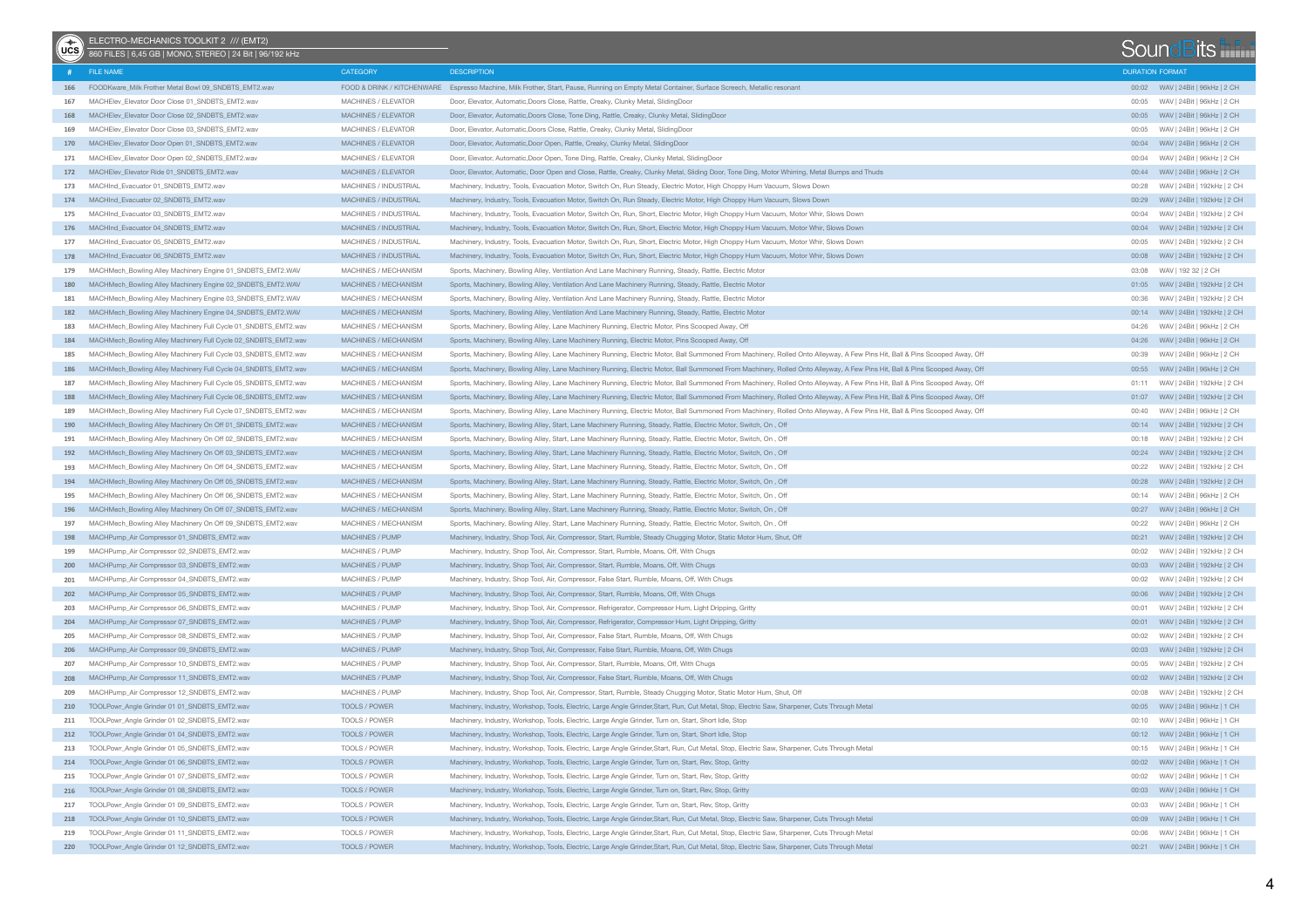| $\bigcirc$ | ELECTRO-MECHANICS TOOLKIT 2 /// (EMT2)<br>860 FILES   6,45 GB   MONO, STEREO   24 Bit   96/192 kHz |                            |                                                                                                                                                                             |                        | SoundBits                         |
|------------|----------------------------------------------------------------------------------------------------|----------------------------|-----------------------------------------------------------------------------------------------------------------------------------------------------------------------------|------------------------|-----------------------------------|
|            | # FILE NAME                                                                                        | <b>CATEGORY</b>            | <b>DESCRIPTION</b>                                                                                                                                                          | <b>DURATION FORMAT</b> |                                   |
|            | 166 FOODKware_Milk Frother Metal Bowl 09_SNDBTS_EMT2.wav                                           |                            | FOOD & DRINK / KITCHENWARE Espresso Machine, Milk Frother, Start, Pause, Running on Empty Metal Container, Surface Screech, Metallic resonant                               |                        |                                   |
| 167        | MACHElev_Elevator Door Close 01_SNDBTS_EMT2.wav                                                    | <b>MACHINES / ELEVATOR</b> | Door, Elevator, Automatic, Doors Close, Rattle, Creaky, Clunky Metal, SlidingDoor                                                                                           | 00:05                  | WAV   24Bit   96kHz   2 CH        |
|            | 168 MACHElev_Elevator Door Close 02 SNDBTS_EMT2.wav                                                | MACHINES / ELEVATOR        | Door, Elevator, Automatic, Doors Close, Tone Ding, Rattle, Creaky, Clunky Metal, SlidingDoor                                                                                |                        |                                   |
| 169        | MACHElev_Elevator Door Close 03 SNDBTS_EMT2.wav                                                    | <b>MACHINES / ELEVATOR</b> | Door, Elevator, Automatic, Doors Close, Rattle, Creaky, Clunky Metal, SlidingDoor                                                                                           | 00:05                  | WAV   24Bit   96kHz   2 CH        |
| 170        | MACHElev Elevator Door Open 01 SNDBTS EMT2.wav                                                     | MACHINES / ELEVATOR        | Door, Elevator, Automatic, Door Open, Rattle, Creaky, Clunky Metal, SlidingDoor                                                                                             |                        | 00:04 WAV   24Bit   96kHz   2 CH  |
| 171        | MACHElev_Elevator Door Open 02_SNDBTS_EMT2.wav                                                     | MACHINES / ELEVATOR        | Door, Elevator, Automatic, Door Open, Tone Ding, Rattle, Creaky, Clunky Metal, SlidingDoor                                                                                  | 00:04                  | WAV   24Bit   96kHz   2 CH        |
|            | 172 MACHElev_Elevator Ride 01 SNDBTS_EMT2.wav                                                      | MACHINES / ELEVATOR        | Door, Elevator, Automatic, Door Open and Close, Rattle, Creaky, Clunky Metal, Sliding Door, Tone Ding, Motor Whirring, Metal Bumps and Thuds                                |                        | 00:44 WAV   24Bit   96kHz   2 CH  |
| 173        | MACHInd Evacuator 01 SNDBTS EMT2.wav                                                               | MACHINES / INDUSTRIAL      | Machinery, Industry, Tools, Evacuation Motor, Switch On, Run Steady, Electric Motor, High Choppy Hum Vacuum, Slows Down                                                     | 00:28                  | WAV   24Bit   192kHz   2 CH       |
|            | 174 MACHInd Evacuator 02 SNDBTS EMT2.wav                                                           | MACHINES / INDUSTRIAL      | Machinery, Industry, Tools, Evacuation Motor, Switch On, Run Steady, Electric Motor, High Choppy Hum Vacuum, Slows Down                                                     |                        | 00:29 WAV   24Bit   192kHz   2 CH |
| 175        | MACHInd_Evacuator 03_SNDBTS_EMT2.wav                                                               | MACHINES / INDUSTRIAL      | Machinery, Industry, Tools, Evacuation Motor, Switch On, Run, Short, Electric Motor, High Choppy Hum Vacuum, Motor Whir, Slows Down                                         | 00:04                  | WAV   24Bit   192kHz   2 CH       |
| 176        | MACHInd Evacuator 04 SNDBTS EMT2.wav                                                               | MACHINES / INDUSTRIAL      | Machinery, Industry, Tools, Evacuation Motor, Switch On, Run, Short, Electric Motor, High Choppy Hum Vacuum, Motor Whir, Slows Down                                         |                        | 00:04 WAV   24Bit   192kHz   2 CH |
| 177        | MACHInd Evacuator 05 SNDBTS EMT2.wav                                                               | MACHINES / INDUSTRIAL      | Machinery, Industry, Tools, Evacuation Motor, Switch On, Run, Short, Electric Motor, High Choppy Hum Vacuum, Motor Whir, Slows Down                                         | 00:05                  | WAV   24Bit   192kHz   2 CH       |
|            | 178 MACHInd Evacuator 06 SNDBTS EMT2.wav                                                           | MACHINES / INDUSTRIAL      | Machinery, Industry, Tools, Evacuation Motor, Switch On, Run, Short, Electric Motor, High Choppy Hum Vacuum, Motor Whir, Slows Down                                         |                        |                                   |
| 179        | MACHMech_Bowling Alley Machinery Engine 01_SNDBTS_EMT2.WAV                                         | MACHINES / MECHANISM       | Sports, Machinery, Bowling Alley, Ventilation And Lane Machinery Running, Steady, Rattle, Electric Motor                                                                    | 03:08                  | WAV   192 32   2 CH               |
| 180        | MACHMech_Bowling Alley Machinery Engine 02_SNDBTS_EMT2.WAV                                         | MACHINES / MECHANISM       | Sports, Machinery, Bowling Alley, Ventilation And Lane Machinery Running, Steady, Rattle, Electric Motor                                                                    |                        | 01:05 WAV   24Bit   192kHz   2 CH |
| 181        | MACHMech_Bowling Alley Machinery Engine 03_SNDBTS_EMT2.WAV                                         | MACHINES / MECHANISM       | Sports, Machinery, Bowling Alley, Ventilation And Lane Machinery Running, Steady, Rattle, Electric Motor                                                                    | 00:36                  | WAV   24Bit   192kHz   2 CH       |
|            | 182 MACHMech_Bowling Alley Machinery Engine 04_SNDBTS_EMT2.WAV                                     | MACHINES / MECHANISM       | Sports, Machinery, Bowling Alley, Ventilation And Lane Machinery Running, Steady, Rattle, Electric Motor                                                                    |                        | 00:14 WAV   24Bit   192kHz   2 CH |
| 183        | MACHMech_Bowling Alley Machinery Full Cycle 01_SNDBTS_EMT2.wav                                     | MACHINES / MECHANISM       | Sports, Machinery, Bowling Alley, Lane Machinery Running, Electric Motor, Pins Scooped Away, Off                                                                            | 04:26                  | WAV   24Bit   96kHz   2 CH        |
|            | 184 MACHMech_Bowling Alley Machinery Full Cycle 02_SNDBTS_EMT2.wav                                 | MACHINES / MECHANISM       | Sports, Machinery, Bowling Alley, Lane Machinery Running, Electric Motor, Pins Scooped Away, Off                                                                            |                        |                                   |
| 185        | MACHMech_Bowling Alley Machinery Full Cycle 03_SNDBTS_EMT2.wav                                     | MACHINES / MECHANISM       | Sports, Machinery, Bowling Alley, Lane Machinery Running, Electric Motor, Ball Summoned From Machinery, Rolled Onto Alleyway, A Few Pins Hit, Ball & Pins Scooped Away, Off | 00:39                  | WAV   24Bit   96kHz   2 CH        |
| 186        | MACHMech_Bowling Alley Machinery Full Cycle 04_SNDBTS_EMT2.wav                                     | MACHINES / MECHANISM       | Sports, Machinery, Bowling Alley, Lane Machinery Running, Electric Motor, Ball Summoned From Machinery, Rolled Onto Alleyway, A Few Pins Hit, Ball & Pins Scooped Away, Off |                        | 00:55 WAV   24Bit   96kHz   2 CH  |
| 187        | MACHMech_Bowling Alley Machinery Full Cycle 05_SNDBTS_EMT2.wav                                     | MACHINES / MECHANISM       | Sports, Machinery, Bowling Alley, Lane Machinery Running, Electric Motor, Ball Summoned From Machinery, Rolled Onto Alleyway, A Few Pins Hit, Ball & Pins Scooped Away, Off | 01:11                  | WAV   24Bit   192kHz   2 CH       |
|            | 188 MACHMech_Bowling Alley Machinery Full Cycle 06_SNDBTS_EMT2.wav                                 | MACHINES / MECHANISM       | Sports, Machinery, Bowling Alley, Lane Machinery Running, Electric Motor, Ball Summoned From Machinery, Rolled Onto Alleyway, A Few Pins Hit, Ball & Pins Scooped Away, Off |                        |                                   |
| 189        | MACHMech_Bowling Alley Machinery Full Cycle 07_SNDBTS_EMT2.wav                                     | MACHINES / MECHANISM       | Sports, Machinery, Bowling Alley, Lane Machinery Running, Electric Motor, Ball Summoned From Machinery, Rolled Onto Alleyway, A Few Pins Hit, Ball & Pins Scooped Away, Off | 00:40                  | WAV   24Bit   96kHz   2 CH        |
|            | 190 MACHMech_Bowling Alley Machinery On Off 01_SNDBTS_EMT2.wav                                     | MACHINES / MECHANISM       | Sports, Machinery, Bowling Alley, Start, Lane Machinery Running, Steady, Rattle, Electric Motor, Switch, On, Off                                                            |                        | 00:14 WAV   24Bit   192kHz   2 CH |
| 191        | MACHMech_Bowling Alley Machinery On Off 02_SNDBTS_EMT2.wav                                         | MACHINES / MECHANISM       | Sports, Machinery, Bowling Alley, Start, Lane Machinery Running, Steady, Rattle, Electric Motor, Switch, On, Off                                                            | 00:18                  | WAV   24Bit   192kHz   2 CH       |
| 192        | MACHMech_Bowling Alley Machinery On Off 03_SNDBTS_EMT2.wav                                         | MACHINES / MECHANISM       | Sports, Machinery, Bowling Alley, Start, Lane Machinery Running, Steady, Rattle, Electric Motor, Switch, On, Off                                                            |                        | 00:24 WAV   24Bit   192kHz   2 CH |
| 193        | MACHMech_Bowling Alley Machinery On Off 04_SNDBTS_EMT2.wav                                         | MACHINES / MECHANISM       | Sports, Machinery, Bowling Alley, Start, Lane Machinery Running, Steady, Rattle, Electric Motor, Switch, On, Off                                                            | 00:22                  | WAV   24Bit   192kHz   2 CH       |
| 194        | MACHMech_Bowling Alley Machinery On Off 05_SNDBTS_EMT2.wav                                         | MACHINES / MECHANISM       | Sports, Machinery, Bowling Alley, Start, Lane Machinery Running, Steady, Rattle, Electric Motor, Switch, On, Off                                                            |                        |                                   |
| 195        | MACHMech_Bowling Alley Machinery On Off 06_SNDBTS_EMT2.wav                                         | MACHINES / MECHANISM       | Sports, Machinery, Bowling Alley, Start, Lane Machinery Running, Steady, Rattle, Electric Motor, Switch, On, Off                                                            | 00:14                  | WAV   24Bit   96kHz   2 CH        |
| 196        | MACHMech_Bowling Alley Machinery On Off 07_SNDBTS_EMT2.wav                                         | MACHINES / MECHANISM       | Sports, Machinery, Bowling Alley, Start, Lane Machinery Running, Steady, Rattle, Electric Motor, Switch, On, Off                                                            |                        | 00:27 WAV   24Bit   96kHz   2 CH  |
| 197        | MACHMech_Bowling Alley Machinery On Off 09_SNDBTS_EMT2.wav                                         | MACHINES / MECHANISM       | Sports, Machinery, Bowling Alley, Start, Lane Machinery Running, Steady, Rattle, Electric Motor, Switch, On, Off                                                            | 00:22                  | WAV   24Bit   96kHz   2 CH        |
|            | 198 MACHPump_Air Compressor 01_SNDBTS_EMT2.wav                                                     | MACHINES / PUMP            | Machinery, Industry, Shop Tool, Air, Compressor, Start, Rumble, Steady Chugging Motor, Static Motor Hum, Shut, Off                                                          |                        | 00:21 WAV   24Bit   192kHz   2 CH |
| 199        | MACHPump_Air Compressor 02_SNDBTS_EMT2.wav                                                         | MACHINES / PUMP            | Machinery, Industry, Shop Tool, Air, Compressor, Start, Rumble, Moans, Off, With Chugs                                                                                      | 00:02                  | WAV   24Bit   192kHz   2 CH       |
|            | 200 MACHPump_Air Compressor 03_SNDBTS_EMT2.wav                                                     | MACHINES / PUMP            | Machinery, Industry, Shop Tool, Air, Compressor, Start, Rumble, Moans, Off, With Chugs                                                                                      |                        | 00:03 WAV   24Bit   192kHz   2 CH |
| 201        | MACHPump_Air Compressor 04_SNDBTS_EMT2.wav                                                         | MACHINES / PUMP            | Machinery, Industry, Shop Tool, Air, Compressor, False Start, Rumble, Moans, Off, With Chugs                                                                                | 00:02                  | WAV   24Bit   192kHz   2 CH       |
|            | 202 MACHPump_Air Compressor 05_SNDBTS_EMT2.wav                                                     | MACHINES / PUMP            | Machinery, Industry, Shop Tool, Air, Compressor, Start, Rumble, Moans, Off, With Chugs                                                                                      |                        |                                   |
| 203        | MACHPump_Air Compressor 06_SNDBTS_EMT2.wav                                                         | MACHINES / PUMP            | Machinery, Industry, Shop Tool, Air, Compressor, Refrigerator, Compressor Hum, Light Dripping, Gritty                                                                       | 00:01                  | WAV   24Bit   192kHz   2 CH       |
|            | 204 MACHPump_Air Compressor 07_SNDBTS_EMT2.wav                                                     | MACHINES / PUMP            | Machinery, Industry, Shop Tool, Air, Compressor, Refrigerator, Compressor Hum, Light Dripping, Gritty                                                                       |                        |                                   |
| 205        | MACHPump_Air Compressor 08_SNDBTS_EMT2.wav                                                         | MACHINES / PUMP            | Machinery, Industry, Shop Tool, Air, Compressor, False Start, Rumble, Moans, Off, With Chugs                                                                                | 00:02                  | WAV   24Bit   192kHz   2 CH       |
|            | 206 MACHPump_Air Compressor 09_SNDBTS_EMT2.wav                                                     | MACHINES / PUMP            | Machinery, Industry, Shop Tool, Air, Compressor, False Start, Rumble, Moans, Off, With Chugs                                                                                |                        | 00:03 WAV   24Bit   192kHz   2 CH |
| 207        | MACHPump_Air Compressor 10_SNDBTS_EMT2.wav                                                         | MACHINES / PUMP            | Machinery, Industry, Shop Tool, Air, Compressor, Start, Rumble, Moans, Off, With Chugs                                                                                      | 00:05                  | WAV   24Bit   192kHz   2 CH       |
|            | 208 MACHPump Air Compressor 11 SNDBTS EMT2.wav                                                     | MACHINES / PUMP            | Machinery, Industry, Shop Tool, Air, Compressor, False Start, Rumble, Moans, Off, With Chugs                                                                                |                        |                                   |
| 209        | MACHPump_Air Compressor 12_SNDBTS_EMT2.wav                                                         | MACHINES / PUMP            | Machinery, Industry, Shop Tool, Air, Compressor, Start, Rumble, Steady Chugging Motor, Static Motor Hum, Shut, Off                                                          | 00:08                  | WAV   24Bit   192kHz   2 CH       |
|            | 210 TOOLPowr_Angle Grinder 01 01_SNDBTS_EMT2.wav                                                   | TOOLS / POWER              | Machinery, Industry, Workshop, Tools, Electric, Large Angle Grinder, Start, Run, Cut Metal, Stop, Electric Saw, Sharpener, Cuts Through Metal                               |                        | 00:05 WAV   24Bit   96kHz   1 CH  |
|            | 211 TOOLPowr_Angle Grinder 01 02_SNDBTS_EMT2.wav                                                   | TOOLS / POWER              | Machinery, Industry, Workshop, Tools, Electric, Large Angle Grinder, Turn on, Start, Short Idle, Stop                                                                       |                        | 00:10 WAV   24Bit   96kHz   1 CH  |
|            | 212 TOOLPowr_Angle Grinder 01 04_SNDBTS_EMT2.wav                                                   | TOOLS / POWER              | Machinery, Industry, Workshop, Tools, Electric, Large Angle Grinder, Turn on, Start, Short Idle, Stop                                                                       |                        |                                   |
|            | 213 TOOLPowr_Angle Grinder 01 05_SNDBTS_EMT2.wav                                                   | TOOLS / POWER              | Machinery, Industry, Workshop, Tools, Electric, Large Angle Grinder, Start, Run, Cut Metal, Stop, Electric Saw, Sharpener, Cuts Through Metal                               |                        | 00:15 WAV   24Bit   96kHz   1 CH  |
|            | 214 TOOLPowr_Angle Grinder 01 06_SNDBTS_EMT2.wav                                                   | TOOLS / POWER              | Machinery, Industry, Workshop, Tools, Electric, Large Angle Grinder, Turn on, Start, Rev, Stop, Gritty                                                                      |                        |                                   |
|            | 215 TOOLPowr_Angle Grinder 01 07_SNDBTS_EMT2.wav                                                   | TOOLS / POWER              | Machinery, Industry, Workshop, Tools, Electric, Large Angle Grinder, Turn on, Start, Rev, Stop, Gritty                                                                      |                        |                                   |
|            | 216 TOOLPowr_Angle Grinder 01 08_SNDBTS_EMT2.wav                                                   | TOOLS / POWER              | Machinery, Industry, Workshop, Tools, Electric, Large Angle Grinder, Turn on, Start, Rev, Stop, Gritty                                                                      |                        |                                   |
| 217        | TOOLPowr_Angle Grinder 01 09_SNDBTS_EMT2.wav                                                       | TOOLS / POWER              | Machinery, Industry, Workshop, Tools, Electric, Large Angle Grinder, Turn on, Start, Rev, Stop, Gritty                                                                      |                        |                                   |
| 218        | TOOLPowr_Angle Grinder 01 10_SNDBTS_EMT2.wav                                                       | TOOLS / POWER              | Machinery, Industry, Workshop, Tools, Electric, Large Angle Grinder, Start, Run, Cut Metal, Stop, Electric Saw, Sharpener, Cuts Through Metal                               |                        |                                   |
| 219        | TOOLPowr_Angle Grinder 01 11_SNDBTS_EMT2.wav                                                       | TOOLS / POWER              | Machinery, Industry, Workshop, Tools, Electric, Large Angle Grinder,Start, Run, Cut Metal, Stop, Electric Saw, Sharpener, Cuts Through Metal                                |                        |                                   |
|            | 220 TOOLPowr_Angle Grinder 01 12_SNDBTS_EMT2.wav                                                   | TOOLS / POWER              | Machinery, Industry, Workshop, Tools, Electric, Large Angle Grinder,Start, Run, Cut Metal, Stop, Electric Saw, Sharpener, Cuts Through Metal                                |                        |                                   |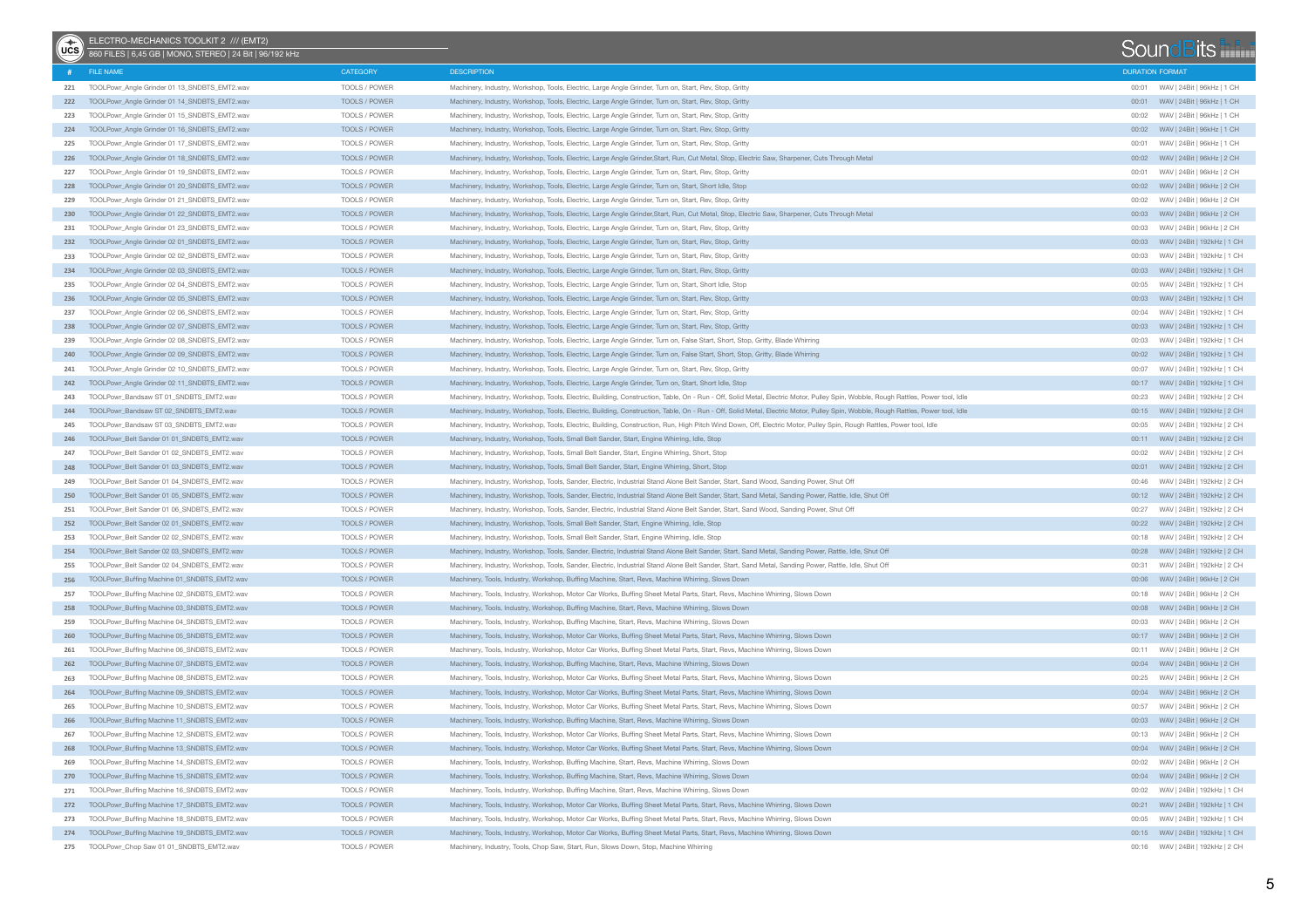| $(x^*)$ | ELECTRO-MECHANICS TOOLKIT 2 /// (EMT2)<br>860 FILES   6,45 GB   MONO, STEREO   24 Bit   96/192 kHz |                      |                                                                                                                                                                                  |                        | SoundBits                             |  |
|---------|----------------------------------------------------------------------------------------------------|----------------------|----------------------------------------------------------------------------------------------------------------------------------------------------------------------------------|------------------------|---------------------------------------|--|
|         | # FILE NAME                                                                                        | <b>CATEGORY</b>      | <b>DESCRIPTION</b>                                                                                                                                                               | <b>DURATION FORMAT</b> |                                       |  |
| 221     | TOOLPowr_Angle Grinder 01 13_SNDBTS_EMT2.wav                                                       | TOOLS / POWER        | Machinery, Industry, Workshop, Tools, Electric, Large Angle Grinder, Turn on, Start, Rev, Stop, Gritty                                                                           |                        |                                       |  |
|         | 222 TOOLPowr_Angle Grinder 01 14_SNDBTS_EMT2.wav                                                   | TOOLS / POWER        | Machinery, Industry, Workshop, Tools, Electric, Large Angle Grinder, Turn on, Start, Rev, Stop, Gritty                                                                           | 00:01                  | WAV   24Bit   96kHz   1 CH            |  |
| 223     | TOOLPowr_Angle Grinder 01 15_SNDBTS_EMT2.wav                                                       | TOOLS / POWER        | Machinery, Industry, Workshop, Tools, Electric, Large Angle Grinder, Turn on, Start, Rev, Stop, Gritty                                                                           | 00:02                  | WAV   24Bit   96kHz   1 CH            |  |
|         | 224 TOOLPowr Angle Grinder 01 16 SNDBTS EMT2.wav                                                   | TOOLS / POWER        | Machinery, Industry, Workshop, Tools, Electric, Large Angle Grinder, Turn on, Start, Rev, Stop, Gritty                                                                           |                        |                                       |  |
| 225     | TOOLPowr_Angle Grinder 01 17_SNDBTS_EMT2.wav                                                       | TOOLS / POWER        | Machinery, Industry, Workshop, Tools, Electric, Large Angle Grinder, Turn on, Start, Rev, Stop, Gritty                                                                           |                        | WAV   24Bit   96kHz   1 CH            |  |
| 226     | TOOLPowr_Angle Grinder 01 18 SNDBTS_EMT2.wav                                                       | TOOLS / POWER        | Machinery, Industry, Workshop, Tools, Electric, Large Angle Grinder, Start, Run, Cut Metal, Stop, Electric Saw, Sharpener, Cuts Through Metal                                    | 00:02                  | WAV   24Bit   96kHz   2 CH            |  |
| 227     | TOOLPowr_Angle Grinder 01 19 SNDBTS_EMT2.wav                                                       | TOOLS / POWER        | Machinery, Industry, Workshop, Tools, Electric, Large Angle Grinder, Turn on, Start, Rev, Stop, Gritty                                                                           | 00:01                  | WAV   24Bit   96kHz   2 CH            |  |
|         | 228 TOOLPowr_Angle Grinder 01 20_SNDBTS_EMT2.wav                                                   | TOOLS / POWER        | Machinery, Industry, Workshop, Tools, Electric, Large Angle Grinder, Turn on, Start, Short Idle, Stop                                                                            |                        |                                       |  |
| 229     | TOOLPowr_Angle Grinder 01 21_SNDBTS_EMT2.wav                                                       | TOOLS / POWER        | Machinery, Industry, Workshop, Tools, Electric, Large Angle Grinder, Turn on, Start, Rev, Stop, Gritty                                                                           | 00:02                  | WAV   24Bit   96kHz   2 CH            |  |
| 230     | TOOLPowr_Angle Grinder 01 22_SNDBTS_EMT2.wav                                                       | TOOLS / POWER        | Machinery, Industry, Workshop, Tools, Electric, Large Angle Grinder, Start, Run, Cut Metal, Stop, Electric Saw, Sharpener, Cuts Through Metal                                    | 00:03                  | WAV   24Bit   96kHz   2 CH            |  |
| 231     | TOOLPowr_Angle Grinder 01 23_SNDBTS_EMT2.wav                                                       | TOOLS / POWER        | Machinery, Industry, Workshop, Tools, Electric, Large Angle Grinder, Turn on, Start, Rev, Stop, Gritty                                                                           | 00:03                  | WAV   24Bit   96kHz   2 CH            |  |
|         | 232 TOOLPowr_Angle Grinder 02 01_SNDBTS_EMT2.wav                                                   | <b>TOOLS / POWER</b> | Machinery, Industry, Workshop, Tools, Electric, Large Angle Grinder, Turn on, Start, Rev, Stop, Gritty                                                                           |                        |                                       |  |
| 233     | TOOLPowr_Angle Grinder 02 02_SNDBTS_EMT2.wav                                                       | TOOLS / POWER        | Machinery, Industry, Workshop, Tools, Electric, Large Angle Grinder, Turn on, Start, Rev, Stop, Gritty                                                                           | 00:03                  | WAV   24Bit   192kHz   1 CH           |  |
| 234     | TOOLPowr_Angle Grinder 02 03_SNDBTS_EMT2.wav                                                       | TOOLS / POWER        | Machinery, Industry, Workshop, Tools, Electric, Large Angle Grinder, Turn on, Start, Rev, Stop, Gritty                                                                           |                        |                                       |  |
| 235     | TOOLPowr_Angle Grinder 02 04_SNDBTS_EMT2.wav                                                       | TOOLS / POWER        | Machinery, Industry, Workshop, Tools, Electric, Large Angle Grinder, Turn on, Start, Short Idle, Stop                                                                            | 00:05                  | WAV   24Bit   192kHz   1 CH           |  |
| 236     | TOOLPowr_Angle Grinder 02 05_SNDBTS_EMT2.wav                                                       | TOOLS / POWER        | Machinery, Industry, Workshop, Tools, Electric, Large Angle Grinder, Turn on, Start, Rev, Stop, Gritty                                                                           |                        | 00:03 WAV   24Bit   192kHz   1 CH     |  |
| 237     | TOOLPowr_Angle Grinder 02 06_SNDBTS_EMT2.wav                                                       | TOOLS / POWER        | Machinery, Industry, Workshop, Tools, Electric, Large Angle Grinder, Turn on, Start, Rev, Stop, Gritty                                                                           | 00:04                  | WAV   24Bit   192kHz   1 CH           |  |
| 238     | TOOLPowr_Angle Grinder 02 07_SNDBTS_EMT2.wav                                                       | TOOLS / POWER        | Machinery, Industry, Workshop, Tools, Electric, Large Angle Grinder, Turn on, Start, Rev, Stop, Gritty                                                                           |                        | 00:03     WAV   24Bit   192kHz   1 CH |  |
| 239     | TOOLPowr_Angle Grinder 02 08 SNDBTS_EMT2.wav                                                       | TOOLS / POWER        | Machinery, Industry, Workshop, Tools, Electric, Large Angle Grinder, Turn on, False Start, Short, Stop, Gritty, Blade Whirring                                                   | 00:03                  | WAV   24Bit   192kHz   1 CH           |  |
| 240     | TOOLPowr_Angle Grinder 02 09_SNDBTS_EMT2.wav                                                       | TOOLS / POWER        | Machinery, Industry, Workshop, Tools, Electric, Large Angle Grinder, Turn on, False Start, Short, Stop, Gritty, Blade Whirring                                                   |                        |                                       |  |
| 241     | TOOLPowr_Angle Grinder 02 10_SNDBTS_EMT2.wav                                                       | TOOLS / POWER        | Machinery, Industry, Workshop, Tools, Electric, Large Angle Grinder, Turn on, Start, Rev, Stop, Gritty                                                                           | 00:07                  | WAV   24Bit   192kHz   1 CH           |  |
| 242     | TOOLPowr_Angle Grinder 02 11_SNDBTS_EMT2.wav                                                       | TOOLS / POWER        | Machinery, Industry, Workshop, Tools, Electric, Large Angle Grinder, Turn on, Start, Short Idle, Stop                                                                            |                        |                                       |  |
| 243     | TOOLPowr_Bandsaw ST 01_SNDBTS_EMT2.wav                                                             | TOOLS / POWER        | Machinery, Industry, Workshop, Tools, Electric, Building, Construction, Table, On - Run - Off, Solid Metal, Electric Motor, Pulley Spin, Wobble, Rough Rattles, Power tool, Idle | 00:23                  | WAV   24Bit   192kHz   2 CH           |  |
| 244     | TOOLPowr_Bandsaw ST 02_SNDBTS_EMT2.wav                                                             | TOOLS / POWER        | Machinery, Industry, Workshop, Tools, Electric, Building, Construction, Table, On - Run - Off, Solid Metal, Electric Motor, Pulley Spin, Wobble, Rough Rattles, Power tool, Idle |                        | 00:15 WAV   24Bit   192kHz   2 CH     |  |
| 245     | TOOLPowr_Bandsaw ST 03_SNDBTS_EMT2.wav                                                             | TOOLS / POWER        | Machinery, Industry, Workshop, Tools, Electric, Building, Construction, Run, High Pitch Wind Down, Off, Electric Motor, Pulley Spin, Rough Rattles, Power tool, Idle             | 00:05                  | WAV   24Bit   192kHz   2 CH           |  |
| 246     | TOOLPowr_Belt Sander 01 01_SNDBTS_EMT2.wav                                                         | TOOLS / POWER        | Machinery, Industry, Workshop, Tools, Small Belt Sander, Start, Engine Whirring, Idle, Stop                                                                                      |                        | 00:11 WAV   24Bit   192kHz   2 CH     |  |
| 247     | TOOLPowr Belt Sander 01 02 SNDBTS EMT2.wav                                                         | TOOLS / POWER        | Machinery, Industry, Workshop, Tools, Small Belt Sander, Start, Engine Whirring, Short, Stop                                                                                     | 00:02                  | WAV   24Bit   192kHz   2 CH           |  |
| 248     | TOOLPowr_Belt Sander 01 03_SNDBTS_EMT2.wav                                                         | TOOLS / POWER        | Machinery, Industry, Workshop, Tools, Small Belt Sander, Start, Engine Whirring, Short, Stop                                                                                     |                        |                                       |  |
| 249     | TOOLPowr_Belt Sander 01 04_SNDBTS_EMT2.wav                                                         | TOOLS / POWER        | Machinery, Industry, Workshop, Tools, Sander, Electric, Industrial Stand Alone Belt Sander, Start, Sand Wood, Sanding Power, Shut Off                                            | 00:46                  | WAV   24Bit   192kHz   2 CH           |  |
| 250     | TOOLPowr_Belt Sander 01 05_SNDBTS_EMT2.wav                                                         | TOOLS / POWER        | Machinery, Industry, Workshop, Tools, Sander, Electric, Industrial Stand Alone Belt Sander, Start, Sand Metal, Sanding Power, Rattle, Idle, Shut Off                             |                        |                                       |  |
| 251     | TOOLPowr_Belt Sander 01 06_SNDBTS_EMT2.wav                                                         | TOOLS / POWER        | Machinery, Industry, Workshop, Tools, Sander, Electric, Industrial Stand Alone Belt Sander, Start, Sand Wood, Sanding Power, Shut Off                                            | 00:27                  | WAV   24Bit   192kHz   2 CH           |  |
|         | 252 TOOLPowr_Belt Sander 02 01 SNDBTS_EMT2.wav                                                     | TOOLS / POWER        | Machinery, Industry, Workshop, Tools, Small Belt Sander, Start, Engine Whirring, Idle, Stop                                                                                      |                        | 00:22     WAV   24Bit   192kHz   2 CH |  |
| 253     | TOOLPowr_Belt Sander 02 02 SNDBTS_EMT2.wav                                                         | TOOLS / POWER        | Machinery, Industry, Workshop, Tools, Small Belt Sander, Start, Engine Whirring, Idle, Stop                                                                                      | 00:18                  | WAV   24Bit   192kHz   2 CH           |  |
| 254     | TOOLPowr_Belt Sander 02 03 SNDBTS_EMT2.wav                                                         | TOOLS / POWER        | Machinery, Industry, Workshop, Tools, Sander, Electric, Industrial Stand Alone Belt Sander, Start, Sand Metal, Sanding Power, Rattle, Idle, Shut Off                             |                        | 00:28 WAV   24Bit   192kHz   2 CH     |  |
| 255     | TOOLPowr_Belt Sander 02 04 SNDBTS_EMT2.wav                                                         | TOOLS / POWER        | Machinery, Industry, Workshop, Tools, Sander, Electric, Industrial Stand Alone Belt Sander, Start, Sand Metal, Sanding Power, Rattle, Idle, Shut Off                             | 00:31                  | WAV   24Bit   192kHz   2 CH           |  |
|         | 256 TOOLPowr_Buffing Machine 01_SNDBTS_EMT2.wav                                                    | TOOLS / POWER        | Machinery, Tools, Industry, Workshop, Buffing Machine, Start, Revs, Machine Whirring, Slows Down                                                                                 |                        |                                       |  |
| 257     | TOOLPowr_Buffing Machine 02_SNDBTS_EMT2.wav                                                        | TOOLS / POWER        | Machinery, Tools, Industry, Workshop, Motor Car Works, Buffing Sheet Metal Parts, Start, Revs, Machine Whirring, Slows Down                                                      | 00:18                  | WAV   24Bit   96kHz   2 CH            |  |
|         | 258 TOOLPowr_Buffing Machine 03_SNDBTS_EMT2.wav                                                    | TOOLS / POWER        | Machinery, Tools, Industry, Workshop, Buffing Machine, Start, Revs, Machine Whirring, Slows Down                                                                                 |                        |                                       |  |
| 259     | TOOLPowr_Buffing Machine 04_SNDBTS_EMT2.wav                                                        | TOOLS / POWER        | Machinery, Tools, Industry, Workshop, Buffing Machine, Start, Revs, Machine Whirring, Slows Down                                                                                 | 00:03                  | WAV   24Bit   96kHz   2 CH            |  |
| 260     | TOOLPowr_Buffing Machine 05_SNDBTS_EMT2.wav                                                        | TOOLS / POWER        | Machinery, Tools, Industry, Workshop, Motor Car Works, Buffing Sheet Metal Parts, Start, Revs, Machine Whirring, Slows Down                                                      |                        | 00:17 WAV   24Bit   96kHz   2 CH      |  |
| 261     | TOOLPowr_Buffing Machine 06_SNDBTS_EMT2.wav                                                        | TOOLS / POWER        | Machinery, Tools, Industry, Workshop, Motor Car Works, Buffing Sheet Metal Parts, Start, Revs, Machine Whirring, Slows Down                                                      | 00:11                  | WAV   24Bit   96kHz   2 CH            |  |
|         | 262 TOOLPowr_Buffing Machine 07_SNDBTS_EMT2.wav                                                    | TOOLS / POWER        | Machinery, Tools, Industry, Workshop, Buffing Machine, Start, Revs, Machine Whirring, Slows Down                                                                                 |                        | 00:04 WAV   24Bit   96kHz   2 CH      |  |
| 263     | TOOLPowr Buffing Machine 08 SNDBTS EMT2.wav                                                        | TOOLS / POWER        | Machinery, Tools, Industry, Workshop, Motor Car Works, Buffing Sheet Metal Parts, Start, Revs, Machine Whirring, Slows Down                                                      | 00:25                  | WAV   24Bit   96kHz   2 CH            |  |
| 264     | TOOLPowr_Buffing Machine 09_SNDBTS_EMT2.wav                                                        | TOOLS / POWER        | Machinery, Tools, Industry, Workshop, Motor Car Works, Buffing Sheet Metal Parts, Start, Revs, Machine Whirring, Slows Down                                                      |                        | 00:04 WAV   24Bit   96kHz   2 CH      |  |
| 265     | TOOLPowr_Buffing Machine 10_SNDBTS_EMT2.wav                                                        | TOOLS / POWER        | Machinery, Tools, Industry, Workshop, Motor Car Works, Buffing Sheet Metal Parts, Start, Revs, Machine Whirring, Slows Down                                                      | 00:57                  | WAV   24Bit   96kHz   2 CH            |  |
| 266     | TOOLPowr_Buffing Machine 11_SNDBTS_EMT2.wav                                                        | TOOLS / POWER        | Machinery, Tools, Industry, Workshop, Buffing Machine, Start, Revs, Machine Whirring, Slows Down                                                                                 |                        | 00:03     WAV   24Bit   96kHz   2 CH  |  |
| 267     | TOOLPowr_Buffing Machine 12_SNDBTS_EMT2.wav                                                        | TOOLS / POWER        | Machinery, Tools, Industry, Workshop, Motor Car Works, Buffing Sheet Metal Parts, Start, Revs, Machine Whirring, Slows Down                                                      |                        | 00:13 WAV   24Bit   96kHz   2 CH      |  |
|         | 268 TOOLPowr_Buffing Machine 13_SNDBTS_EMT2.wav                                                    | TOOLS / POWER        | Machinery, Tools, Industry, Workshop, Motor Car Works, Buffing Sheet Metal Parts, Start, Revs, Machine Whirring, Slows Down                                                      |                        | 00:04 WAV   24Bit   96kHz   2 CH      |  |
| 269     | TOOLPowr_Buffing Machine 14_SNDBTS_EMT2.wav                                                        | TOOLS / POWER        | Machinery, Tools, Industry, Workshop, Buffing Machine, Start, Revs, Machine Whirring, Slows Down                                                                                 | 00:02                  | WAV   24Bit   96kHz   2 CH            |  |
|         | 270 TOOLPowr_Buffing Machine 15_SNDBTS_EMT2.wav                                                    | TOOLS / POWER        | Machinery, Tools, Industry, Workshop, Buffing Machine, Start, Revs, Machine Whirring, Slows Down                                                                                 |                        | 00:04 WAV   24Bit   96kHz   2 CH      |  |
| 271     | TOOLPowr_Buffing Machine 16_SNDBTS_EMT2.wav                                                        | TOOLS / POWER        | Machinery, Tools, Industry, Workshop, Buffing Machine, Start, Revs, Machine Whirring, Slows Down                                                                                 | 00:02                  | WAV   24Bit   192kHz   1 CH           |  |
|         | 272 TOOLPowr_Buffing Machine 17_SNDBTS_EMT2.wav                                                    | TOOLS / POWER        | Machinery, Tools, Industry, Workshop, Motor Car Works, Buffing Sheet Metal Parts, Start, Revs, Machine Whirring, Slows Down                                                      |                        |                                       |  |
| 273     | TOOLPowr_Buffing Machine 18_SNDBTS_EMT2.wav                                                        | TOOLS / POWER        | Machinery, Tools, Industry, Workshop, Motor Car Works, Buffing Sheet Metal Parts, Start, Revs, Machine Whirring, Slows Down                                                      | 00:05                  | WAV   24Bit   192kHz   1 CH           |  |
|         | 274 TOOLPowr_Buffing Machine 19_SNDBTS_EMT2.wav                                                    | TOOLS / POWER        | Machinery, Tools, Industry, Workshop, Motor Car Works, Buffing Sheet Metal Parts, Start, Revs, Machine Whirring, Slows Down                                                      |                        |                                       |  |
| 275     | TOOLPowr Chop Saw 01 01_SNDBTS_EMT2.wav                                                            | TOOLS / POWER        | Machinery, Industry, Tools, Chop Saw, Start, Run, Slows Down, Stop, Machine Whirring                                                                                             |                        | 00:16 WAV   24Bit   192kHz   2 CH     |  |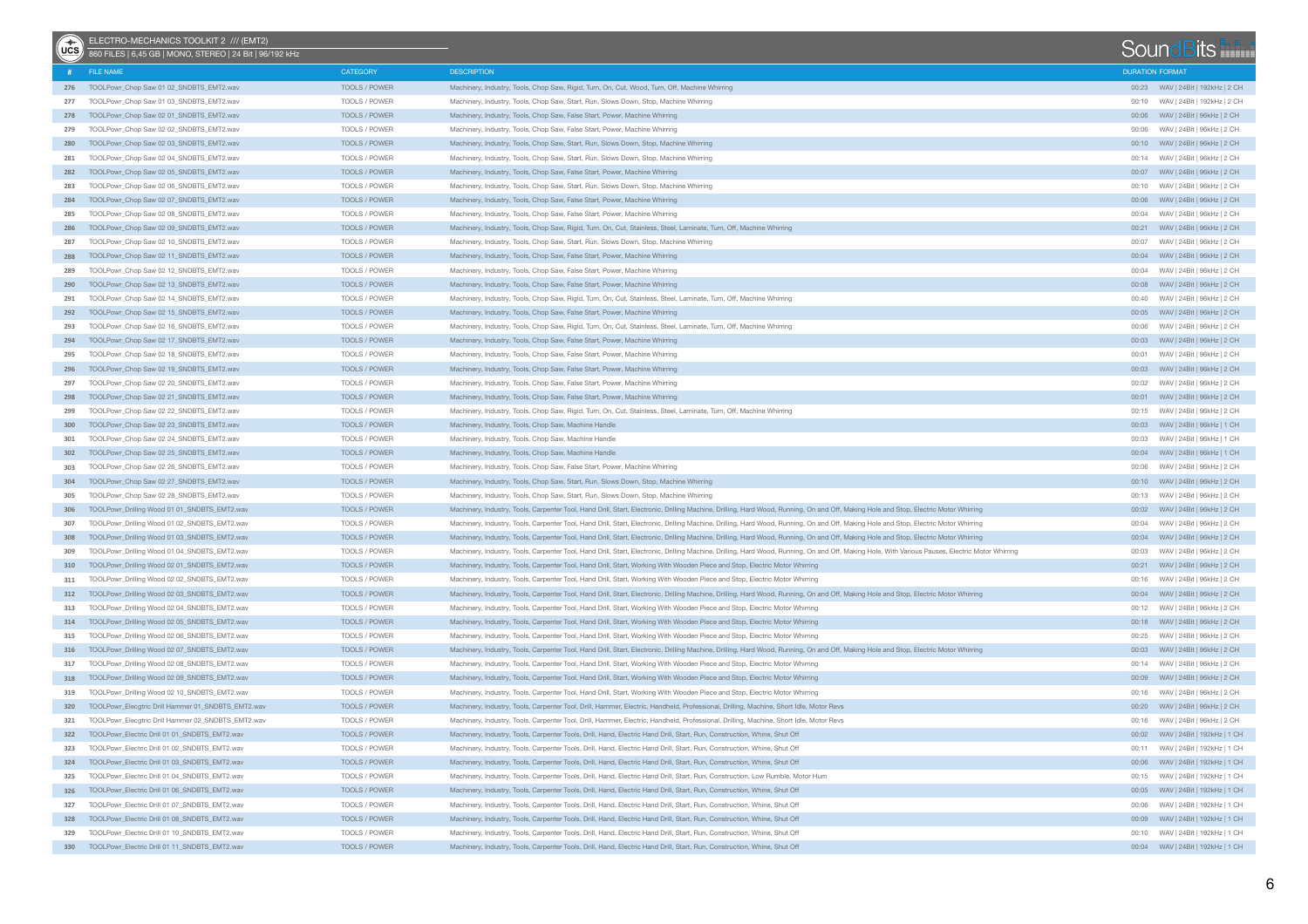| (ucs | ELECTRO-MECHANICS TOOLKIT 2 /// (EMT2)<br>860 FILES   6,45 GB   MONO, STEREO   24 Bit   96/192 kHz |                      |                                                                                                                                                                                                  |                        | SoundBits                         |
|------|----------------------------------------------------------------------------------------------------|----------------------|--------------------------------------------------------------------------------------------------------------------------------------------------------------------------------------------------|------------------------|-----------------------------------|
|      | FILE NAME                                                                                          | CATEGORY             | <b>DESCRIPTION</b>                                                                                                                                                                               | <b>DURATION FORMAT</b> |                                   |
|      | 276 TOOLPowr_Chop Saw 01 02_SNDBTS_EMT2.wav                                                        | TOOLS / POWER        | Machinery, Industry, Tools, Chop Saw, Rigid, Turn, On, Cut, Wood, Turn, Off, Machine Whirring                                                                                                    |                        | 00:23 WAV   24Bit   192kHz   2 CH |
| 277  | TOOLPowr Chop Saw 01 03 SNDBTS EMT2.wav                                                            | TOOLS / POWER        | Machinery, Industry, Tools, Chop Saw, Start, Run, Slows Down, Stop, Machine Whirring                                                                                                             | 00:10                  | WAV   24Bit   192kHz   2 CH       |
| 278  | TOOLPowr_Chop Saw 02 01_SNDBTS_EMT2.wav                                                            | TOOLS / POWER        | Machinery, Industry, Tools, Chop Saw, False Start, Power, Machine Whirring                                                                                                                       |                        |                                   |
| 279  | TOOLPowr_Chop Saw 02 02 SNDBTS_EMT2.wav                                                            | TOOLS / POWER        | Machinery, Industry, Tools, Chop Saw, False Start, Power, Machine Whirring                                                                                                                       | 00:06                  | WAV   24Bit   96kHz   2 CH        |
| 280  | TOOLPowr_Chop Saw 02 03_SNDBTS_EMT2.wav                                                            | TOOLS / POWER        | Machinery, Industry, Tools, Chop Saw, Start, Run, Slows Down, Stop, Machine Whirring                                                                                                             |                        | 00:10 WAV   24Bit   96kHz   2 CH  |
| 281  | TOOLPowr_Chop Saw 02 04_SNDBTS_EMT2.wav                                                            | TOOLS / POWER        | Machinery, Industry, Tools, Chop Saw, Start, Run, Slows Down, Stop, Machine Whirring                                                                                                             |                        | 00:14 WAV   24Bit   96kHz   2 CH  |
| 282  | TOOLPowr_Chop Saw 02 05_SNDBTS_EMT2.wav                                                            | TOOLS / POWER        | Machinery, Industry, Tools, Chop Saw, False Start, Power, Machine Whirring                                                                                                                       |                        |                                   |
| 283  | TOOLPowr_Chop Saw 02 06_SNDBTS_EMT2.wav                                                            | TOOLS / POWER        | Machinery, Industry, Tools, Chop Saw, Start, Run, Slows Down, Stop, Machine Whirring                                                                                                             |                        | 00:10 WAV   24Bit   96kHz   2 CH  |
| 284  | TOOLPowr_Chop Saw 02 07_SNDBTS_EMT2.wav                                                            | TOOLS / POWER        | Machinery, Industry, Tools, Chop Saw, False Start, Power, Machine Whirring                                                                                                                       |                        |                                   |
| 285  | TOOLPowr_Chop Saw 02 08_SNDBTS_EMT2.wav                                                            | TOOLS / POWER        | Machinery, Industry, Tools, Chop Saw, False Start, Power, Machine Whirring                                                                                                                       |                        | 00:04 WAV   24Bit   96kHz   2 CH  |
| 286  | TOOLPowr Chop Saw 02 09 SNDBTS EMT2.wav                                                            | TOOLS / POWER        | Machinery, Industry, Tools, Chop Saw, Rigid, Turn, On, Cut, Stainless, Steel, Laminate, Turn, Off, Machine Whirring                                                                              |                        |                                   |
| 287  | TOOLPowr_Chop Saw 02 10_SNDBTS_EMT2.wav                                                            | TOOLS / POWER        | Machinery, Industry, Tools, Chop Saw, Start, Run, Slows Down, Stop, Machine Whirring                                                                                                             | 00:07                  | WAV   24Bit   96kHz   2 CH        |
| 288  | TOOLPowr_Chop Saw 02 11_SNDBTS_EMT2.wav                                                            | TOOLS / POWER        | Machinery, Industry, Tools, Chop Saw, False Start, Power, Machine Whirring                                                                                                                       |                        | 00:04 WAV   24Bit   96kHz   2 CH  |
| 289  | TOOLPowr_Chop Saw 02 12_SNDBTS_EMT2.wav                                                            | TOOLS / POWER        | Machinery, Industry, Tools, Chop Saw, False Start, Power, Machine Whirring                                                                                                                       |                        | 00:04 WAV   24Bit   96kHz   2 CH  |
| 290  | TOOLPowr_Chop Saw 02 13_SNDBTS_EMT2.wav                                                            | TOOLS / POWER        | Machinery, Industry, Tools, Chop Saw, False Start, Power, Machine Whirring                                                                                                                       |                        |                                   |
| 291  | TOOLPowr_Chop Saw 02 14_SNDBTS_EMT2.wav                                                            | TOOLS / POWER        | Machinery, Industry, Tools, Chop Saw, Rigid, Turn, On, Cut, Stainless, Steel, Laminate, Turn, Off, Machine Whirring                                                                              |                        | 00:40 WAV   24Bit   96kHz   2 CH  |
| 292  | TOOLPowr_Chop Saw 02 15_SNDBTS_EMT2.wav                                                            | TOOLS / POWER        | Machinery, Industry, Tools, Chop Saw, False Start, Power, Machine Whirring                                                                                                                       |                        |                                   |
| 293  | TOOLPowr_Chop Saw 02 16_SNDBTS_EMT2.wav                                                            | TOOLS / POWER        | Machinery, Industry, Tools, Chop Saw, Rigid, Turn, On, Cut, Stainless, Steel, Laminate, Turn, Off, Machine Whirring                                                                              |                        | 00:06 WAV   24Bit   96kHz   2 CH  |
|      | 294 TOOLPowr_Chop Saw 02 17 SNDBTS_EMT2.wav                                                        | TOOLS / POWER        | Machinery, Industry, Tools, Chop Saw, False Start, Power, Machine Whirring                                                                                                                       |                        | 00:03 WAV   24Bit   96kHz   2 CH  |
| 295  | TOOLPowr_Chop Saw 02 18 SNDBTS_EMT2.wav                                                            | TOOLS / POWER        | Machinery, Industry, Tools, Chop Saw, False Start, Power, Machine Whirring                                                                                                                       |                        |                                   |
| 296  | TOOLPowr_Chop Saw 02 19 SNDBTS_EMT2.wav                                                            | TOOLS / POWER        | Machinery, Industry, Tools, Chop Saw, False Start, Power, Machine Whirring                                                                                                                       |                        | 00:03 WAV   24Bit   96kHz   2 CH  |
| 297  | TOOLPowr Chop Saw 02 20 SNDBTS EMT2.wav                                                            | TOOLS / POWER        | Machinery, Industry, Tools, Chop Saw, False Start, Power, Machine Whirring                                                                                                                       |                        |                                   |
| 298  | TOOLPowr_Chop Saw 02 21_SNDBTS_EMT2.wav                                                            | TOOLS / POWER        | Machinery, Industry, Tools, Chop Saw, False Start, Power, Machine Whirring                                                                                                                       |                        |                                   |
| 299  | TOOLPowr_Chop Saw 02 22_SNDBTS_EMT2.wav                                                            | TOOLS / POWER        | Machinery, Industry, Tools, Chop Saw, Rigid, Turn, On, Cut, Stainless, Steel, Laminate, Turn, Off, Machine Whirring                                                                              |                        | 00:15 WAV   24Bit   96kHz   2 CH  |
| 300  | TOOLPowr_Chop Saw 02 23 SNDBTS_EMT2.wav                                                            | TOOLS / POWER        | Machinery, Industry, Tools, Chop Saw, Machine Handle                                                                                                                                             |                        |                                   |
| 301  | TOOLPowr Chop Saw 02 24 SNDBTS EMT2.wav                                                            | TOOLS / POWER        | Machinery, Industry, Tools, Chop Saw, Machine Handle                                                                                                                                             |                        | 00:03 WAV   24Bit   96kHz   1 CH  |
| 302  | TOOLPowr_Chop Saw 02 25 SNDBTS_EMT2.wav                                                            | TOOLS / POWER        | Machinery, Industry, Tools, Chop Saw, Machine Handle                                                                                                                                             |                        | 00:04 WAV   24Bit   96kHz   1 CH  |
| 303  | TOOLPowr_Chop Saw 02 26_SNDBTS_EMT2.wav                                                            | TOOLS / POWER        | Machinery, Industry, Tools, Chop Saw, False Start, Power, Machine Whirring                                                                                                                       |                        |                                   |
| 304  | TOOLPowr_Chop Saw 02 27_SNDBTS_EMT2.wav                                                            | TOOLS / POWER        | Machinery, Industry, Tools, Chop Saw, Start, Run, Slows Down, Stop, Machine Whirring                                                                                                             |                        | 00:10 WAV   24Bit   96kHz   2 CH  |
| 305  | TOOLPowr_Chop Saw 02 28_SNDBTS_EMT2.wav                                                            | TOOLS / POWER        | Machinery, Industry, Tools, Chop Saw, Start, Run, Slows Down, Stop, Machine Whirring                                                                                                             |                        | 00:13 WAV   24Bit   96kHz   2 CH  |
| 306  | TOOLPowr_Drilling Wood 01 01_SNDBTS_EMT2.wav                                                       | TOOLS / POWER        | Machinery, Industry, Tools, Carpenter Tool, Hand Drill, Start, Electronic, Drilling Machine, Drilling, Hard Wood, Running, On and Off, Making Hole and Stop, Electric Motor Whirring             |                        |                                   |
| 307  | TOOLPowr_Drilling Wood 01 02_SNDBTS_EMT2.wav                                                       | TOOLS / POWER        | Machinery, Industry, Tools, Carpenter Tool, Hand Drill, Start, Electronic, Drilling Machine, Drilling, Hard Wood, Running, On and Off, Making Hole and Stop, Electric Motor Whirring             | 00:04                  | WAV   24Bit   96kHz   2 CH        |
| 308  | TOOLPowr_Drilling Wood 01 03_SNDBTS_EMT2.wav                                                       | TOOLS / POWER        | Machinery, Industry, Tools, Carpenter Tool, Hand Drill, Start, Electronic, Drilling Machine, Drilling, Hard Wood, Running, On and Off, Making Hole and Stop, Electric Motor Whirring             |                        | 00:04 WAV   24Bit   96kHz   2 CH  |
| 309  | TOOLPowr_Drilling Wood 01 04_SNDBTS_EMT2.wav                                                       | TOOLS / POWER        | Machinery, Industry, Tools, Carpenter Tool, Hand Drill, Start, Electronic, Drilling Machine, Drilling, Hard Wood, Running, On and Off, Making Hole, With Various Pauses, Electric Motor Whirring | 00:03                  | WAV   24Bit   96kHz   2 CH        |
| 310  | TOOLPowr_Drilling Wood 02 01_SNDBTS_EMT2.wav                                                       | TOOLS / POWER        | Machinery, Industry, Tools, Carpenter Tool, Hand Drill, Start, Working With Wooden Piece and Stop, Electric Motor Whirring                                                                       |                        |                                   |
| 311  | TOOLPowr_Drilling Wood 02 02_SNDBTS_EMT2.wav                                                       | TOOLS / POWER        | Machinery, Industry, Tools, Carpenter Tool, Hand Drill, Start, Working With Wooden Piece and Stop, Electric Motor Whirring                                                                       | 00:16                  | WAV   24Bit   96kHz   2 CH        |
| 312  | TOOLPowr_Drilling Wood 02 03_SNDBTS_EMT2.wav                                                       | TOOLS / POWER        | Machinery, Industry, Tools, Carpenter Tool, Hand Drill, Start, Electronic, Drilling Machine, Drilling, Hard Wood, Running, On and Off, Making Hole and Stop, Electric Motor Whirring             |                        | 00:04 WAV   24Bit   96kHz   2 CH  |
| 313  | TOOLPowr_Drilling Wood 02 04_SNDBTS_EMT2.wav                                                       | TOOLS / POWER        | Machinery, Industry, Tools, Carpenter Tool, Hand Drill, Start, Working With Wooden Piece and Stop, Electric Motor Whirring                                                                       |                        |                                   |
| 314  | TOOLPowr_Drilling Wood 02 05_SNDBTS_EMT2.wav                                                       | TOOLS / POWER        | Machinery, Industry, Tools, Carpenter Tool, Hand Drill, Start, Working With Wooden Piece and Stop, Electric Motor Whirring                                                                       |                        |                                   |
| 315  | TOOLPowr Drilling Wood 02 06 SNDBTS EMT2.wav                                                       | TOOLS / POWER        | Machinery, Industry, Tools, Carpenter Tool, Hand Drill, Start, Working With Wooden Piece and Stop, Electric Motor Whirring                                                                       |                        | WAV   24Bit   96kHz   2 CH        |
|      | 316 TOOLPowr_Drilling Wood 02 07_SNDBTS_EMT2.wav                                                   | TOOLS / POWER        | Machinery, Industry, Tools, Carpenter Tool, Hand Drill, Start, Electronic, Drilling Machine, Drilling, Hard Wood, Running, On and Off, Making Hole and Stop, Electric Motor Whirring             |                        | 00:03 WAV   24Bit   96kHz   2 CH  |
| 317  | TOOLPowr_Drilling Wood 02 08_SNDBTS_EMT2.wav                                                       | TOOLS / POWER        | Machinery, Industry, Tools, Carpenter Tool, Hand Drill, Start, Working With Wooden Piece and Stop, Electric Motor Whirring                                                                       | 00:14                  | WAV   24Bit   96kHz   2 CH        |
| 318  | TOOLPowr_Drilling Wood 02 09_SNDBTS_EMT2.wav                                                       | TOOLS / POWER        | Machinery, Industry, Tools, Carpenter Tool, Hand Drill, Start, Working With Wooden Piece and Stop, Electric Motor Whirring                                                                       |                        | 00:09 WAV   24Bit   96kHz   2 CH  |
| 319  | TOOLPowr_Drilling Wood 02 10_SNDBTS_EMT2.wav                                                       | TOOLS / POWER        | Machinery, Industry, Tools, Carpenter Tool, Hand Drill, Start, Working With Wooden Piece and Stop, Electric Motor Whirring                                                                       |                        | WAV   24Bit   96kHz   2 CH        |
|      | 320 TOOLPowr_Elecgtric Drill Hammer 01_SNDBTS_EMT2.wav                                             | <b>TOOLS / POWER</b> | Machinery, Industry, Tools, Carpenter Tool, Drill, Hammer, Electric, Handheld, Professional, Drilling, Machine, Short Idle, Motor Revs                                                           |                        | 00:20 WAV   24Bit   96kHz   2 CH  |
| 321  | TOOLPowr_Elecgtric Drill Hammer 02_SNDBTS_EMT2.wav                                                 | TOOLS / POWER        | Machinery, Industry, Tools, Carpenter Tool, Drill, Hammer, Electric, Handheld, Professional, Drilling, Machine, Short Idle, Motor Revs                                                           | 00:16                  | WAV   24Bit   96kHz   2 CH        |
|      | 322 TOOLPowr_Electric Drill 01 01_SNDBTS_EMT2.wav                                                  | TOOLS / POWER        | Machinery, Industry, Tools, Carpenter Tools, Drill, Hand, Electric Hand Drill, Start, Run, Construction, Whine, Shut Off                                                                         |                        |                                   |
| 323  | TOOLPowr_Electric Drill 01 02_SNDBTS_EMT2.wav                                                      | TOOLS / POWER        | Machinery, Industry, Tools, Carpenter Tools, Drill, Hand, Electric Hand Drill, Start, Run, Construction, Whine, Shut Off                                                                         |                        | 00:11 WAV   24Bit   192kHz   1 CH |
|      | 324 TOOLPowr Electric Drill 01 03 SNDBTS EMT2.wav                                                  | TOOLS / POWER        | Machinery, Industry, Tools, Carpenter Tools, Drill, Hand, Electric Hand Drill, Start, Run, Construction, Whine, Shut Off                                                                         |                        |                                   |
| 325  | TOOLPowr_Electric Drill 01 04 SNDBTS_EMT2.wav                                                      | TOOLS / POWER        | Machinery, Industry, Tools, Carpenter Tools, Drill, Hand, Electric Hand Drill, Start, Run, Construction, Low Rumble, Motor Hum                                                                   |                        | 00:15 WAV   24Bit   192kHz   1 CH |
| 326  | TOOLPowr_Electric Drill 01 06 SNDBTS_EMT2.wav                                                      | TOOLS / POWER        | Machinery, Industry, Tools, Carpenter Tools, Drill, Hand, Electric Hand Drill, Start, Run, Construction, Whine, Shut Off                                                                         |                        | 00:05 WAV   24Bit   192kHz   1 CH |
|      | 327 TOOLPowr_Electric Drill 01 07_SNDBTS_EMT2.wav                                                  | TOOLS / POWER        | Machinery, Industry, Tools, Carpenter Tools, Drill, Hand, Electric Hand Drill, Start, Run, Construction, Whine, Shut Off                                                                         | 00:06                  | WAV   24Bit   192kHz   1 CH       |
| 328  | TOOLPowr_Electric Drill 01 08_SNDBTS_EMT2.wav                                                      | TOOLS / POWER        | Machinery, Industry, Tools, Carpenter Tools, Drill, Hand, Electric Hand Drill, Start, Run, Construction, Whine, Shut Off                                                                         |                        |                                   |
| 329  | TOOLPowr_Electric Drill 01 10_SNDBTS_EMT2.wav                                                      | TOOLS / POWER        | Machinery, Industry, Tools, Carpenter Tools, Drill, Hand, Electric Hand Drill, Start, Run, Construction, Whine, Shut Off                                                                         |                        | 00:10 WAV   24Bit   192kHz   1 CH |
|      | 330 TOOLPowr_Electric Drill 01 11_SNDBTS_EMT2.wav                                                  | TOOLS / POWER        | Machinery, Industry, Tools, Carpenter Tools, Drill, Hand, Electric Hand Drill, Start, Run, Construction, Whine, Shut Off                                                                         |                        | 00:04 WAV   24Bit   192kHz   1 CH |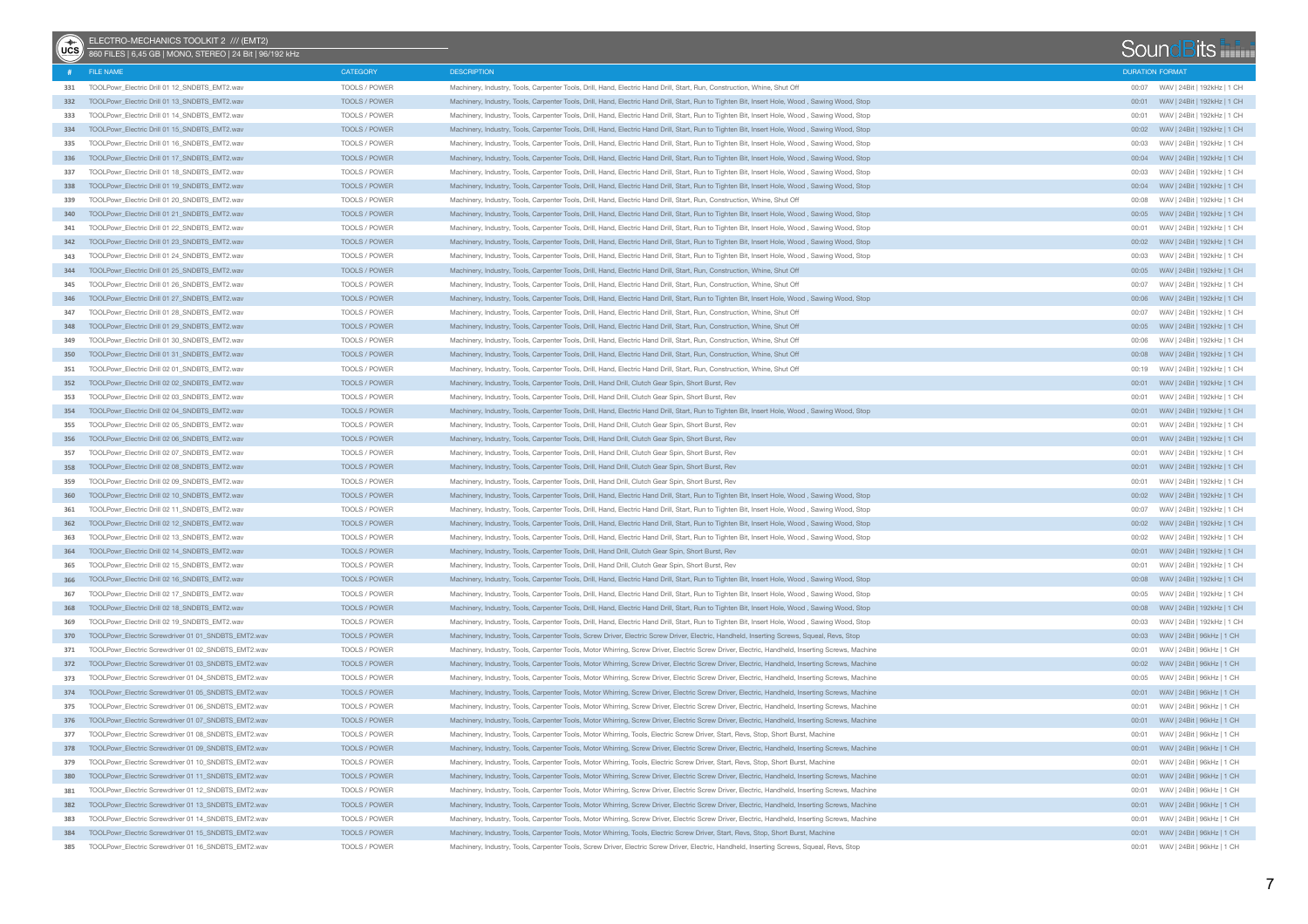| $\sqrt{\frac{1}{10}}$ | ELECTRO-MECHANICS TOOLKIT 2 /// (EMT2)<br>860 FILES   6,45 GB   MONO, STEREO   24 Bit   96/192 kHz |               |                                                                                                                                                 | SoundBits              |                                       |                             |  |
|-----------------------|----------------------------------------------------------------------------------------------------|---------------|-------------------------------------------------------------------------------------------------------------------------------------------------|------------------------|---------------------------------------|-----------------------------|--|
|                       | FILE NAME                                                                                          | CATEGORY      | <b>DESCRIPTION</b>                                                                                                                              | <b>DURATION FORMAT</b> |                                       |                             |  |
|                       | 331 TOOLPowr_Electric Drill 01 12_SNDBTS_EMT2.wav                                                  | TOOLS / POWER | Machinery, Industry, Tools, Carpenter Tools, Drill, Hand, Electric Hand Drill, Start, Run, Construction, Whine, Shut Off                        |                        | 00:07 WAV   24Bit   192kHz   1 CH     |                             |  |
| 332                   | TOOLPowr_Electric Drill 01 13_SNDBTS_EMT2.wav                                                      | TOOLS / POWER | Machinery, Industry, Tools, Carpenter Tools, Drill, Hand, Electric Hand Drill, Start, Run to Tighten Bit, Insert Hole, Wood, Sawing Wood, Stop  | 00:01                  | WAV   24Bit   192kHz   1 CH           |                             |  |
| 333                   | TOOLPowr_Electric Drill 01 14 SNDBTS_EMT2.wav                                                      | TOOLS / POWER | Machinery, Industry, Tools, Carpenter Tools, Drill, Hand, Electric Hand Drill, Start, Run to Tighten Bit, Insert Hole, Wood, Sawing Wood, Stop  | 00:01                  | WAV   24Bit   192kHz   1 CH           |                             |  |
| 334                   | TOOLPowr Electric Drill 01 15 SNDBTS EMT2.wav                                                      | TOOLS / POWER | Machinery, Industry, Tools, Carpenter Tools, Drill, Hand, Electric Hand Drill, Start, Run to Tighten Bit, Insert Hole, Wood, Sawing Wood, Stop  |                        |                                       |                             |  |
| 335                   | TOOLPowr Electric Drill 01 16 SNDBTS EMT2.way                                                      | TOOLS / POWER | Machinery, Industry, Tools, Carpenter Tools, Drill, Hand, Electric Hand Drill, Start, Run to Tighten Bit, Insert Hole, Wood, Sawing Wood, Stop  | 00:03                  | WAV   24Bit   192kHz   1 CH           |                             |  |
| 336                   | TOOLPowr_Electric Drill 01 17_SNDBTS_EMT2.wav                                                      | TOOLS / POWER | Machinery, Industry, Tools, Carpenter Tools, Drill, Hand, Electric Hand Drill, Start, Run to Tighten Bit, Insert Hole, Wood, Sawing Wood, Stop  |                        | 00:04 WAV   24Bit   192kHz   1 CH     |                             |  |
| 337                   | TOOLPowr Electric Drill 01 18 SNDBTS EMT2.wav                                                      | TOOLS / POWER | Machinery, Industry, Tools, Carpenter Tools, Drill, Hand, Electric Hand Drill, Start, Run to Tighten Bit, Insert Hole, Wood, Sawing Wood, Stop  | 00:03                  | WAV   24Bit   192kHz   1 CH           |                             |  |
| 338                   | TOOLPowr_Electric Drill 01 19_SNDBTS_EMT2.wav                                                      | TOOLS / POWER | Machinery, Industry, Tools, Carpenter Tools, Drill, Hand, Electric Hand Drill, Start, Run to Tighten Bit, Insert Hole, Wood, Sawing Wood, Stop  |                        | 00:04 WAV   24Bit   192kHz   1 CH     |                             |  |
| 339                   | TOOLPowr_Electric Drill 01 20_SNDBTS_EMT2.wav                                                      | TOOLS / POWER | Machinery, Industry, Tools, Carpenter Tools, Drill, Hand, Electric Hand Drill, Start, Run, Construction, Whine, Shut Off                        | 00:08                  | WAV   24Bit   192kHz   1 CH           |                             |  |
| 340                   | TOOLPowr_Electric Drill 01 21_SNDBTS_EMT2.wav                                                      | TOOLS / POWER | Machinery, Industry, Tools, Carpenter Tools, Drill, Hand, Electric Hand Drill, Start, Run to Tighten Bit, Insert Hole, Wood, Sawing Wood, Stop  |                        |                                       |                             |  |
| 341                   | TOOLPowr_Electric Drill 01 22_SNDBTS_EMT2.wav                                                      | TOOLS / POWER | Machinery, Industry, Tools, Carpenter Tools, Drill, Hand, Electric Hand Drill, Start, Run to Tighten Bit, Insert Hole, Wood, Sawing Wood, Stop  | 00:01                  |                                       | WAV   24Bit   192kHz   1 CH |  |
| 342                   | TOOLPowr_Electric Drill 01 23_SNDBTS_EMT2.wav                                                      | TOOLS / POWER | Machinery, Industry, Tools, Carpenter Tools, Drill, Hand, Electric Hand Drill, Start, Run to Tighten Bit, Insert Hole, Wood, Sawing Wood, Stop  |                        | 00:02     WAV   24Bit   192kHz   1 CH |                             |  |
| 343                   | TOOLPowr_Electric Drill 01 24 SNDBTS_EMT2.wav                                                      | TOOLS / POWER | Machinery, Industry, Tools, Carpenter Tools, Drill, Hand, Electric Hand Drill, Start, Run to Tighten Bit, Insert Hole, Wood, Sawing Wood, Stop  | 00:03                  | WAV   24Bit   192kHz   1 CH           |                             |  |
| 344                   | TOOLPowr_Electric Drill 01 25_SNDBTS_EMT2.wav                                                      | TOOLS / POWER | Machinery, Industry, Tools, Carpenter Tools, Drill, Hand, Electric Hand Drill, Start, Run, Construction, Whine, Shut Off                        |                        |                                       |                             |  |
| 345                   | TOOLPowr_Electric Drill 01 26_SNDBTS_EMT2.wav                                                      | TOOLS / POWER | Machinery, Industry, Tools, Carpenter Tools, Drill, Hand, Electric Hand Drill, Start, Run, Construction, Whine, Shut Off                        | 00:07                  | WAV   24Bit   192kHz   1 CH           |                             |  |
| 346                   | TOOLPowr_Electric Drill 01 27_SNDBTS_EMT2.wav                                                      | TOOLS / POWER | Machinery, Industry, Tools, Carpenter Tools, Drill, Hand, Electric Hand Drill, Start, Run to Tighten Bit, Insert Hole, Wood, Sawing Wood, Stop  |                        |                                       |                             |  |
| 347                   | TOOLPowr_Electric Drill 01 28_SNDBTS_EMT2.wav                                                      | TOOLS / POWER | Machinery, Industry, Tools, Carpenter Tools, Drill, Hand, Electric Hand Drill, Start, Run, Construction, Whine, Shut Off                        | 00:07                  | WAV   24Bit   192kHz   1 CH           |                             |  |
| 348                   | TOOLPowr_Electric Drill 01 29_SNDBTS_EMT2.wav                                                      | TOOLS / POWER | Machinery, Industry, Tools, Carpenter Tools, Drill, Hand, Electric Hand Drill, Start, Run, Construction, Whine, Shut Off                        |                        |                                       |                             |  |
| 349                   | TOOLPowr_Electric Drill 01 30_SNDBTS_EMT2.wav                                                      | TOOLS / POWER | Machinery, Industry, Tools, Carpenter Tools, Drill, Hand, Electric Hand Drill, Start, Run, Construction, Whine, Shut Off                        | 00:06                  | WAV   24Bit   192kHz   1 CH           |                             |  |
| 350                   | TOOLPowr Electric Drill 01 31 SNDBTS EMT2.wav                                                      | TOOLS / POWER | Machinery, Industry, Tools, Carpenter Tools, Drill, Hand, Electric Hand Drill, Start, Run, Construction, Whine, Shut Off                        |                        |                                       |                             |  |
| 351                   | TOOLPowr_Electric Drill 02 01_SNDBTS_EMT2.wav                                                      | TOOLS / POWER | Machinery, Industry, Tools, Carpenter Tools, Drill, Hand, Electric Hand Drill, Start, Run, Construction, Whine, Shut Off                        | 00:19                  | WAV   24Bit   192kHz   1 CH           |                             |  |
| 352                   | TOOLPowr_Electric Drill 02 02 SNDBTS_EMT2.wav                                                      | TOOLS / POWER | Machinery, Industry, Tools, Carpenter Tools, Drill, Hand Drill, Clutch Gear Spin, Short Burst, Rev                                              |                        |                                       |                             |  |
| 353                   | TOOLPowr_Electric Drill 02 03 SNDBTS_EMT2.wav                                                      | TOOLS / POWER | Machinery, Industry, Tools, Carpenter Tools, Drill, Hand Drill, Clutch Gear Spin, Short Burst, Rev                                              | 00:01                  | WAV   24Bit   192kHz   1 CH           |                             |  |
| 354                   | TOOLPowr Electric Drill 02 04 SNDBTS EMT2.wav                                                      | TOOLS / POWER | Machinery, Industry, Tools, Carpenter Tools, Drill, Hand, Electric Hand Drill, Start, Run to Tighten Bit, Insert Hole, Wood, Sawing Wood, Stop  |                        |                                       |                             |  |
| 355                   | TOOLPowr_Electric Drill 02 05 SNDBTS_EMT2.wav                                                      | TOOLS / POWER | Machinery, Industry, Tools, Carpenter Tools, Drill, Hand Drill, Clutch Gear Spin, Short Burst, Rev                                              | 00:01                  | WAV   24Bit   192kHz   1 CH           |                             |  |
| 356                   | TOOLPowr_Electric Drill 02 06 SNDBTS_EMT2.wav                                                      | TOOLS / POWER | Machinery, Industry, Tools, Carpenter Tools, Drill, Hand Drill, Clutch Gear Spin, Short Burst, Rev                                              |                        |                                       |                             |  |
| 357                   | TOOLPowr_Electric Drill 02 07_SNDBTS_EMT2.wav                                                      | TOOLS / POWER | Machinery, Industry, Tools, Carpenter Tools, Drill, Hand Drill, Clutch Gear Spin, Short Burst, Rev                                              | 00:01                  | WAV   24Bit   192kHz   1 CH           |                             |  |
| 358                   | TOOLPowr Electric Drill 02 08 SNDBTS EMT2.wav                                                      | TOOLS / POWER | Machinery, Industry, Tools, Carpenter Tools, Drill, Hand Drill, Clutch Gear Spin, Short Burst, Rev                                              |                        |                                       |                             |  |
| 359                   | TOOLPowr_Electric Drill 02 09_SNDBTS_EMT2.wav                                                      | TOOLS / POWER | Machinery, Industry, Tools, Carpenter Tools, Drill, Hand Drill, Clutch Gear Spin, Short Burst, Rev                                              | 00:01                  | WAV   24Bit   192kHz   1 CH           |                             |  |
| 360                   | TOOLPowr_Electric Drill 02 10_SNDBTS_EMT2.wav                                                      | TOOLS / POWER | Machinery, Industry, Tools, Carpenter Tools, Drill, Hand, Electric Hand Drill, Start, Run to Tighten Bit, Insert Hole, Wood, Sawing Wood, Stop  |                        |                                       |                             |  |
| 361                   | TOOLPowr_Electric Drill 02 11_SNDBTS_EMT2.wav                                                      | TOOLS / POWER | Machinery, Industry, Tools, Carpenter Tools, Drill, Hand, Electric Hand Drill, Start, Run to Tighten Bit, Insert Hole, Wood, Sawing Wood, Stop  | 00:07                  | WAV   24Bit   192kHz   1 CH           |                             |  |
| 362                   | TOOLPowr_Electric Drill 02 12_SNDBTS_EMT2.wav                                                      | TOOLS / POWER | Machinery, Industry, Tools, Carpenter Tools, Drill, Hand, Electric Hand Drill, Start, Run to Tighten Bit, Insert Hole, Wood, Sawing Wood, Stop  |                        | 00:02     WAV   24Bit   192kHz   1 CH |                             |  |
| 363                   | TOOLPowr_Electric Drill 02 13_SNDBTS_EMT2.wav                                                      | TOOLS / POWER | Machinery, Industry, Tools, Carpenter Tools, Drill, Hand, Electric Hand Drill, Start, Run to Tighten Bit, Insert Hole, Wood, Sawing Wood, Stop  | 00:02                  |                                       | WAV   24Bit   192kHz   1 CH |  |
| 364                   | TOOLPowr_Electric Drill 02 14_SNDBTS_EMT2.wav                                                      | TOOLS / POWER | Machinery, Industry, Tools, Carpenter Tools, Drill, Hand Drill, Clutch Gear Spin, Short Burst, Rev                                              |                        |                                       |                             |  |
| 365                   | TOOLPowr_Electric Drill 02 15_SNDBTS_EMT2.wav                                                      | TOOLS / POWER | Machinery, Industry, Tools, Carpenter Tools, Drill, Hand Drill, Clutch Gear Spin, Short Burst, Rev                                              | 00:01                  |                                       | WAV   24Bit   192kHz   1 CH |  |
| 366                   | TOOLPowr_Electric Drill 02 16_SNDBTS_EMT2.wav                                                      | TOOLS / POWER | Machinery, Industry, Tools, Carpenter Tools, Drill, Hand, Electric Hand Drill, Start, Run to Tighten Bit, Insert Hole, Wood, Sawing Wood, Stop  |                        |                                       |                             |  |
| 367                   | TOOLPowr_Electric Drill 02 17_SNDBTS_EMT2.wav                                                      | TOOLS / POWER | Machinery, Industry, Tools, Carpenter Tools, Drill, Hand, Electric Hand Drill, Start, Run to Tighten Bit, Insert Hole, Wood, Sawing Wood, Stop  | 00:05                  |                                       | WAV   24Bit   192kHz   1 CH |  |
| 368                   | TOOLPowr_Electric Drill 02 18_SNDBTS_EMT2.wav                                                      | TOOLS / POWER | Machinery, Industry, Tools, Carpenter Tools, Drill, Hand, Electric Hand Drill, Start, Run to Tighten Bit, Insert Hole, Wood , Sawing Wood, Stop |                        |                                       |                             |  |
| 369                   | TOOLPowr Electric Drill 02 19 SNDBTS EMT2.wav                                                      | TOOLS / POWER | Machinery, Industry, Tools, Carpenter Tools, Drill, Hand, Electric Hand Drill, Start, Run to Tighten Bit, Insert Hole, Wood, Sawing Wood, Stop  | 00:03                  |                                       | WAV   24Bit   192kHz   1 CH |  |
|                       | 370 TOOLPowr_Electric Screwdriver 01 01_SNDBTS_EMT2.wav                                            | TOOLS / POWER | Machinery, Industry, Tools, Carpenter Tools, Screw Driver, Electric Screw Driver, Electric, Handheld, Inserting Screws, Squeal, Revs, Stop      |                        | 00:03 WAV   24Bit   96kHz   1 CH      |                             |  |
| 371                   | TOOLPowr Electric Screwdriver 01 02 SNDBTS EMT2.wav                                                | TOOLS / POWER | Machinery, Industry, Tools, Carpenter Tools, Motor Whirring, Screw Driver, Electric Screw Driver, Electric, Handheld, Inserting Screws, Machine | 00:01                  |                                       | WAV   24Bit   96kHz   1 CH  |  |
|                       | 372 TOOLPowr_Electric Screwdriver 01 03_SNDBTS_EMT2.wav                                            | TOOLS / POWER | Machinery, Industry, Tools, Carpenter Tools, Motor Whirring, Screw Driver, Electric Screw Driver, Electric, Handheld, Inserting Screws, Machine |                        |                                       |                             |  |
| 373                   | TOOLPowr_Electric Screwdriver 01 04_SNDBTS_EMT2.wav                                                | TOOLS / POWER | Machinery, Industry, Tools, Carpenter Tools, Motor Whirring, Screw Driver, Electric Screw Driver, Electric, Handheld, Inserting Screws, Machine | 00:05                  |                                       | WAV   24Bit   96kHz   1 CH  |  |
| 374                   | TOOLPowr_Electric Screwdriver 01 05_SNDBTS_EMT2.wav                                                | TOOLS / POWER | Machinery, Industry, Tools, Carpenter Tools, Motor Whirring, Screw Driver, Electric Screw Driver, Electric, Handheld, Inserting Screws, Machine |                        |                                       |                             |  |
| 375                   | TOOLPowr Electric Screwdriver 01 06 SNDBTS EMT2.wav                                                | TOOLS / POWER | Machinery, Industry, Tools, Carpenter Tools, Motor Whirring, Screw Driver, Electric Screw Driver, Electric, Handheld, Inserting Screws, Machine | 00:01                  | WAV   24Bit   96kHz   1 CH            |                             |  |
| 376                   | TOOLPowr_Electric Screwdriver 01 07_SNDBTS_EMT2.wav                                                | TOOLS / POWER | Machinery, Industry, Tools, Carpenter Tools, Motor Whirring, Screw Driver, Electric Screw Driver, Electric, Handheld, Inserting Screws, Machine |                        |                                       |                             |  |
|                       | 377 TOOLPowr_Electric Screwdriver 01 08 SNDBTS_EMT2.wav                                            | TOOLS / POWER | Machinery, Industry, Tools, Carpenter Tools, Motor Whirring, Tools, Electric Screw Driver, Start, Revs, Stop, Short Burst, Machine              |                        |                                       |                             |  |
|                       | 378 TOOLPowr Electric Screwdriver 01 09 SNDBTS EMT2.wav                                            | TOOLS / POWER | Machinery, Industry, Tools, Carpenter Tools, Motor Whirring, Screw Driver, Electric Screw Driver, Electric, Handheld, Inserting Screws, Machine |                        |                                       |                             |  |
| 379                   | TOOLPowr_Electric Screwdriver 01 10_SNDBTS_EMT2.wav                                                | TOOLS / POWER | Machinery, Industry, Tools, Carpenter Tools, Motor Whirring, Tools, Electric Screw Driver, Start, Revs, Stop, Short Burst, Machine              | 00:01                  | WAV   24Bit   96kHz   1 CH            |                             |  |
|                       | 380 TOOLPowr_Electric Screwdriver 01 11_SNDBTS_EMT2.wav                                            | TOOLS / POWER | Machinery, Industry, Tools, Carpenter Tools, Motor Whirring, Screw Driver, Electric Screw Driver, Electric, Handheld, Inserting Screws, Machine |                        |                                       |                             |  |
| 381                   | TOOLPowr_Electric Screwdriver 01 12_SNDBTS_EMT2.wav                                                | TOOLS / POWER | Machinery, Industry, Tools, Carpenter Tools, Motor Whirring, Screw Driver, Electric Screw Driver, Electric, Handheld, Inserting Screws, Machine | 00:01                  | WAV   24Bit   96kHz   1 CH            |                             |  |
| 382                   | TOOLPowr_Electric Screwdriver 01 13_SNDBTS_EMT2.wav                                                | TOOLS / POWER | Machinery, Industry, Tools, Carpenter Tools, Motor Whirring, Screw Driver, Electric Screw Driver, Electric, Handheld, Inserting Screws, Machine |                        |                                       |                             |  |
| 383                   | TOOLPowr Electric Screwdriver 01 14 SNDBTS EMT2.wav                                                | TOOLS / POWER | Machinery, Industry, Tools, Carpenter Tools, Motor Whirring, Screw Driver, Electric Screw Driver, Electric, Handheld, Inserting Screws, Machine | 00:01                  | WAV   24Bit   96kHz   1 CH            |                             |  |
| 384                   | TOOLPowr_Electric Screwdriver 01 15_SNDBTS_EMT2.wav                                                | TOOLS / POWER | Machinery, Industry, Tools, Carpenter Tools, Motor Whirring, Tools, Electric Screw Driver, Start, Revs, Stop, Short Burst, Machine              |                        |                                       |                             |  |
|                       | 385 TOOLPowr_Electric Screwdriver 01 16_SNDBTS_EMT2.wav                                            | TOOLS / POWER | Machinery, Industry, Tools, Carpenter Tools, Screw Driver, Electric Screw Driver, Electric, Handheld, Inserting Screws, Squeal, Revs, Stop      |                        |                                       |                             |  |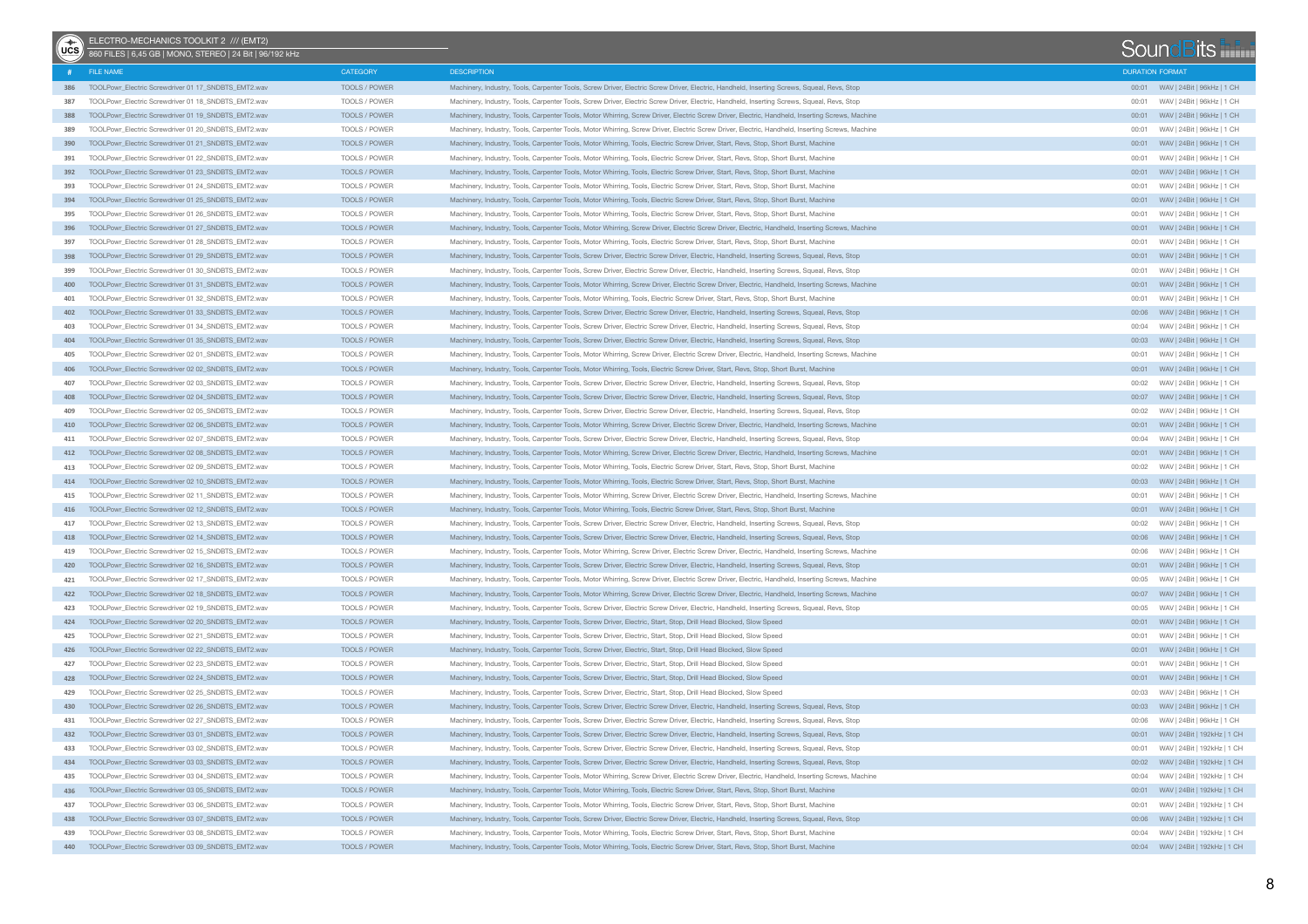| (G <sub>c</sub> ) | ELECTRO-MECHANICS TOOLKIT 2 /// (EMT2)<br>860 FILES   6,45 GB   MONO, STEREO   24 Bit   96/192 kHz |                      |                                                                                                                                                 |                        | SoundBits                            |  |
|-------------------|----------------------------------------------------------------------------------------------------|----------------------|-------------------------------------------------------------------------------------------------------------------------------------------------|------------------------|--------------------------------------|--|
| #                 | FILE NAME                                                                                          | CATEGORY             | <b>DESCRIPTION</b>                                                                                                                              | <b>DURATION FORMAT</b> |                                      |  |
|                   | 386 TOOLPowr Electric Screwdriver 01 17 SNDBTS EMT2.wav                                            | TOOLS / POWER        | Machinery, Industry, Tools, Carpenter Tools, Screw Driver, Electric Screw Driver, Electric, Handheld, Inserting Screws, Squeal, Revs, Stop      |                        |                                      |  |
| 387               | TOOLPowr Electric Screwdriver 01 18 SNDBTS EMT2.wav                                                | TOOLS / POWER        | Machinery, Industry, Tools, Carpenter Tools, Screw Driver, Electric Screw Driver, Electric, Handheld, Inserting Screws, Squeal, Revs, Stop      | 00:01                  | WAV   24Bit   96kHz   1 CH           |  |
| 388               | TOOLPowr Electric Screwdriver 01 19 SNDBTS EMT2.wav                                                | <b>TOOLS / POWER</b> | Machinery, Industry, Tools, Carpenter Tools, Motor Whirring, Screw Driver, Electric Screw Driver, Electric, Handheld, Inserting Screws, Machine |                        |                                      |  |
| 389               | TOOLPowr Electric Screwdriver 01 20 SNDBTS EMT2.wav                                                | TOOLS / POWER        | Machinery, Industry, Tools, Carpenter Tools, Motor Whirring, Screw Driver, Electric Screw Driver, Electric, Handheld, Inserting Screws, Machine | 00:01                  | WAV   24Bit   96kHz   1 CH           |  |
| 390               | TOOLPowr_Electric Screwdriver 01 21_SNDBTS_EMT2.wav                                                | TOOLS / POWER        | Machinery, Industry, Tools, Carpenter Tools, Motor Whirring, Tools, Electric Screw Driver, Start, Revs, Stop, Short Burst, Machine              |                        |                                      |  |
| 391               | TOOLPowr_Electric Screwdriver 01 22 SNDBTS_EMT2.wav                                                | TOOLS / POWER        | Machinery, Industry, Tools, Carpenter Tools, Motor Whirring, Tools, Electric Screw Driver, Start, Revs, Stop, Short Burst, Machine              | 00:01                  | WAV   24Bit   96kHz   1 CH           |  |
|                   | 392 TOOLPowr_Electric Screwdriver 01 23_SNDBTS_EMT2.wav                                            | TOOLS / POWER        | Machinery, Industry, Tools, Carpenter Tools, Motor Whirring, Tools, Electric Screw Driver, Start, Revs, Stop, Short Burst, Machine              |                        |                                      |  |
| 393               | TOOLPowr_Electric Screwdriver 01 24_SNDBTS_EMT2.wav                                                | TOOLS / POWER        | Machinery, Industry, Tools, Carpenter Tools, Motor Whirring, Tools, Electric Screw Driver, Start, Revs, Stop, Short Burst, Machine              | 00:01                  | WAV   24Bit   96kHz   1 CH           |  |
| 394               | TOOLPowr_Electric Screwdriver 01 25_SNDBTS_EMT2.wav                                                | TOOLS / POWER        | Machinery, Industry, Tools, Carpenter Tools, Motor Whirring, Tools, Electric Screw Driver, Start, Revs, Stop, Short Burst, Machine              |                        |                                      |  |
| 395               | TOOLPowr Electric Screwdriver 01 26 SNDBTS EMT2.wav                                                | TOOLS / POWER        | Machinery, Industry, Tools, Carpenter Tools, Motor Whirring, Tools, Electric Screw Driver, Start, Revs, Stop, Short Burst, Machine              | 00:01                  | WAV   24Bit   96kHz   1 CH           |  |
| 396               | TOOLPowr_Electric Screwdriver 01 27_SNDBTS_EMT2.wav                                                | TOOLS / POWER        | Machinery, Industry, Tools, Carpenter Tools, Motor Whirring, Screw Driver, Electric Screw Driver, Electric, Handheld, Inserting Screws, Machine |                        |                                      |  |
| 397               | TOOLPowr Electric Screwdriver 01 28 SNDBTS EMT2.wav                                                | TOOLS / POWER        | Machinery, Industry, Tools, Carpenter Tools, Motor Whirring, Tools, Electric Screw Driver, Start, Revs, Stop, Short Burst, Machine              | 00:01                  | WAV   24Bit   96kHz   1 CH           |  |
| 398               | TOOLPowr_Electric Screwdriver 01 29_SNDBTS_EMT2.wav                                                | TOOLS / POWER        | Machinery, Industry, Tools, Carpenter Tools, Screw Driver, Electric Screw Driver, Electric, Handheld, Inserting Screws, Squeal, Revs, Stop      |                        |                                      |  |
| 399               | TOOLPowr_Electric Screwdriver 01 30_SNDBTS_EMT2.wav                                                | TOOLS / POWER        | Machinery, Industry, Tools, Carpenter Tools, Screw Driver, Electric Screw Driver, Electric, Handheld, Inserting Screws, Squeal, Revs, Stop      | 00:01                  | WAV   24Bit   96kHz   1 CH           |  |
| 400               | TOOLPowr_Electric Screwdriver 01 31_SNDBTS_EMT2.wav                                                | TOOLS / POWER        | Machinery, Industry, Tools, Carpenter Tools, Motor Whirring, Screw Driver, Electric Screw Driver, Electric, Handheld, Inserting Screws, Machine |                        |                                      |  |
| 401               | TOOLPowr_Electric Screwdriver 01 32_SNDBTS_EMT2.wav                                                | TOOLS / POWER        | Machinery, Industry, Tools, Carpenter Tools, Motor Whirring, Tools, Electric Screw Driver, Start, Revs, Stop, Short Burst, Machine              | 00:01                  | WAV   24Bit   96kHz   1 CH           |  |
| 402               | TOOLPowr_Electric Screwdriver 01 33_SNDBTS_EMT2.wav                                                | TOOLS / POWER        | Machinery, Industry, Tools, Carpenter Tools, Screw Driver, Electric Screw Driver, Electric, Handheld, Inserting Screws, Squeal, Revs, Stop      |                        |                                      |  |
| 403               | TOOLPowr_Electric Screwdriver 01 34_SNDBTS_EMT2.wav                                                | TOOLS / POWER        | Machinery, Industry, Tools, Carpenter Tools, Screw Driver, Electric Screw Driver, Electric, Handheld, Inserting Screws, Squeal, Revs, Stop      | 00:04                  | WAV   24Bit   96kHz   1 CH           |  |
| 404               | TOOLPowr_Electric Screwdriver 01 35_SNDBTS_EMT2.wav                                                | TOOLS / POWER        | Machinery, Industry, Tools, Carpenter Tools, Screw Driver, Electric Screw Driver, Electric, Handheld, Inserting Screws, Squeal, Revs, Stop      |                        |                                      |  |
| 405               | TOOLPowr_Electric Screwdriver 02 01_SNDBTS_EMT2.wav                                                | TOOLS / POWER        | Machinery, Industry, Tools, Carpenter Tools, Motor Whirring, Screw Driver, Electric Screw Driver, Electric, Handheld, Inserting Screws, Machine | 00:01                  | WAV   24Bit   96kHz   1 CH           |  |
| 406               | TOOLPowr_Electric Screwdriver 02 02_SNDBTS_EMT2.wav                                                | TOOLS / POWER        | Machinery, Industry, Tools, Carpenter Tools, Motor Whirring, Tools, Electric Screw Driver, Start, Revs, Stop, Short Burst, Machine              |                        |                                      |  |
| 407               | TOOLPowr Electric Screwdriver 02 03 SNDBTS EMT2.wav                                                | TOOLS / POWER        | Machinery, Industry, Tools, Carpenter Tools, Screw Driver, Electric Screw Driver, Electric, Handheld, Inserting Screws, Squeal, Revs, Stop      | 00:02                  | WAV   24Bit   96kHz   1 CH           |  |
| 408               | TOOLPowr_Electric Screwdriver 02 04_SNDBTS_EMT2.wav                                                | TOOLS / POWER        | Machinery, Industry, Tools, Carpenter Tools, Screw Driver, Electric Screw Driver, Electric, Handheld, Inserting Screws, Squeal, Revs, Stop      |                        |                                      |  |
| 409               | TOOLPowr_Electric Screwdriver 02 05_SNDBTS_EMT2.wav                                                | TOOLS / POWER        | Machinery, Industry, Tools, Carpenter Tools, Screw Driver, Electric Screw Driver, Electric, Handheld, Inserting Screws, Squeal, Revs, Stop      | 00:02                  | WAV   24Bit   96kHz   1 CH           |  |
| 410               | TOOLPowr_Electric Screwdriver 02 06_SNDBTS_EMT2.wav                                                | TOOLS / POWER        | Machinery, Industry, Tools, Carpenter Tools, Motor Whirring, Screw Driver, Electric Screw Driver, Electric, Handheld, Inserting Screws, Machine |                        |                                      |  |
| 411               | TOOLPowr Electric Screwdriver 02 07 SNDBTS EMT2.wav                                                | TOOLS / POWER        | Machinery, Industry, Tools, Carpenter Tools, Screw Driver, Electric Screw Driver, Electric, Handheld, Inserting Screws, Squeal, Reys, Stop      |                        | 00:04 WAV   24Bit   96kHz   1 CH     |  |
|                   | 412 TOOLPowr Electric Screwdriver 02 08 SNDBTS EMT2.wav                                            | TOOLS / POWER        | Machinery, Industry, Tools, Carpenter Tools, Motor Whirring, Screw Driver, Electric Screw Driver, Electric, Handheld, Inserting Screws, Machine |                        |                                      |  |
| 413               | TOOLPowr_Electric Screwdriver 02 09 SNDBTS_EMT2.wav                                                | TOOLS / POWER        | Machinery, Industry, Tools, Carpenter Tools, Motor Whirring, Tools, Electric Screw Driver, Start, Revs, Stop, Short Burst, Machine              |                        | 00:02     WAV   24Bit   96kHz   1 CH |  |
|                   | 414 TOOLPowr Electric Screwdriver 02 10 SNDBTS EMT2.wav                                            | TOOLS / POWER        | Machinery, Industry, Tools, Carpenter Tools, Motor Whirring, Tools, Electric Screw Driver, Start, Revs, Stop, Short Burst, Machine              |                        |                                      |  |
| 415               | TOOLPowr_Electric Screwdriver 02 11 SNDBTS_EMT2.wav                                                | TOOLS / POWER        | Machinery, Industry, Tools, Carpenter Tools, Motor Whirring, Screw Driver, Electric Screw Driver, Electric, Handheld, Inserting Screws, Machine | 00:01                  | WAV   24Bit   96kHz   1 CH           |  |
| 416               | TOOLPowr_Electric Screwdriver 02 12 SNDBTS_EMT2.wav                                                | TOOLS / POWER        | Machinery, Industry, Tools, Carpenter Tools, Motor Whirring, Tools, Electric Screw Driver, Start, Revs, Stop, Short Burst, Machine              |                        |                                      |  |
| 417               | TOOLPowr_Electric Screwdriver 02 13 SNDBTS_EMT2.wav                                                | TOOLS / POWER        | Machinery, Industry, Tools, Carpenter Tools, Screw Driver, Electric Screw Driver, Electric, Handheld, Inserting Screws, Squeal, Revs, Stop      |                        |                                      |  |
| 418               | TOOLPowr_Electric Screwdriver 02 14 SNDBTS_EMT2.wav                                                | TOOLS / POWER        | Machinery, Industry, Tools, Carpenter Tools, Screw Driver, Electric Screw Driver, Electric, Handheld, Inserting Screws, Squeal, Revs, Stop      |                        |                                      |  |
| 419               | TOOLPowr_Electric Screwdriver 02 15_SNDBTS_EMT2.wav                                                | TOOLS / POWER        | Machinery, Industry, Tools, Carpenter Tools, Motor Whirring, Screw Driver, Electric Screw Driver, Electric, Handheld, Inserting Screws, Machine |                        |                                      |  |
| 420               | TOOLPowr_Electric Screwdriver 02 16 SNDBTS_EMT2.wav                                                | TOOLS / POWER        | Machinery, Industry, Tools, Carpenter Tools, Screw Driver, Electric Screw Driver, Electric, Handheld, Inserting Screws, Squeal, Revs, Stop      |                        |                                      |  |
| 421               | TOOLPowr_Electric Screwdriver 02 17_SNDBTS_EMT2.wav                                                | TOOLS / POWER        | Machinery, Industry, Tools, Carpenter Tools, Motor Whirring, Screw Driver, Electric Screw Driver, Electric, Handheld, Inserting Screws, Machine |                        | 00:05 WAV   24Bit   96kHz   1 CH     |  |
| 422               | TOOLPowr_Electric Screwdriver 02 18_SNDBTS_EMT2.wav                                                | TOOLS / POWER        | Machinery, Industry, Tools, Carpenter Tools, Motor Whirring, Screw Driver, Electric Screw Driver, Electric, Handheld, Inserting Screws, Machine |                        |                                      |  |
| 423               | TOOLPowr_Electric Screwdriver 02 19_SNDBTS_EMT2.wav                                                | TOOLS / POWER        | Machinery, Industry, Tools, Carpenter Tools, Screw Driver, Electric Screw Driver, Electric, Handheld, Inserting Screws, Squeal, Revs, Stop      |                        | 00:05 WAV   24Bit   96kHz   1 CH     |  |
| 424               | TOOLPowr_Electric Screwdriver 02 20_SNDBTS_EMT2.wav                                                | TOOLS / POWER        | Machinery, Industry, Tools, Carpenter Tools, Screw Driver, Electric, Start, Stop, Drill Head Blocked, Slow Speed                                | 00:01                  | WAV   24Bit   96kHz   1 CH           |  |
| 425               | TOOLPowr_Electric Screwdriver 02 21_SNDBTS_EMT2.wav                                                | TOOLS / POWER        | Machinery, Industry, Tools, Carpenter Tools, Screw Driver, Electric, Start, Stop, Drill Head Blocked, Slow Speed                                | 00:01                  | WAV   24Bit   96kHz   1 CH           |  |
| 426               | TOOLPowr_Electric Screwdriver 02 22_SNDBTS_EMT2.wav                                                | TOOLS / POWER        | Machinery, Industry, Tools, Carpenter Tools, Screw Driver, Electric, Start, Stop, Drill Head Blocked, Slow Speed                                | 00:01                  | WAV   24Bit   96kHz   1 CH           |  |
| 427               | TOOLPowr_Electric Screwdriver 02 23_SNDBTS_EMT2.wav                                                | TOOLS / POWER        | Machinery, Industry, Tools, Carpenter Tools, Screw Driver, Electric, Start, Stop, Drill Head Blocked, Slow Speed                                | 00:01                  | WAV   24Bit   96kHz   1 CH           |  |
| 428               | TOOLPowr_Electric Screwdriver 02 24_SNDBTS_EMT2.wav                                                | TOOLS / POWER        | Machinery, Industry, Tools, Carpenter Tools, Screw Driver, Electric, Start, Stop, Drill Head Blocked, Slow Speed                                | 00:01                  | WAV   24Bit   96kHz   1 CH           |  |
| 429               | TOOLPowr Electric Screwdriver 02 25 SNDBTS EMT2.wav                                                | TOOLS / POWER        | Machinery, Industry, Tools, Carpenter Tools, Screw Driver, Electric, Start, Stop, Drill Head Blocked, Slow Speed                                | 00:03                  | WAV   24Bit   96kHz   1 CH           |  |
| 430               | TOOLPowr_Electric Screwdriver 02 26_SNDBTS_EMT2.wav                                                | TOOLS / POWER        | Machinery, Industry, Tools, Carpenter Tools, Screw Driver, Electric Screw Driver, Electric, Handheld, Inserting Screws, Squeal, Revs, Stop      |                        |                                      |  |
| 431               | TOOLPowr_Electric Screwdriver 02 27_SNDBTS_EMT2.wav                                                | TOOLS / POWER        | Machinery, Industry, Tools, Carpenter Tools, Screw Driver, Electric Screw Driver, Electric, Handheld, Inserting Screws, Squeal, Revs, Stop      |                        | 00:06 WAV   24Bit   96kHz   1 CH     |  |
|                   | 432 TOOLPowr_Electric Screwdriver 03 01_SNDBTS_EMT2.wav                                            | TOOLS / POWER        | Machinery, Industry, Tools, Carpenter Tools, Screw Driver, Electric Screw Driver, Electric, Handheld, Inserting Screws, Squeal, Revs, Stop      |                        |                                      |  |
| 433               | TOOLPowr_Electric Screwdriver 03 02_SNDBTS_EMT2.wav                                                | TOOLS / POWER        | Machinery, Industry, Tools, Carpenter Tools, Screw Driver, Electric Screw Driver, Electric, Handheld, Inserting Screws, Squeal, Revs, Stop      | 00:01                  | WAV   24Bit   192kHz   1 CH          |  |
|                   | 434 TOOLPowr_Electric Screwdriver 03 03 SNDBTS_EMT2.wav                                            | TOOLS / POWER        | Machinery, Industry, Tools, Carpenter Tools, Screw Driver, Electric Screw Driver, Electric, Handheld, Inserting Screws, Squeal, Revs, Stop      |                        |                                      |  |
| 435               | TOOLPowr_Electric Screwdriver 03 04 SNDBTS_EMT2.wav                                                | TOOLS / POWER        | Machinery, Industry, Tools, Carpenter Tools, Motor Whirring, Screw Driver, Electric Screw Driver, Electric, Handheld, Inserting Screws, Machine | 00:04                  | WAV   24Bit   192kHz   1 CH          |  |
| 436               | TOOLPowr_Electric Screwdriver 03 05_SNDBTS_EMT2.wav                                                | TOOLS / POWER        | Machinery, Industry, Tools, Carpenter Tools, Motor Whirring, Tools, Electric Screw Driver, Start, Revs, Stop, Short Burst, Machine              |                        |                                      |  |
| 437               | TOOLPowr Electric Screwdriver 03 06_SNDBTS_EMT2.wav                                                | TOOLS / POWER        | Machinery, Industry, Tools, Carpenter Tools, Motor Whirring, Tools, Electric Screw Driver, Start, Revs, Stop, Short Burst, Machine              | 00:01                  | WAV   24Bit   192kHz   1 CH          |  |
| 438               | TOOLPowr_Electric Screwdriver 03 07_SNDBTS_EMT2.wav                                                | TOOLS / POWER        | Machinery, Industry, Tools, Carpenter Tools, Screw Driver, Electric Screw Driver, Electric, Handheld, Inserting Screws, Squeal, Revs, Stop      |                        |                                      |  |
| 439               | TOOLPowr Electric Screwdriver 03 08 SNDBTS EMT2.wav                                                | TOOLS / POWER        | Machinery, Industry, Tools, Carpenter Tools, Motor Whirring, Tools, Electric Screw Driver, Start, Revs, Stop, Short Burst, Machine              |                        | 00:04 WAV   24Bit   192kHz   1 CH    |  |
|                   | 440 TOOLPowr_Electric Screwdriver 03 09_SNDBTS_EMT2.wav                                            | TOOLS / POWER        | Machinery, Industry, Tools, Carpenter Tools, Motor Whirring, Tools, Electric Screw Driver, Start, Revs, Stop, Short Burst, Machine              |                        |                                      |  |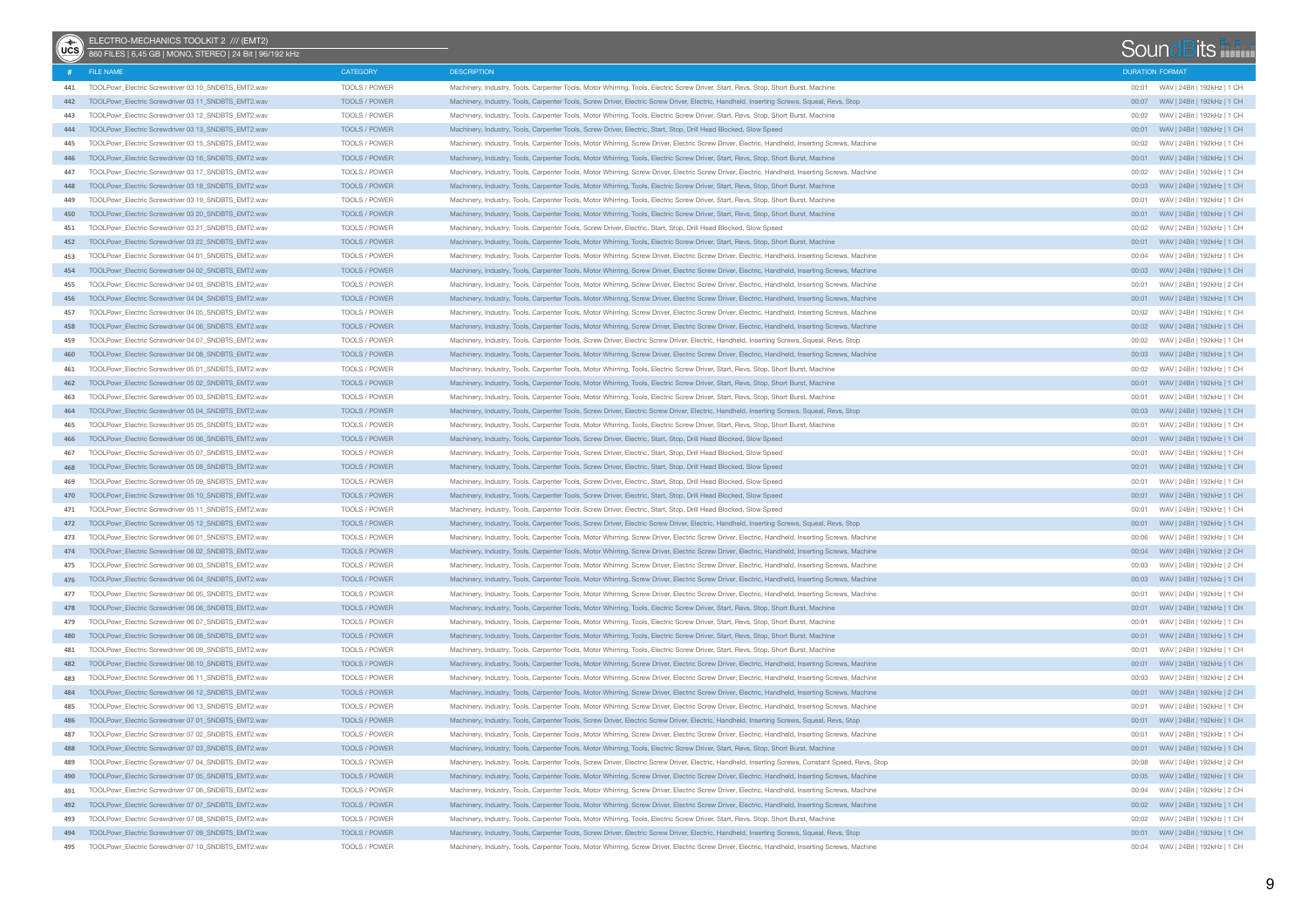| $(x^*)$ | ELECTRO-MECHANICS TOOLKIT 2 /// (EMT2)<br>860 FILES   6,45 GB   MONO, STEREO   24 Bit   96/192 kHz |                 |                                                                                                                                                    |                        | SoundBits                         |  |
|---------|----------------------------------------------------------------------------------------------------|-----------------|----------------------------------------------------------------------------------------------------------------------------------------------------|------------------------|-----------------------------------|--|
|         | # FILE NAME                                                                                        | <b>CATEGORY</b> | <b>DESCRIPTION</b>                                                                                                                                 | <b>DURATION FORMAT</b> |                                   |  |
| 441     | TOOLPowr_Electric Screwdriver 03 10_SNDBTS_EMT2.wav                                                | TOOLS / POWER   | Machinery, Industry, Tools, Carpenter Tools, Motor Whirring, Tools, Electric Screw Driver, Start, Revs, Stop, Short Burst, Machine                 |                        |                                   |  |
| 442     | TOOLPowr_Electric Screwdriver 03 11_SNDBTS_EMT2.wav                                                | TOOLS / POWER   | Machinery, Industry, Tools, Carpenter Tools, Screw Driver, Electric Screw Driver, Electric, Handheld, Inserting Screws, Squeal, Revs, Stop         | 00:07                  | WAV   24Bit   192kHz   1 CH       |  |
| 443     | TOOLPowr_Electric Screwdriver 03 12_SNDBTS_EMT2.wav                                                | TOOLS / POWER   | Machinery, Industry, Tools, Carpenter Tools, Motor Whirring, Tools, Electric Screw Driver, Start, Revs, Stop, Short Burst, Machine                 | 00:02                  | WAV   24Bit   192kHz   1 CH       |  |
| 444     | TOOLPowr_Electric Screwdriver 03 13_SNDBTS_EMT2.wav                                                | TOOLS / POWER   | Machinery, Industry, Tools, Carpenter Tools, Screw Driver, Electric, Start, Stop, Drill Head Blocked, Slow Speed                                   | 00:01                  | WAV   24Bit   192kHz   1 CH       |  |
| 445     | TOOLPowr_Electric Screwdriver 03 15_SNDBTS_EMT2.wav                                                | TOOLS / POWER   | Machinery, Industry, Tools, Carpenter Tools, Motor Whirring, Screw Driver, Electric Screw Driver, Electric, Handheld, Inserting Screws, Machine    | 00:02                  | WAV   24Bit   192kHz   1 CH       |  |
| 446     | TOOLPowr_Electric Screwdriver 03 16 SNDBTS_EMT2.wav                                                | TOOLS / POWER   | Machinery, Industry, Tools, Carpenter Tools, Motor Whirring, Tools, Electric Screw Driver, Start, Revs, Stop, Short Burst, Machine                 | 00:01                  | WAV   24Bit   192kHz   1 CH       |  |
| 447     | TOOLPowr_Electric Screwdriver 03 17 SNDBTS_EMT2.wav                                                | TOOLS / POWER   | Machinery, Industry, Tools, Carpenter Tools, Motor Whirring, Screw Driver, Electric Screw Driver, Electric, Handheld, Inserting Screws, Machine    | 00:02                  | WAV   24Bit   192kHz   1 CH       |  |
| 448     | TOOLPowr Electric Screwdriver 03 18 SNDBTS EMT2.wav                                                | TOOLS / POWER   | Machinery, Industry, Tools, Carpenter Tools, Motor Whirring, Tools, Electric Screw Driver, Start, Revs, Stop, Short Burst, Machine                 |                        | 00:03 WAV   24Bit   192kHz   1 CH |  |
| 449     | TOOLPowr_Electric Screwdriver 03 19 SNDBTS_EMT2.wav                                                | TOOLS / POWER   | Machinery, Industry, Tools, Carpenter Tools, Motor Whirring, Tools, Electric Screw Driver, Start, Revs, Stop, Short Burst, Machine                 | 00:01                  | WAV   24Bit   192kHz   1 CH       |  |
| 450     | TOOLPowr Electric Screwdriver 03 20 SNDBTS EMT2.wav                                                | TOOLS / POWER   | Machinery, Industry, Tools, Carpenter Tools, Motor Whirring, Tools, Electric Screw Driver, Start, Revs, Stop, Short Burst, Machine                 | 00:01                  | WAV   24Bit   192kHz   1 CH       |  |
| 451     | TOOLPowr_Electric Screwdriver 03 21 SNDBTS_EMT2.wav                                                | TOOLS / POWER   | Machinery, Industry, Tools, Carpenter Tools, Screw Driver, Electric, Start, Stop, Drill Head Blocked, Slow Speed                                   | 00:02                  | WAV   24Bit   192kHz   1 CH       |  |
| 452     | TOOLPowr Electric Screwdriver 03 22 SNDBTS EMT2.wav                                                | TOOLS / POWER   | Machinery, Industry, Tools, Carpenter Tools, Motor Whirring, Tools, Electric Screw Driver, Start, Revs, Stop, Short Burst, Machine                 | 00:01                  | WAV   24Bit   192kHz   1 CH       |  |
| 453     | TOOLPowr_Electric Screwdriver 04 01_SNDBTS_EMT2.wav                                                | TOOLS / POWER   | Machinery, Industry, Tools, Carpenter Tools, Motor Whirring, Screw Driver, Electric Screw Driver, Electric, Handheld, Inserting Screws, Machine    | 00:04                  | WAV   24Bit   192kHz   1 CH       |  |
| 454     | TOOLPowr_Electric Screwdriver 04 02 SNDBTS_EMT2.wav                                                | TOOLS / POWER   | Machinery, Industry, Tools, Carpenter Tools, Motor Whirring, Screw Driver, Electric Screw Driver, Electric, Handheld, Inserting Screws, Machine    |                        | 00:03 WAV   24Bit   192kHz   1 CH |  |
| 455     | TOOLPowr_Electric Screwdriver 04 03_SNDBTS_EMT2.wav                                                | TOOLS / POWER   | Machinery, Industry, Tools, Carpenter Tools, Motor Whirring, Screw Driver, Electric Screw Driver, Electric, Handheld, Inserting Screws, Machine    | 00:01                  | WAV   24Bit   192kHz   2 CH       |  |
| 456     | TOOLPowr_Electric Screwdriver 04 04_SNDBTS_EMT2.wav                                                | TOOLS / POWER   | Machinery, Industry, Tools, Carpenter Tools, Motor Whirring, Screw Driver, Electric Screw Driver, Electric, Handheld, Inserting Screws, Machine    |                        |                                   |  |
| 457     | TOOLPowr_Electric Screwdriver 04 05 SNDBTS_EMT2.wav                                                | TOOLS / POWER   | Machinery, Industry, Tools, Carpenter Tools, Motor Whirring, Screw Driver, Electric Screw Driver, Electric, Handheld, Inserting Screws, Machine    | 00:02                  | WAV   24Bit   192kHz   1 CH       |  |
| 458     | TOOLPowr_Electric Screwdriver 04 06 SNDBTS_EMT2.wav                                                | TOOLS / POWER   | Machinery, Industry, Tools, Carpenter Tools, Motor Whirring, Screw Driver, Electric Screw Driver, Electric, Handheld, Inserting Screws, Machine    | 00:02                  | WAV   24Bit   192kHz   1 CH       |  |
| 459     | TOOLPowr_Electric Screwdriver 04 07_SNDBTS_EMT2.wav                                                | TOOLS / POWER   | Machinery, Industry, Tools, Carpenter Tools, Screw Driver, Electric Screw Driver, Electric, Handheld, Inserting Screws, Squeal, Revs, Stop         | 00:02                  | WAV   24Bit   192kHz   1 CH       |  |
| 460     | TOOLPowr_Electric Screwdriver 04 08_SNDBTS_EMT2.wav                                                | TOOLS / POWER   | Machinery, Industry, Tools, Carpenter Tools, Motor Whirring, Screw Driver, Electric Screw Driver, Electric, Handheld, Inserting Screws, Machine    |                        |                                   |  |
| 461     | TOOLPowr_Electric Screwdriver 05 01_SNDBTS_EMT2.wav                                                | TOOLS / POWER   | Machinery, Industry, Tools, Carpenter Tools, Motor Whirring, Tools, Electric Screw Driver, Start, Revs, Stop, Short Burst, Machine                 | 00:02                  | WAV   24Bit   192kHz   1 CH       |  |
| 462     | TOOLPowr_Electric Screwdriver 05 02_SNDBTS_EMT2.wav                                                | TOOLS / POWER   | Machinery, Industry, Tools, Carpenter Tools, Motor Whirring, Tools, Electric Screw Driver, Start, Revs, Stop, Short Burst, Machine                 |                        |                                   |  |
| 463     | TOOLPowr_Electric Screwdriver 05 03_SNDBTS_EMT2.wav                                                | TOOLS / POWER   | Machinery, Industry, Tools, Carpenter Tools, Motor Whirring, Tools, Electric Screw Driver, Start, Revs, Stop, Short Burst, Machine                 | 00:01                  | WAV   24Bit   192kHz   1 CH       |  |
| 464     | TOOLPowr_Electric Screwdriver 05 04_SNDBTS_EMT2.wav                                                | TOOLS / POWER   | Machinery, Industry, Tools, Carpenter Tools, Screw Driver, Electric Screw Driver, Electric, Handheld, Inserting Screws, Squeal, Revs, Stop         |                        |                                   |  |
| 465     | TOOLPowr_Electric Screwdriver 05 05_SNDBTS_EMT2.wav                                                | TOOLS / POWER   | Machinery, Industry, Tools, Carpenter Tools, Motor Whirring, Tools, Electric Screw Driver, Start, Revs, Stop, Short Burst, Machine                 | 00:01                  | WAV   24Bit   192kHz   1 CH       |  |
| 466     | TOOLPowr_Electric Screwdriver 05 06_SNDBTS_EMT2.wav                                                | TOOLS / POWER   | Machinery, Industry, Tools, Carpenter Tools, Screw Driver, Electric, Start, Stop, Drill Head Blocked, Slow Speed                                   |                        |                                   |  |
| 467     | TOOLPowr_Electric Screwdriver 05 07_SNDBTS_EMT2.wav                                                | TOOLS / POWER   | Machinery, Industry, Tools, Carpenter Tools, Screw Driver, Electric, Start, Stop, Drill Head Blocked, Slow Speed                                   | 00:01                  | WAV   24Bit   192kHz   1 CH       |  |
| 468     | TOOLPowr_Electric Screwdriver 05 08 SNDBTS_EMT2.wav                                                | TOOLS / POWER   | Machinery, Industry, Tools, Carpenter Tools, Screw Driver, Electric, Start, Stop, Drill Head Blocked, Slow Speed                                   |                        |                                   |  |
| 469     | TOOLPowr_Electric Screwdriver 05 09_SNDBTS_EMT2.wav                                                | TOOLS / POWER   | Machinery, Industry, Tools, Carpenter Tools, Screw Driver, Electric, Start, Stop, Drill Head Blocked, Slow Speed                                   | 00:01                  | WAV   24Bit   192kHz   1 CH       |  |
| 470     | TOOLPowr_Electric Screwdriver 05 10_SNDBTS_EMT2.wav                                                | TOOLS / POWER   | Machinery, Industry, Tools, Carpenter Tools, Screw Driver, Electric, Start, Stop, Drill Head Blocked, Slow Speed                                   |                        |                                   |  |
| 471     | TOOLPowr_Electric Screwdriver 05 11_SNDBTS_EMT2.wav                                                | TOOLS / POWER   | Machinery, Industry, Tools, Carpenter Tools, Screw Driver, Electric, Start, Stop, Drill Head Blocked, Slow Speed                                   | 00:01                  | WAV   24Bit   192kHz   1 CH       |  |
|         | 472 TOOLPowr_Electric Screwdriver 05 12 SNDBTS_EMT2.wav                                            | TOOLS / POWER   | Machinery, Industry, Tools, Carpenter Tools, Screw Driver, Electric Screw Driver, Electric, Handheld, Inserting Screws, Squeal, Revs, Stop         |                        |                                   |  |
| 473     | TOOLPowr_Electric Screwdriver 06 01_SNDBTS_EMT2.wav                                                | TOOLS / POWER   | Machinery, Industry, Tools, Carpenter Tools, Motor Whirring, Screw Driver, Electric Screw Driver, Electric, Handheld, Inserting Screws, Machine    | 00:06                  | WAV   24Bit   192kHz   1 CH       |  |
|         | 474 TOOLPowr_Electric Screwdriver 06 02 SNDBTS_EMT2.wav                                            | TOOLS / POWER   | Machinery, Industry, Tools, Carpenter Tools, Motor Whirring, Screw Driver, Electric Screw Driver, Electric, Handheld, Inserting Screws, Machine    |                        | 00:04 WAV   24Bit   192kHz   2 CH |  |
| 475     | TOOLPowr_Electric Screwdriver 06 03_SNDBTS_EMT2.wav                                                | TOOLS / POWER   | Machinery, Industry, Tools, Carpenter Tools, Motor Whirring, Screw Driver, Electric Screw Driver, Electric, Handheld, Inserting Screws, Machine    | 00:03                  | WAV   24Bit   192kHz   2 CH       |  |
|         | 476 TOOLPowr_Electric Screwdriver 06 04 SNDBTS_EMT2.wav                                            | TOOLS / POWER   | Machinery, Industry, Tools, Carpenter Tools, Motor Whirring, Screw Driver, Electric Screw Driver, Electric, Handheld, Inserting Screws, Machine    |                        |                                   |  |
| 477     | TOOLPowr_Electric Screwdriver 06 05_SNDBTS_EMT2.wav                                                | TOOLS / POWER   | Machinery, Industry, Tools, Carpenter Tools, Motor Whirring, Screw Driver, Electric Screw Driver, Electric, Handheld, Inserting Screws, Machine    | 00:01                  | WAV   24Bit   192kHz   1 CH       |  |
|         | 478 TOOLPowr Electric Screwdriver 06 06 SNDBTS EMT2.wav                                            | TOOLS / POWER   | Machinery, Industry, Tools, Carpenter Tools, Motor Whirring, Tools, Electric Screw Driver, Start, Revs, Stop, Short Burst, Machine                 |                        |                                   |  |
| 479     | TOOLPowr_Electric Screwdriver 06 07 SNDBTS_EMT2.wav                                                | TOOLS / POWER   | Machinery, Industry, Tools, Carpenter Tools, Motor Whirring, Tools, Electric Screw Driver, Start, Revs, Stop, Short Burst, Machine                 | 00:01                  | WAV   24Bit   192kHz   1 CH       |  |
|         | 480 TOOLPowr Electric Screwdriver 06 08 SNDBTS EMT2.wav                                            | TOOLS / POWER   | Machinery, Industry, Tools, Carpenter Tools, Motor Whirring, Tools, Electric Screw Driver, Start, Revs, Stop, Short Burst, Machine                 |                        |                                   |  |
| 481     | TOOLPowr_Electric Screwdriver 06 09_SNDBTS_EMT2.wav                                                | TOOLS / POWER   | Machinery, Industry, Tools, Carpenter Tools, Motor Whirring, Tools, Electric Screw Driver, Start, Revs, Stop, Short Burst, Machine                 | 00:01                  | WAV   24Bit   192kHz   1 CH       |  |
|         | 482 TOOLPowr_Electric Screwdriver 06 10 SNDBTS_EMT2.wav                                            | TOOLS / POWER   | Machinery, Industry, Tools, Carpenter Tools, Motor Whirring, Screw Driver, Electric Screw Driver, Electric, Handheld, Inserting Screws, Machine    |                        |                                   |  |
| 483     | TOOLPowr_Electric Screwdriver 06 11 SNDBTS_EMT2.wav                                                | TOOLS / POWER   | Machinery, Industry, Tools, Carpenter Tools, Motor Whirring, Screw Driver, Electric Screw Driver, Electric, Handheld, Inserting Screws, Machine    | 00:03                  | WAV   24Bit   192kHz   2 CH       |  |
| 484     | TOOLPowr_Electric Screwdriver 06 12_SNDBTS_EMT2.wav                                                | TOOLS / POWER   | Machinery, Industry, Tools, Carpenter Tools, Motor Whirring, Screw Driver, Electric Screw Driver, Electric, Handheld, Inserting Screws, Machine    |                        |                                   |  |
| 485     | TOOLPowr_Electric Screwdriver 06 13_SNDBTS_EMT2.wav                                                | TOOLS / POWER   | Machinery, Industry, Tools, Carpenter Tools, Motor Whirring, Screw Driver, Electric Screw Driver, Electric, Handheld, Inserting Screws, Machine    | 00:01                  | WAV   24Bit   192kHz   1 CH       |  |
| 486     | TOOLPowr_Electric Screwdriver 07 01_SNDBTS_EMT2.wav                                                | TOOLS / POWER   | Machinery, Industry, Tools, Carpenter Tools, Screw Driver, Electric Screw Driver, Electric, Handheld, Inserting Screws, Squeal, Revs, Stop         |                        |                                   |  |
| 487     | TOOLPowr_Electric Screwdriver 07 02 SNDBTS_EMT2.wav                                                | TOOLS / POWER   | Machinery, Industry, Tools, Carpenter Tools, Motor Whirring, Screw Driver, Electric Screw Driver, Electric, Handheld, Inserting Screws, Machine    |                        |                                   |  |
|         | 488 TOOLPowr_Electric Screwdriver 07 03_SNDBTS_EMT2.wav                                            | TOOLS / POWER   | Machinery, Industry, Tools, Carpenter Tools, Motor Whirring, Tools, Electric Screw Driver, Start, Revs, Stop, Short Burst, Machine                 |                        |                                   |  |
| 489     | TOOLPowr_Electric Screwdriver 07 04_SNDBTS_EMT2.wav                                                | TOOLS / POWER   | Machinery, Industry, Tools, Carpenter Tools, Screw Driver, Electric Screw Driver, Electric, Handheld, Inserting Screws, Constant Speed, Revs, Stop | 00:08                  | WAV   24Bit   192kHz   2 CH       |  |
|         | 490 TOOLPowr_Electric Screwdriver 07 05_SNDBTS_EMT2.wav                                            | TOOLS / POWER   | Machinery, Industry, Tools, Carpenter Tools, Motor Whirring, Screw Driver, Electric Screw Driver, Electric, Handheld, Inserting Screws, Machine    |                        |                                   |  |
| 491     | TOOLPowr_Electric Screwdriver 07 06_SNDBTS_EMT2.wav                                                | TOOLS / POWER   | Machinery, Industry, Tools, Carpenter Tools, Motor Whirring, Screw Driver, Electric Screw Driver, Electric, Handheld, Inserting Screws, Machine    | 00:04                  | WAV   24Bit   192kHz   2 CH       |  |
|         | 492 TOOLPowr_Electric Screwdriver 07 07_SNDBTS_EMT2.wav                                            | TOOLS / POWER   | Machinery, Industry, Tools, Carpenter Tools, Motor Whirring, Screw Driver, Electric Screw Driver, Electric, Handheld, Inserting Screws, Machine    |                        |                                   |  |
| 493     | TOOLPowr_Electric Screwdriver 07 08_SNDBTS_EMT2.wav                                                | TOOLS / POWER   | Machinery, Industry, Tools, Carpenter Tools, Motor Whirring, Tools, Electric Screw Driver, Start, Revs, Stop, Short Burst, Machine                 | 00:02                  | WAV   24Bit   192kHz   1 CH       |  |
| 494     | TOOLPowr_Electric Screwdriver 07 09_SNDBTS_EMT2.wav                                                | TOOLS / POWER   | Machinery, Industry, Tools, Carpenter Tools, Screw Driver, Electric Screw Driver, Electric, Handheld, Inserting Screws, Squeal, Revs, Stop         |                        |                                   |  |
| 495     | TOOLPowr_Electric Screwdriver 07 10_SNDBTS_EMT2.wav                                                | TOOLS / POWER   | Machinery, Industry, Tools, Carpenter Tools, Motor Whirring, Screw Driver, Electric Screw Driver, Electric, Handheld, Inserting Screws, Machine    |                        | 00:04 WAV   24Bit   192kHz   1 CH |  |
|         |                                                                                                    |                 |                                                                                                                                                    |                        |                                   |  |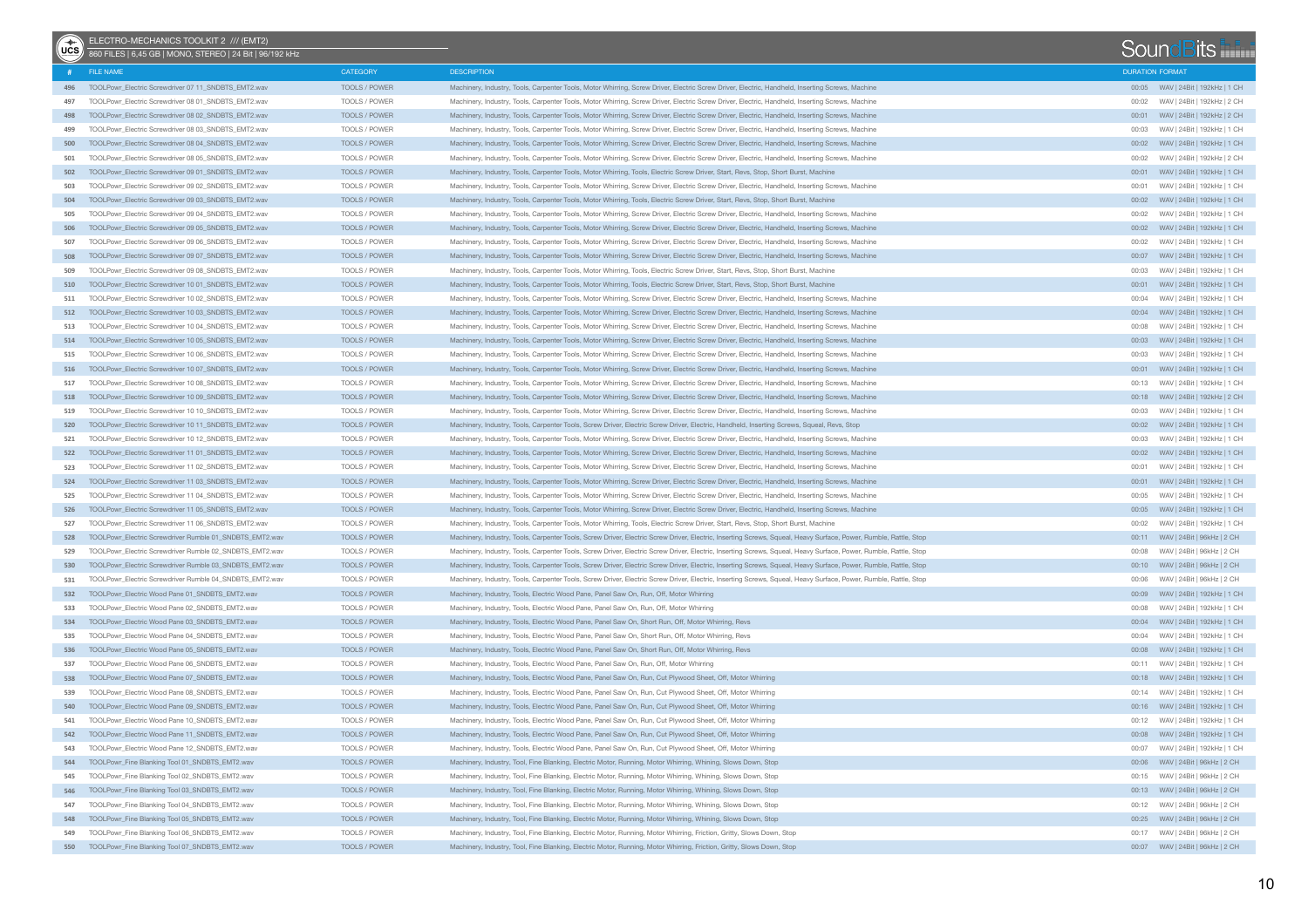| $\bigcirc$ | ELECTRO-MECHANICS TOOLKIT 2 /// (EMT2)<br>860 FILES   6.45 GB   MONO, STEREO   24 Bit   96/192 kHz |                                |                                                                                                                                                                  |                        | SoundBits                             |  |
|------------|----------------------------------------------------------------------------------------------------|--------------------------------|------------------------------------------------------------------------------------------------------------------------------------------------------------------|------------------------|---------------------------------------|--|
|            | FILE NAME                                                                                          | CATEGORY                       | <b>DESCRIPTION</b>                                                                                                                                               | <b>DURATION FORMAT</b> |                                       |  |
|            | 496 TOOLPowr_Electric Screwdriver 07 11_SNDBTS_EMT2.wav                                            | TOOLS / POWER                  | Machinery, Industry, Tools, Carpenter Tools, Motor Whirring, Screw Driver, Electric Screw Driver, Electric, Handheld, Inserting Screws, Machine                  |                        |                                       |  |
| 497        | TOOLPowr Electric Screwdriver 08 01 SNDBTS EMT2.wav                                                | TOOLS / POWER                  | Machinery, Industry, Tools, Carpenter Tools, Motor Whirring, Screw Driver, Electric Screw Driver, Electric, Handheld, Inserting Screws, Machine                  | 00:02                  | WAV   24Bit   192kHz   2 CH           |  |
| 498        | TOOLPowr_Electric Screwdriver 08 02_SNDBTS_EMT2.wav                                                | <b>TOOLS / POWER</b>           | Machinery, Industry, Tools, Carpenter Tools, Motor Whirring, Screw Driver, Electric Screw Driver, Electric, Handheld, Inserting Screws, Machine                  |                        |                                       |  |
| 499        | TOOLPowr Electric Screwdriver 08 03 SNDBTS EMT2.wav                                                | TOOLS / POWER                  | Machinery, Industry, Tools, Carpenter Tools, Motor Whirring, Screw Driver, Electric Screw Driver, Electric, Handheld, Inserting Screws, Machine                  | 00:03                  | WAV   24Bit   192kHz   1 CH           |  |
| 500        | TOOLPowr_Electric Screwdriver 08 04_SNDBTS_EMT2.wav                                                | TOOLS / POWER                  | Machinery, Industry, Tools, Carpenter Tools, Motor Whirring, Screw Driver, Electric Screw Driver, Electric, Handheld, Inserting Screws, Machine                  |                        |                                       |  |
| 501        | TOOLPowr_Electric Screwdriver 08 05_SNDBTS_EMT2.wav                                                | TOOLS / POWER                  | Machinery, Industry, Tools, Carpenter Tools, Motor Whirring, Screw Driver, Electric Screw Driver, Electric, Handheld, Inserting Screws, Machine                  | 00:02                  | WAV   24Bit   192kHz   2 CH           |  |
| 502        | TOOLPowr_Electric Screwdriver 09 01_SNDBTS_EMT2.wav                                                | TOOLS / POWER                  | Machinery, Industry, Tools, Carpenter Tools, Motor Whirring, Tools, Electric Screw Driver, Start, Revs, Stop, Short Burst, Machine                               |                        |                                       |  |
| 503        | TOOLPowr_Electric Screwdriver 09 02_SNDBTS_EMT2.wav                                                | TOOLS / POWER                  | Machinery, Industry, Tools, Carpenter Tools, Motor Whirring, Screw Driver, Electric Screw Driver, Electric, Handheld, Inserting Screws, Machine                  | 00:01                  | WAV   24Bit   192kHz   1 CH           |  |
| 504        | TOOLPowr_Electric Screwdriver 09 03_SNDBTS_EMT2.wav                                                | TOOLS / POWER                  | Machinery, Industry, Tools, Carpenter Tools, Motor Whirring, Tools, Electric Screw Driver, Start, Revs, Stop, Short Burst, Machine                               |                        |                                       |  |
| 505        | TOOLPowr Electric Screwdriver 09 04 SNDBTS EMT2.wav                                                | TOOLS / POWER                  | Machinery, Industry, Tools, Carpenter Tools, Motor Whirring, Screw Driver, Electric Screw Driver, Electric, Handheld, Inserting Screws, Machine                  | 00:02                  | WAV   24Bit   192kHz   1 CH           |  |
| 506        | TOOLPowr_Electric Screwdriver 09 05_SNDBTS_EMT2.wav                                                | TOOLS / POWER                  | Machinery, Industry, Tools, Carpenter Tools, Motor Whirring, Screw Driver, Electric Screw Driver, Electric, Handheld, Inserting Screws, Machine                  |                        |                                       |  |
| 507        | TOOLPowr_Electric Screwdriver 09 06_SNDBTS_EMT2.wav                                                | TOOLS / POWER                  | Machinery, Industry, Tools, Carpenter Tools, Motor Whirring, Screw Driver, Electric Screw Driver, Electric, Handheld, Inserting Screws, Machine                  | 00:02                  | WAV   24Bit   192kHz   1 CH           |  |
| 508        | TOOLPowr_Electric Screwdriver 09 07_SNDBTS_EMT2.wav                                                | TOOLS / POWER                  | Machinery, Industry, Tools, Carpenter Tools, Motor Whirring, Screw Driver, Electric Screw Driver, Electric, Handheld, Inserting Screws, Machine                  |                        |                                       |  |
| 509        | TOOLPowr_Electric Screwdriver 09 08_SNDBTS_EMT2.wav                                                | TOOLS / POWER                  | Machinery, Industry, Tools, Carpenter Tools, Motor Whirring, Tools, Electric Screw Driver, Start, Revs, Stop, Short Burst, Machine                               | 00:03                  | WAV   24Bit   192kHz   1 CH           |  |
| 510        | TOOLPowr_Electric Screwdriver 10 01_SNDBTS_EMT2.wav                                                | TOOLS / POWER                  | Machinery, Industry, Tools, Carpenter Tools, Motor Whirring, Tools, Electric Screw Driver, Start, Revs, Stop, Short Burst, Machine                               |                        |                                       |  |
| 511        | TOOLPowr_Electric Screwdriver 10 02_SNDBTS_EMT2.wav                                                | TOOLS / POWER                  | Machinery, Industry, Tools, Carpenter Tools, Motor Whirring, Screw Driver, Electric Screw Driver, Electric, Handheld, Inserting Screws, Machine                  |                        | 00:04 WAV   24Bit   192kHz   1 CH     |  |
|            | 512 TOOLPowr_Electric Screwdriver 10 03_SNDBTS_EMT2.wav                                            | TOOLS / POWER                  | Machinery, Industry, Tools, Carpenter Tools, Motor Whirring, Screw Driver, Electric Screw Driver, Electric, Handheld, Inserting Screws, Machine                  |                        | 00:04 WAV   24Bit   192kHz   1 CH     |  |
| 513        | TOOLPowr_Electric Screwdriver 10 04_SNDBTS_EMT2.wav                                                | TOOLS / POWER                  | Machinery, Industry, Tools, Carpenter Tools, Motor Whirring, Screw Driver, Electric Screw Driver, Electric, Handheld, Inserting Screws, Machine                  |                        | 00:08 WAV   24Bit   192kHz   1 CH     |  |
|            | 514 TOOLPowr Electric Screwdriver 10 05 SNDBTS EMT2.wav                                            | TOOLS / POWER                  | Machinery, Industry, Tools, Carpenter Tools, Motor Whirring, Screw Driver, Electric Screw Driver, Electric, Handheld, Inserting Screws, Machine                  |                        |                                       |  |
| 515        | TOOLPowr Electric Screwdriver 10 06 SNDBTS EMT2.wav                                                | TOOLS / POWER                  | Machinery, Industry, Tools, Carpenter Tools, Motor Whirring, Screw Driver, Electric Screw Driver, Electric, Handheld, Inserting Screws, Machine                  |                        | 00:03 WAV   24Bit   192kHz   1 CH     |  |
|            | 516 TOOLPowr Electric Screwdriver 10 07 SNDBTS EMT2.wav                                            | TOOLS / POWER                  | Machinery, Industry, Tools, Carpenter Tools, Motor Whirring, Screw Driver, Electric Screw Driver, Electric, Handheld, Inserting Screws, Machine                  |                        |                                       |  |
| 517        | TOOLPowr Electric Screwdriver 10 08 SNDBTS EMT2.wav                                                | TOOLS / POWER                  | Machinery, Industry, Tools, Carpenter Tools, Motor Whirring, Screw Driver, Electric Screw Driver, Electric, Handheld, Inserting Screws, Machine                  |                        | 00:13 WAV   24Bit   192kHz   1 CH     |  |
| 518        | TOOLPowr_Electric Screwdriver 10 09 SNDBTS_EMT2.wav                                                | <b>TOOLS / POWER</b>           | Machinery, Industry, Tools, Carpenter Tools, Motor Whirring, Screw Driver, Electric Screw Driver, Electric, Handheld, Inserting Screws, Machine                  |                        |                                       |  |
| 519        | TOOLPowr Electric Screwdriver 10 10 SNDBTS EMT2.wav                                                | TOOLS / POWER                  | Machinery, Industry, Tools, Carpenter Tools, Motor Whirring, Screw Driver, Electric Screw Driver, Electric, Handheld, Inserting Screws, Machine                  |                        | 00:03 WAV   24Bit   192kHz   1 CH     |  |
| 520        | TOOLPowr_Electric Screwdriver 10 11 SNDBTS_EMT2.wav                                                | TOOLS / POWER                  | Machinery, Industry, Tools, Carpenter Tools, Screw Driver, Electric Screw Driver, Electric, Handheld, Inserting Screws, Squeal, Revs, Stop                       |                        |                                       |  |
| 521        | TOOLPowr_Electric Screwdriver 10 12 SNDBTS_EMT2.wav                                                | TOOLS / POWER                  | Machinery, Industry, Tools, Carpenter Tools, Motor Whirring, Screw Driver, Electric Screw Driver, Electric, Handheld, Inserting Screws, Machine                  |                        | 00:03 WAV   24Bit   192kHz   1 CH     |  |
| 522        | TOOLPowr Electric Screwdriver 11 01 SNDBTS EMT2.wav                                                | TOOLS / POWER                  | Machinery, Industry, Tools, Carpenter Tools, Motor Whirring, Screw Driver, Electric Screw Driver, Electric, Handheld, Inserting Screws, Machine                  |                        |                                       |  |
| 523        | TOOLPowr_Electric Screwdriver 11 02_SNDBTS_EMT2.wav                                                | TOOLS / POWER                  | Machinery, Industry, Tools, Carpenter Tools, Motor Whirring, Screw Driver, Electric Screw Driver, Electric, Handheld, Inserting Screws, Machine                  | 00:01                  | WAV   24Bit   192kHz   1 CH           |  |
| 524        | TOOLPowr_Electric Screwdriver 11 03_SNDBTS_EMT2.wav                                                | TOOLS / POWER                  | Machinery, Industry, Tools, Carpenter Tools, Motor Whirring, Screw Driver, Electric Screw Driver, Electric, Handheld, Inserting Screws, Machine                  |                        |                                       |  |
| 525        | TOOLPowr_Electric Screwdriver 11 04_SNDBTS_EMT2.wav                                                | TOOLS / POWER                  | Machinery, Industry, Tools, Carpenter Tools, Motor Whirring, Screw Driver, Electric Screw Driver, Electric, Handheld, Inserting Screws, Machine                  |                        |                                       |  |
| 526        | TOOLPowr_Electric Screwdriver 11 05_SNDBTS_EMT2.wav                                                | TOOLS / POWER                  | Machinery, Industry, Tools, Carpenter Tools, Motor Whirring, Screw Driver, Electric Screw Driver, Electric, Handheld, Inserting Screws, Machine                  |                        |                                       |  |
| 527        | TOOLPowr_Electric Screwdriver 11 06_SNDBTS_EMT2.wav                                                | TOOLS / POWER                  | Machinery, Industry, Tools, Carpenter Tools, Motor Whirring, Tools, Electric Screw Driver, Start, Revs, Stop, Short Burst, Machine                               | 00:02                  | WAV   24Bit   192kHz   1 CH           |  |
| 528        | TOOLPowr_Electric Screwdriver Rumble 01_SNDBTS_EMT2.wav                                            | TOOLS / POWER                  | Machinery, Industry, Tools, Carpenter Tools, Screw Driver, Electric Screw Driver, Electric, Inserting Screws, Squeal, Heavy Surface, Power, Rumble, Rattle, Stop |                        | 00:11 WAV   24Bit   96kHz   2 CH      |  |
| 529        | TOOLPowr_Electric Screwdriver Rumble 02_SNDBTS_EMT2.wav                                            | TOOLS / POWER                  | Machinery, Industry, Tools, Carpenter Tools, Screw Driver, Electric Screw Driver, Electric, Inserting Screws, Squeal, Heavy Surface, Power, Rumble, Rattle, Stop | 00:08                  | WAV   24Bit   96kHz   2 CH            |  |
| 530        | TOOLPowr_Electric Screwdriver Rumble 03_SNDBTS_EMT2.wav                                            | TOOLS / POWER                  | Machinery, Industry, Tools, Carpenter Tools, Screw Driver, Electric Screw Driver, Electric, Inserting Screws, Squeal, Heavy Surface, Power, Rumble, Rattle, Stop |                        |                                       |  |
| 531        | TOOLPowr_Electric Screwdriver Rumble 04_SNDBTS_EMT2.wav                                            | TOOLS / POWER                  | Machinery, Industry, Tools, Carpenter Tools, Screw Driver, Electric Screw Driver, Electric, Inserting Screws, Squeal, Heavy Surface, Power, Rumble, Rattle, Stop | 00:06                  | WAV   24Bit   96kHz   2 CH            |  |
| 532        | TOOLPowr_Electric Wood Pane 01_SNDBTS_EMT2.wav                                                     | TOOLS / POWER                  | Machinery, Industry, Tools, Electric Wood Pane, Panel Saw On, Run, Off, Motor Whirring                                                                           |                        | 00:09     WAV   24Bit   192kHz   1 CH |  |
| 533        | TOOLPowr_Electric Wood Pane 02_SNDBTS_EMT2.wav                                                     | TOOLS / POWER                  | Machinery, Industry, Tools, Electric Wood Pane, Panel Saw On, Run, Off, Motor Whirring                                                                           | 00:08                  | WAV   24Bit   192kHz   1 CH           |  |
| 534        | TOOLPowr_Electric Wood Pane 03_SNDBTS_EMT2.wav                                                     | TOOLS / POWER                  | Machinery, Industry, Tools, Electric Wood Pane, Panel Saw On, Short Run, Off, Motor Whirring, Revs                                                               | 00:04                  | WAV   24Bit   192kHz   1 CH           |  |
| 535        | TOOLPowr_Electric Wood Pane 04_SNDBTS_EMT2.wav                                                     | TOOLS / POWER                  | Machinery, Industry, Tools, Electric Wood Pane, Panel Saw On, Short Run, Off, Motor Whirring, Revs                                                               |                        | WAV   24Bit   192kHz   1 CH           |  |
| 536        | TOOLPowr_Electric Wood Pane 05 SNDBTS_EMT2.wav                                                     | TOOLS / POWER                  | Machinery, Industry, Tools, Electric Wood Pane, Panel Saw On, Short Run, Off, Motor Whirring, Revs                                                               |                        |                                       |  |
| 537        | TOOLPowr_Electric Wood Pane 06_SNDBTS_EMT2.wav                                                     | TOOLS / POWER                  | Machinery, Industry, Tools, Electric Wood Pane, Panel Saw On, Run, Off, Motor Whirring                                                                           |                        | WAV   24Bit   192kHz   1 CH           |  |
| 538        | TOOLPowr_Electric Wood Pane 07_SNDBTS_EMT2.wav                                                     | TOOLS / POWER                  | Machinery, Industry, Tools, Electric Wood Pane, Panel Saw On, Run, Cut Plywood Sheet, Off, Motor Whirring                                                        |                        |                                       |  |
| 539        | TOOLPowr_Electric Wood Pane 08_SNDBTS_EMT2.wav                                                     | TOOLS / POWER                  | Machinery, Industry, Tools, Electric Wood Pane, Panel Saw On, Run, Cut Plywood Sheet, Off, Motor Whirring                                                        |                        | WAV   24Bit   192kHz   1 CH           |  |
| 540        | TOOLPowr_Electric Wood Pane 09_SNDBTS_EMT2.wav                                                     | TOOLS / POWER                  | Machinery, Industry, Tools, Electric Wood Pane, Panel Saw On, Run, Cut Plywood Sheet, Off, Motor Whirring                                                        |                        |                                       |  |
| 541        | TOOLPowr Electric Wood Pane 10 SNDBTS EMT2.wav                                                     | TOOLS / POWER                  | Machinery, Industry, Tools, Electric Wood Pane, Panel Saw On, Run, Cut Plywood Sheet, Off, Motor Whirring                                                        |                        |                                       |  |
|            | 542 TOOLPowr_Electric Wood Pane 11_SNDBTS_EMT2.wav                                                 | TOOLS / POWER                  | Machinery, Industry, Tools, Electric Wood Pane, Panel Saw On, Run, Cut Plywood Sheet, Off, Motor Whirring                                                        |                        |                                       |  |
| 543        | TOOLPowr_Electric Wood Pane 12_SNDBTS_EMT2.wav                                                     | TOOLS / POWER                  | Machinery, Industry, Tools, Electric Wood Pane, Panel Saw On, Run, Cut Plywood Sheet, Off, Motor Whirring                                                        |                        | 00:07 WAV   24Bit   192kHz   1 CH     |  |
|            | 544 TOOLPowr_Fine Blanking Tool 01_SNDBTS_EMT2.wav                                                 | TOOLS / POWER                  | Machinery, Industry, Tool, Fine Blanking, Electric Motor, Running, Motor Whirring, Whining, Slows Down, Stop                                                     |                        |                                       |  |
| 545        | TOOLPowr_Fine Blanking Tool 02_SNDBTS_EMT2.wav                                                     | TOOLS / POWER                  | Machinery, Industry, Tool, Fine Blanking, Electric Motor, Running, Motor Whirring, Whining, Slows Down, Stop                                                     |                        | 00:15 WAV   24Bit   96kHz   2 CH      |  |
| 546        | TOOLPowr_Fine Blanking Tool 03 SNDBTS_EMT2.wav                                                     | TOOLS / POWER                  | Machinery, Industry, Tool, Fine Blanking, Electric Motor, Running, Motor Whirring, Whining, Slows Down, Stop                                                     |                        |                                       |  |
|            |                                                                                                    |                                | Machinery, Industry, Tool, Fine Blanking, Electric Motor, Running, Motor Whirring, Whining, Slows Down, Stop                                                     |                        |                                       |  |
| 547<br>548 | TOOLPowr_Fine Blanking Tool 04_SNDBTS_EMT2.wav                                                     | TOOLS / POWER<br>TOOLS / POWER |                                                                                                                                                                  |                        |                                       |  |
|            | TOOLPowr_Fine Blanking Tool 05_SNDBTS_EMT2.wav                                                     |                                | Machinery, Industry, Tool, Fine Blanking, Electric Motor, Running, Motor Whirring, Whining, Slows Down, Stop                                                     |                        | 00:25 WAV   24Bit   96kHz   2 CH      |  |
| 549        | TOOLPowr_Fine Blanking Tool 06_SNDBTS_EMT2.wav                                                     | TOOLS / POWER                  | Machinery, Industry, Tool, Fine Blanking, Electric Motor, Running, Motor Whirring, Friction, Gritty, Slows Down, Stop                                            |                        | 00:17 WAV   24Bit   96kHz   2 CH      |  |
|            | 550 TOOLPowr_Fine Blanking Tool 07_SNDBTS_EMT2.wav                                                 | TOOLS / POWER                  | Machinery, Industry, Tool, Fine Blanking, Electric Motor, Running, Motor Whirring, Friction, Gritty, Slows Down, Stop                                            |                        |                                       |  |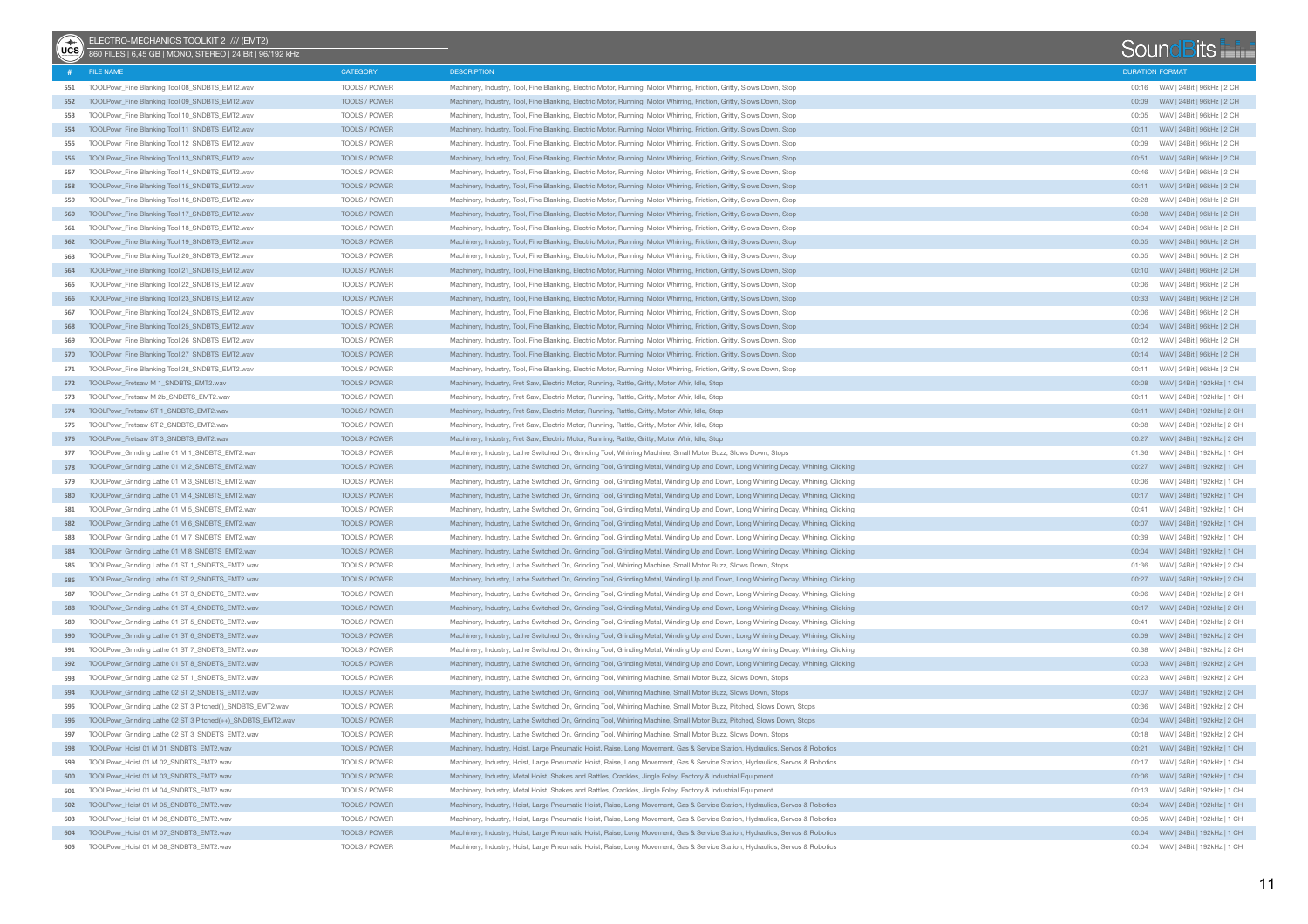| $(x^*)$ | ELECTRO-MECHANICS TOOLKIT 2 /// (EMT2)<br>860 FILES   6,45 GB   MONO, STEREO   24 Bit   96/192 kHz |                                |                                                                                                                                                                                                                                                                |                        | SoundBits                                                        |
|---------|----------------------------------------------------------------------------------------------------|--------------------------------|----------------------------------------------------------------------------------------------------------------------------------------------------------------------------------------------------------------------------------------------------------------|------------------------|------------------------------------------------------------------|
|         | FILE NAME                                                                                          | <b>CATEGORY</b>                | <b>DESCRIPTION</b>                                                                                                                                                                                                                                             | <b>DURATION FORMAT</b> |                                                                  |
| 551     | TOOLPowr_Fine Blanking Tool 08_SNDBTS_EMT2.wav                                                     | TOOLS / POWER                  | Machinery, Industry, Tool, Fine Blanking, Electric Motor, Running, Motor Whirring, Friction, Gritty, Slows Down, Stop                                                                                                                                          |                        | 00:16 WAV   24Bit   96kHz   2 CH                                 |
| 552     | TOOLPowr_Fine Blanking Tool 09_SNDBTS_EMT2.wav                                                     | TOOLS / POWER                  | Machinery, Industry, Tool, Fine Blanking, Electric Motor, Running, Motor Whirring, Friction, Gritty, Slows Down, Stop                                                                                                                                          |                        | 00:09     WAV   24Bit   96kHz   2 CH                             |
| 553     | TOOLPowr_Fine Blanking Tool 10_SNDBTS_EMT2.wav                                                     | TOOLS / POWER                  | Machinery, Industry, Tool, Fine Blanking, Electric Motor, Running, Motor Whirring, Friction, Gritty, Slows Down, Stop                                                                                                                                          | 00:05                  | WAV   24Bit   96kHz   2 CH                                       |
| 554     | TOOLPowr_Fine Blanking Tool 11_SNDBTS_EMT2.wav                                                     | TOOLS / POWER                  | Machinery, Industry, Tool, Fine Blanking, Electric Motor, Running, Motor Whirring, Friction, Gritty, Slows Down, Stop                                                                                                                                          |                        | 00:11 WAV   24Bit   96kHz   2 CH                                 |
| 555     | TOOLPowr_Fine Blanking Tool 12_SNDBTS_EMT2.wav                                                     | TOOLS / POWER                  | Machinery, Industry, Tool, Fine Blanking, Electric Motor, Running, Motor Whirring, Friction, Gritty, Slows Down, Stop                                                                                                                                          | 00:09                  | WAV   24Bit   96kHz   2 CH                                       |
| 556     | TOOLPowr_Fine Blanking Tool 13_SNDBTS_EMT2.wav                                                     | TOOLS / POWER                  | Machinery, Industry, Tool, Fine Blanking, Electric Motor, Running, Motor Whirring, Friction, Gritty, Slows Down, Stop                                                                                                                                          |                        | 00:51 WAV   24Bit   96kHz   2 CH                                 |
| 557     | TOOLPowr_Fine Blanking Tool 14_SNDBTS_EMT2.wav                                                     | TOOLS / POWER                  | Machinery, Industry, Tool, Fine Blanking, Electric Motor, Running, Motor Whirring, Friction, Gritty, Slows Down, Stop                                                                                                                                          | 00:46                  | WAV   24Bit   96kHz   2 CH                                       |
| 558     | TOOLPowr_Fine Blanking Tool 15_SNDBTS_EMT2.wav                                                     | TOOLS / POWER                  | Machinery, Industry, Tool, Fine Blanking, Electric Motor, Running, Motor Whirring, Friction, Gritty, Slows Down, Stop                                                                                                                                          |                        | 00:11 WAV   24Bit   96kHz   2 CH                                 |
| 559     | TOOLPowr_Fine Blanking Tool 16 SNDBTS_EMT2.wav                                                     | TOOLS / POWER                  | Machinery, Industry, Tool, Fine Blanking, Electric Motor, Running, Motor Whirring, Friction, Gritty, Slows Down, Stop                                                                                                                                          | 00:28                  | WAV   24Bit   96kHz   2 CH                                       |
| 560     | TOOLPowr_Fine Blanking Tool 17_SNDBTS_EMT2.wav                                                     | TOOLS / POWER                  | Machinery, Industry, Tool, Fine Blanking, Electric Motor, Running, Motor Whirring, Friction, Gritty, Slows Down, Stop                                                                                                                                          | 00:08                  | WAV   24Bit   96kHz   2 CH                                       |
| 561     | TOOLPowr_Fine Blanking Tool 18_SNDBTS_EMT2.wav                                                     | TOOLS / POWER                  | Machinery, Industry, Tool, Fine Blanking, Electric Motor, Running, Motor Whirring, Friction, Gritty, Slows Down, Stop                                                                                                                                          | 00:04                  | WAV   24Bit   96kHz   2 CH                                       |
| 562     | TOOLPowr_Fine Blanking Tool 19_SNDBTS_EMT2.wav                                                     | TOOLS / POWER                  | Machinery, Industry, Tool, Fine Blanking, Electric Motor, Running, Motor Whirring, Friction, Gritty, Slows Down, Stop                                                                                                                                          |                        |                                                                  |
| 563     | TOOLPowr_Fine Blanking Tool 20_SNDBTS_EMT2.wav                                                     | TOOLS / POWER                  | Machinery, Industry, Tool, Fine Blanking, Electric Motor, Running, Motor Whirring, Friction, Gritty, Slows Down, Stop                                                                                                                                          | 00:05                  | WAV   24Bit   96kHz   2 CH                                       |
| 564     | TOOLPowr_Fine Blanking Tool 21_SNDBTS_EMT2.wav                                                     | TOOLS / POWER                  | Machinery, Industry, Tool, Fine Blanking, Electric Motor, Running, Motor Whirring, Friction, Gritty, Slows Down, Stop                                                                                                                                          |                        | 00:10 WAV   24Bit   96kHz   2 CH                                 |
| 565     | TOOLPowr_Fine Blanking Tool 22_SNDBTS_EMT2.wav                                                     | TOOLS / POWER                  | Machinery, Industry, Tool, Fine Blanking, Electric Motor, Running, Motor Whirring, Friction, Gritty, Slows Down, Stop                                                                                                                                          | 00:06                  | WAV   24Bit   96kHz   2 CH                                       |
| 566     | TOOLPowr_Fine Blanking Tool 23_SNDBTS_EMT2.wav                                                     | TOOLS / POWER                  | Machinery, Industry, Tool, Fine Blanking, Electric Motor, Running, Motor Whirring, Friction, Gritty, Slows Down, Stop                                                                                                                                          |                        | 00:33 WAV   24Bit   96kHz   2 CH                                 |
| 567     | TOOLPowr_Fine Blanking Tool 24_SNDBTS_EMT2.wav                                                     | TOOLS / POWER                  | Machinery, Industry, Tool, Fine Blanking, Electric Motor, Running, Motor Whirring, Friction, Gritty, Slows Down, Stop                                                                                                                                          | 00:06                  | WAV   24Bit   96kHz   2 CH                                       |
| 568     | TOOLPowr_Fine Blanking Tool 25_SNDBTS_EMT2.wav                                                     | TOOLS / POWER                  | Machinery, Industry, Tool, Fine Blanking, Electric Motor, Running, Motor Whirring, Friction, Gritty, Slows Down, Stop                                                                                                                                          |                        | 00:04 WAV   24Bit   96kHz   2 CH                                 |
| 569     | TOOLPowr_Fine Blanking Tool 26_SNDBTS_EMT2.wav                                                     | TOOLS / POWER                  | Machinery, Industry, Tool, Fine Blanking, Electric Motor, Running, Motor Whirring, Friction, Gritty, Slows Down, Stop                                                                                                                                          | 00:12                  | WAV   24Bit   96kHz   2 CH                                       |
| 570     | TOOLPowr_Fine Blanking Tool 27_SNDBTS_EMT2.wav                                                     | TOOLS / POWER                  | Machinery, Industry, Tool, Fine Blanking, Electric Motor, Running, Motor Whirring, Friction, Gritty, Slows Down, Stop                                                                                                                                          |                        | 00:14 WAV   24Bit   96kHz   2 CH                                 |
| 571     | TOOLPowr_Fine Blanking Tool 28_SNDBTS_EMT2.wav                                                     | TOOLS / POWER                  | Machinery, Industry, Tool, Fine Blanking, Electric Motor, Running, Motor Whirring, Friction, Gritty, Slows Down, Stop                                                                                                                                          | 00:11                  | WAV   24Bit   96kHz   2 CH                                       |
|         | 572 TOOLPowr_Fretsaw M 1_SNDBTS_EMT2.wav                                                           | TOOLS / POWER                  | Machinery, Industry, Fret Saw, Electric Motor, Running, Rattle, Gritty, Motor Whir, Idle, Stop                                                                                                                                                                 |                        |                                                                  |
| 573     | TOOLPowr_Fretsaw M 2b_SNDBTS_EMT2.wav                                                              | TOOLS / POWER                  | Machinery, Industry, Fret Saw, Electric Motor, Running, Rattle, Gritty, Motor Whir, Idle, Stop                                                                                                                                                                 | 00:11                  | WAV   24Bit   192kHz   1 CH                                      |
| 574     | TOOLPowr_Fretsaw ST 1_SNDBTS_EMT2.wav                                                              | TOOLS / POWER                  | Machinery, Industry, Fret Saw, Electric Motor, Running, Rattle, Gritty, Motor Whir, Idle, Stop                                                                                                                                                                 |                        | 00:11 WAV   24Bit   192kHz   2 CH                                |
| 575     | TOOLPowr_Fretsaw ST 2_SNDBTS_EMT2.wav                                                              | TOOLS / POWER                  | Machinery, Industry, Fret Saw, Electric Motor, Running, Rattle, Gritty, Motor Whir, Idle, Stop                                                                                                                                                                 | 00:08                  | WAV   24Bit   192kHz   2 CH                                      |
|         | 576 TOOLPowr_Fretsaw ST 3 SNDBTS_EMT2.wav                                                          | TOOLS / POWER                  | Machinery, Industry, Fret Saw, Electric Motor, Running, Rattle, Gritty, Motor Whir, Idle, Stop                                                                                                                                                                 |                        | 00:27 WAV   24Bit   192kHz   2 CH                                |
| 577     | TOOLPowr_Grinding Lathe 01 M 1_SNDBTS_EMT2.wav                                                     | TOOLS / POWER                  | Machinery, Industry, Lathe Switched On, Grinding Tool, Whirring Machine, Small Motor Buzz, Slows Down, Stops                                                                                                                                                   | 01:36                  | WAV   24Bit   192kHz   1 CH                                      |
|         | 578 TOOLPowr_Grinding Lathe 01 M 2 SNDBTS_EMT2.wav                                                 | TOOLS / POWER                  | Machinery, Industry, Lathe Switched On, Grinding Tool, Grinding Metal, Winding Up and Down, Long Whirring Decay, Whining, Clicking                                                                                                                             |                        | 00:27 WAV   24Bit   192kHz   1 CH                                |
| 579     | TOOLPowr_Grinding Lathe 01 M 3_SNDBTS_EMT2.wav                                                     | TOOLS / POWER                  | Machinery, Industry, Lathe Switched On, Grinding Tool, Grinding Metal, Winding Up and Down, Long Whirring Decay, Whining, Clicking                                                                                                                             | 00:06                  | WAV   24Bit   192kHz   1 CH                                      |
| 580     | TOOLPowr_Grinding Lathe 01 M 4_SNDBTS_EMT2.wav                                                     | TOOLS / POWER                  | Machinery, Industry, Lathe Switched On, Grinding Tool, Grinding Metal, Winding Up and Down, Long Whirring Decay, Whining, Clicking                                                                                                                             |                        |                                                                  |
| 581     | TOOLPowr_Grinding Lathe 01 M 5_SNDBTS_EMT2.wav                                                     | TOOLS / POWER                  | Machinery, Industry, Lathe Switched On, Grinding Tool, Grinding Metal, Winding Up and Down, Long Whirring Decay, Whining, Clicking                                                                                                                             | 00:41                  | WAV   24Bit   192kHz   1 CH                                      |
| 582     | TOOLPowr_Grinding Lathe 01 M 6_SNDBTS_EMT2.wav                                                     | TOOLS / POWER                  | Machinery, Industry, Lathe Switched On, Grinding Tool, Grinding Metal, Winding Up and Down, Long Whirring Decay, Whining, Clicking                                                                                                                             |                        |                                                                  |
| 583     | TOOLPowr_Grinding Lathe 01 M 7_SNDBTS_EMT2.wav                                                     | TOOLS / POWER                  | Machinery, Industry, Lathe Switched On, Grinding Tool, Grinding Metal, Winding Up and Down, Long Whirring Decay, Whining, Clicking                                                                                                                             | 00:39                  | WAV   24Bit   192kHz   1 CH                                      |
| 584     | TOOLPowr_Grinding Lathe 01 M 8_SNDBTS_EMT2.wav                                                     | TOOLS / POWER                  | Machinery, Industry, Lathe Switched On, Grinding Tool, Grinding Metal, Winding Up and Down, Long Whirring Decay, Whining, Clicking                                                                                                                             |                        | 00:04 WAV   24Bit   192kHz   1 CH                                |
| 585     | TOOLPowr_Grinding Lathe 01 ST 1_SNDBTS_EMT2.wav                                                    | TOOLS / POWER                  | Machinery, Industry, Lathe Switched On, Grinding Tool, Whirring Machine, Small Motor Buzz, Slows Down, Stops                                                                                                                                                   | 01:36                  | WAV   24Bit   192kHz   2 CH                                      |
| 586     | TOOLPowr_Grinding Lathe 01 ST 2_SNDBTS_EMT2.wav                                                    | TOOLS / POWER                  | Machinery, Industry, Lathe Switched On, Grinding Tool, Grinding Metal, Winding Up and Down, Long Whirring Decay, Whining, Clicking                                                                                                                             |                        | 00:27 WAV   24Bit   192kHz   2 CH                                |
| 587     | TOOLPowr_Grinding Lathe 01 ST 3_SNDBTS_EMT2.wav                                                    | TOOLS / POWER                  | Machinery, Industry, Lathe Switched On, Grinding Tool, Grinding Metal, Winding Up and Down, Long Whirring Decay, Whining, Clicking                                                                                                                             | 00:06                  | WAV   24Bit   192kHz   2 CH                                      |
| 588     | TOOLPowr_Grinding Lathe 01 ST 4_SNDBTS_EMT2.wav                                                    | TOOLS / POWER                  | Machinery, Industry, Lathe Switched On, Grinding Tool, Grinding Metal, Winding Up and Down, Long Whirring Decay, Whining, Clicking                                                                                                                             |                        |                                                                  |
| 589     | TOOLPowr_Grinding Lathe 01 ST 5_SNDBTS_EMT2.wav                                                    | TOOLS / POWER                  | Machinery, Industry, Lathe Switched On, Grinding Tool, Grinding Metal, Winding Up and Down, Long Whirring Decay, Whining, Clicking                                                                                                                             | 00:41                  | WAV   24Bit   192kHz   2 CH                                      |
| 590     | TOOLPowr_Grinding Lathe 01 ST 6 SNDBTS_EMT2.wav                                                    | TOOLS / POWER                  | Machinery, Industry, Lathe Switched On, Grinding Tool, Grinding Metal, Winding Up and Down, Long Whirring Decay, Whining, Clicking                                                                                                                             |                        | 00:09     WAV   24Bit   192kHz   2 CH                            |
| 591     | TOOLPowr_Grinding Lathe 01 ST 7_SNDBTS_EMT2.wav                                                    | TOOLS / POWER                  | Machinery, Industry, Lathe Switched On, Grinding Tool, Grinding Metal, Winding Up and Down, Long Whirring Decay, Whining, Clicking                                                                                                                             | 00:38                  | WAV   24Bit   192kHz   2 CH                                      |
| 592     | TOOLPowr_Grinding Lathe 01 ST 8 SNDBTS_EMT2.wav                                                    | TOOLS / POWER                  | Machinery, Industry, Lathe Switched On, Grinding Tool, Grinding Metal, Winding Up and Down, Long Whirring Decay, Whining, Clicking                                                                                                                             |                        | 00:03 WAV   24Bit   192kHz   2 CH                                |
| 593     | TOOLPowr_Grinding Lathe 02 ST 1 SNDBTS_EMT2.wav                                                    | TOOLS / POWER                  | Machinery, Industry, Lathe Switched On, Grinding Tool, Whirring Machine, Small Motor Buzz, Slows Down, Stops                                                                                                                                                   | 00:23                  | WAV   24Bit   192kHz   2 CH                                      |
| 594     | TOOLPowr_Grinding Lathe 02 ST 2_SNDBTS_EMT2.wav                                                    | TOOLS / POWER                  |                                                                                                                                                                                                                                                                |                        |                                                                  |
|         |                                                                                                    | TOOLS / POWER                  | Machinery, Industry, Lathe Switched On, Grinding Tool, Whirring Machine, Small Motor Buzz, Slows Down, Stops                                                                                                                                                   | 00:36                  | WAV   24Bit   192kHz   2 CH                                      |
| 595     | TOOLPowr_Grinding Lathe 02 ST 3 Pitched()_SNDBTS_EMT2.wav                                          |                                | Machinery, Industry, Lathe Switched On, Grinding Tool, Whirring Machine, Small Motor Buzz, Pitched, Slows Down, Stops                                                                                                                                          |                        |                                                                  |
| 596     | TOOLPowr_Grinding Lathe 02 ST 3 Pitched(++)_SNDBTS_EMT2.wav                                        | TOOLS / POWER<br>TOOLS / POWER | Machinery, Industry, Lathe Switched On, Grinding Tool, Whirring Machine, Small Motor Buzz, Pitched, Slows Down, Stops                                                                                                                                          |                        | 00:04 WAV   24Bit   192kHz   2 CH                                |
|         | 597 TOOLPowr_Grinding Lathe 02 ST 3_SNDBTS_EMT2.wav                                                |                                | Machinery, Industry, Lathe Switched On, Grinding Tool, Whirring Machine, Small Motor Buzz, Slows Down, Stops                                                                                                                                                   |                        |                                                                  |
|         | 598 TOOLPowr_Hoist 01 M 01_SNDBTS_EMT2.wav                                                         | TOOLS / POWER                  | Machinery, Industry, Hoist, Large Pneumatic Hoist, Raise, Long Movement, Gas & Service Station, Hydraulics, Servos & Robotics                                                                                                                                  |                        |                                                                  |
| 599     | TOOLPowr_Hoist 01 M 02_SNDBTS_EMT2.wav                                                             | TOOLS / POWER                  | Machinery, Industry, Hoist, Large Pneumatic Hoist, Raise, Long Movement, Gas & Service Station, Hydraulics, Servos & Robotics                                                                                                                                  |                        | 00:17 WAV   24Bit   192kHz   1 CH                                |
|         | 600 TOOLPowr_Hoist 01 M 03_SNDBTS_EMT2.wav                                                         | TOOLS / POWER                  | Machinery, Industry, Metal Hoist, Shakes and Rattles, Crackles, Jingle Foley, Factory & Industrial Equipment                                                                                                                                                   | 00:13                  |                                                                  |
| 601     | TOOLPowr_Hoist 01 M 04_SNDBTS_EMT2.wav                                                             | TOOLS / POWER                  | Machinery, Industry, Metal Hoist, Shakes and Rattles, Crackles, Jingle Foley, Factory & Industrial Equipment                                                                                                                                                   |                        | WAV   24Bit   192kHz   1 CH                                      |
|         | 602 TOOLPowr_Hoist 01 M 05_SNDBTS_EMT2.wav                                                         | TOOLS / POWER<br>TOOLS / POWER | Machinery, Industry, Hoist, Large Pneumatic Hoist, Raise, Long Movement, Gas & Service Station, Hydraulics, Servos & Robotics<br>Machinery, Industry, Hoist, Large Pneumatic Hoist, Raise, Long Movement, Gas & Service Station, Hydraulics, Servos & Robotics |                        | 00:04 WAV   24Bit   192kHz   1 CH                                |
| 603     | TOOLPowr_Hoist 01 M 06_SNDBTS_EMT2.wav                                                             | TOOLS / POWER                  |                                                                                                                                                                                                                                                                | 00:05                  | WAV   24Bit   192kHz   1 CH<br>00:04 WAV   24Bit   192kHz   1 CH |
|         | 604 TOOLPowr_Hoist 01 M 07_SNDBTS_EMT2.wav                                                         |                                | Machinery, Industry, Hoist, Large Pneumatic Hoist, Raise, Long Movement, Gas & Service Station, Hydraulics, Servos & Robotics                                                                                                                                  |                        |                                                                  |
|         | 605 TOOLPowr_Hoist 01 M 08_SNDBTS_EMT2.wav                                                         | TOOLS / POWER                  | Machinery, Industry, Hoist, Large Pneumatic Hoist, Raise, Long Movement, Gas & Service Station, Hydraulics, Servos & Robotics                                                                                                                                  |                        |                                                                  |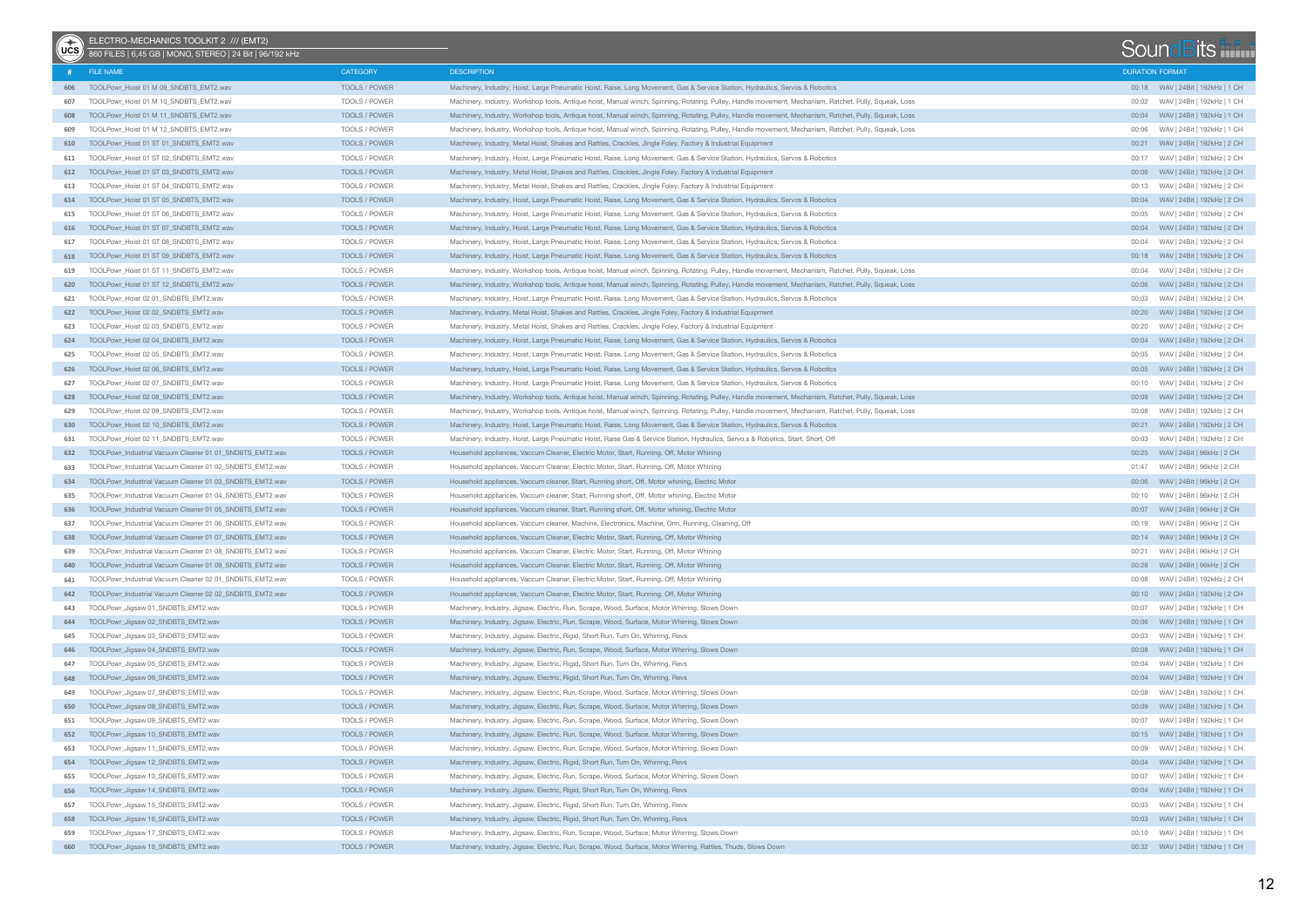| ∕<br>∪cs | ELECTRO-MECHANICS TOOLKIT 2 /// (EMT2)<br>860 FILES   6,45 GB   MONO, STEREO   24 Bit   96/192 kHz |                      |                                                                                                                                                        |                        | SoundBits                         |
|----------|----------------------------------------------------------------------------------------------------|----------------------|--------------------------------------------------------------------------------------------------------------------------------------------------------|------------------------|-----------------------------------|
|          | FILE NAME                                                                                          | CATEGORY             | <b>DESCRIPTION</b>                                                                                                                                     | <b>DURATION FORMAT</b> |                                   |
|          | 606 TOOLPowr_Hoist 01 M 09 SNDBTS_EMT2.wav                                                         | TOOLS / POWER        | Machinery, Industry, Hoist, Large Pneumatic Hoist, Raise, Long Movement, Gas & Service Station, Hydraulics, Servos & Robotics                          |                        |                                   |
| 607      | TOOLPowr_Hoist 01 M 10_SNDBTS_EMT2.wav                                                             | TOOLS / POWER        | Machinery, Industry, Workshop tools, Antique hoist, Manual winch, Spinning, Rotating, Pulley, Handle movement, Mechanism, Ratchet, Pully, Squeak, Loss | 00:02                  | WAV   24Bit   192kHz   1 CH       |
| 608      | TOOLPowr_Hoist 01 M 11_SNDBTS_EMT2.wav                                                             | TOOLS / POWER        | Machinery, Industry, Workshop tools, Antique hoist, Manual winch, Spinning, Rotating, Pulley, Handle movement, Mechanism, Ratchet, Pully, Squeak, Loss |                        | 00:04 WAV   24Bit   192kHz   1 CH |
| 609      | TOOLPowr_Hoist 01 M 12_SNDBTS_EMT2.wav                                                             | TOOLS / POWER        | Machinery, Industry, Workshop tools, Antique hoist, Manual winch, Spinning, Rotating, Pulley, Handle movement, Mechanism, Ratchet, Pully, Squeak, Loss | 00:06                  | WAV   24Bit   192kHz   1 CH       |
| 610      | TOOLPowr_Hoist 01 ST 01_SNDBTS_EMT2.wav                                                            | TOOLS / POWER        | Machinery, Industry, Metal Hoist, Shakes and Rattles, Crackles, Jingle Foley, Factory & Industrial Equipment                                           |                        |                                   |
| 611      | TOOLPowr_Hoist 01 ST 02_SNDBTS_EMT2.wav                                                            | TOOLS / POWER        | Machinery, Industry, Hoist, Large Pneumatic Hoist, Raise, Long Movement, Gas & Service Station, Hydraulics, Servos & Robotics                          |                        | 00:17 WAV   24Bit   192kHz   2 CH |
|          | 612 TOOLPowr_Hoist 01 ST 03_SNDBTS_EMT2.wav                                                        | TOOLS / POWER        | Machinery, Industry, Metal Hoist, Shakes and Rattles, Crackles, Jingle Foley, Factory & Industrial Equipment                                           |                        |                                   |
| 613      | TOOLPowr_Hoist 01 ST 04_SNDBTS_EMT2.wav                                                            | TOOLS / POWER        | Machinery, Industry, Metal Hoist, Shakes and Rattles, Crackles, Jingle Foley, Factory & Industrial Equipment                                           |                        | 00:13 WAV   24Bit   192kHz   2 CH |
|          | 614 TOOLPowr_Hoist 01 ST 05_SNDBTS_EMT2.wav                                                        | TOOLS / POWER        | Machinery, Industry, Hoist, Large Pneumatic Hoist, Raise, Long Movement, Gas & Service Station, Hydraulics, Servos & Robotics                          |                        | 00:04 WAV   24Bit   192kHz   2 CH |
| 615      | TOOLPowr_Hoist 01 ST 06_SNDBTS_EMT2.wav                                                            | TOOLS / POWER        | Machinery, Industry, Hoist, Large Pneumatic Hoist, Raise, Long Movement, Gas & Service Station, Hydraulics, Servos & Robotics                          | 00:05                  | WAV   24Bit   192kHz   2 CH       |
| 616      | TOOLPowr_Hoist 01 ST 07_SNDBTS_EMT2.wav                                                            | TOOLS / POWER        | Machinery, Industry, Hoist, Large Pneumatic Hoist, Raise, Long Movement, Gas & Service Station, Hydraulics, Servos & Robotics                          |                        | 00:04 WAV   24Bit   192kHz   2 CH |
| 617      | TOOLPowr_Hoist 01 ST 08_SNDBTS_EMT2.wav                                                            | TOOLS / POWER        | Machinery, Industry, Hoist, Large Pneumatic Hoist, Raise, Long Movement, Gas & Service Station, Hydraulics, Servos & Robotics                          |                        | 00:04 WAV   24Bit   192kHz   2 CH |
|          | 618 TOOLPowr_Hoist 01 ST 09_SNDBTS_EMT2.wav                                                        | TOOLS / POWER        | Machinery, Industry, Hoist, Large Pneumatic Hoist, Raise, Long Movement, Gas & Service Station, Hydraulics, Servos & Robotics                          |                        |                                   |
| 619      | TOOLPowr Hoist 01 ST 11 SNDBTS EMT2.wav                                                            | TOOLS / POWER        | Machinery, Industry, Workshop tools, Antique hoist, Manual winch, Spinning, Rotating, Pulley, Handle movement, Mechanism, Ratchet, Pully, Squeak, Loss | 00:04                  | WAV   24Bit   192kHz   2 CH       |
| 620      | TOOLPowr_Hoist 01 ST 12_SNDBTS_EMT2.wav                                                            | TOOLS / POWER        | Machinery, Industry, Workshop tools, Antique hoist, Manual winch, Spinning, Rotating, Pulley, Handle movement, Mechanism, Ratchet, Pully, Squeak, Loss |                        |                                   |
| 621      | TOOLPowr_Hoist 02 01_SNDBTS_EMT2.wav                                                               | TOOLS / POWER        | Machinery, Industry, Hoist, Large Pneumatic Hoist, Raise, Long Movement, Gas & Service Station, Hydraulics, Servos & Robotics                          |                        | 00:03 WAV   24Bit   192kHz   2 CH |
|          | 622 TOOLPowr_Hoist 02 02_SNDBTS_EMT2.wav                                                           | TOOLS / POWER        | Machinery, Industry, Metal Hoist, Shakes and Rattles, Crackles, Jingle Foley, Factory & Industrial Equipment                                           |                        | 00:20 WAV   24Bit   192kHz   2 CH |
| 623      | TOOLPowr_Hoist 02 03_SNDBTS_EMT2.wav                                                               | TOOLS / POWER        | Machinery, Industry, Metal Hoist, Shakes and Rattles, Crackles, Jingle Foley, Factory & Industrial Equipment                                           | 00:20                  | WAV   24Bit   192kHz   2 CH       |
|          | 624 TOOLPowr_Hoist 02 04 SNDBTS_EMT2.wav                                                           | TOOLS / POWER        | Machinery, Industry, Hoist, Large Pneumatic Hoist, Raise, Long Movement, Gas & Service Station, Hydraulics, Servos & Robotics                          |                        | 00:04 WAV   24Bit   192kHz   2 CH |
| 625      | TOOLPowr_Hoist 02 05_SNDBTS_EMT2.wav                                                               | TOOLS / POWER        | Machinery, Industry, Hoist, Large Pneumatic Hoist, Raise, Long Movement, Gas & Service Station, Hydraulics, Servos & Robotics                          |                        | 00:05 WAV   24Bit   192kHz   2 CH |
|          | 626 TOOLPowr Hoist 02 06 SNDBTS EMT2.wav                                                           | TOOLS / POWER        | Machinery, Industry, Hoist, Large Pneumatic Hoist, Raise, Long Movement, Gas & Service Station, Hydraulics, Servos & Robotics                          |                        |                                   |
| 627      | TOOLPowr_Hoist 02 07_SNDBTS_EMT2.wav                                                               | TOOLS / POWER        | Machinery, Industry, Hoist, Large Pneumatic Hoist, Raise, Long Movement, Gas & Service Station, Hydraulics, Servos & Robotics                          |                        | 00:10 WAV   24Bit   192kHz   2 CH |
|          | 628 TOOLPowr Hoist 02 08 SNDBTS EMT2.wav                                                           | TOOLS / POWER        | Machinery, Industry, Workshop tools, Antique hoist, Manual winch, Spinning, Rotating, Pulley, Handle movement, Mechanism, Ratchet, Pully, Squeak, Loss |                        |                                   |
| 629      | TOOLPowr Hoist 02 09 SNDBTS EMT2.wav                                                               | TOOLS / POWER        | Machinery, Industry, Workshop tools, Antique hoist, Manual winch, Spinning, Rotating, Pulley, Handle movement, Mechanism, Ratchet, Pully, Squeak, Loss |                        |                                   |
| 630      | TOOLPowr Hoist 02 10 SNDBTS EMT2.wav                                                               | <b>TOOLS / POWER</b> | Machinery, Industry, Hoist, Large Pneumatic Hoist, Raise, Long Movement, Gas & Service Station, Hydraulics, Servos & Robotics                          |                        |                                   |
| 631      | TOOLPowr_Hoist 02 11_SNDBTS_EMT2.wav                                                               | TOOLS / POWER        | Machinery, Industry, Hoist, Large Pneumatic Hoist, Raise Gas & Service Station, Hydraulics, Servo,s & Robotics, Start, Short, Off                      |                        | 00:03 WAV   24Bit   192kHz   2 CH |
| 632      | TOOLPowr_Industrial Vacuum Cleaner 01 01_SNDBTS_EMT2.wav                                           | TOOLS / POWER        | Household appliances, Vaccum Cleaner, Electric Motor, Start, Running, Off, Motor Whining                                                               |                        | 00:25 WAV   24Bit   96kHz   2 CH  |
| 633      | TOOLPowr_Industrial Vacuum Cleaner 01 02_SNDBTS_EMT2.wav                                           | TOOLS / POWER        | Household appliances, Vaccum Cleaner, Electric Motor, Start, Running, Off, Motor Whining                                                               |                        | 01:47 WAV   24Bit   96kHz   2 CH  |
| 634      | TOOLPowr_Industrial Vacuum Cleaner 01 03_SNDBTS_EMT2.wav                                           | TOOLS / POWER        | Household appliances, Vaccum cleaner, Start, Running short, Off, Motor whining, Electric Motor                                                         |                        |                                   |
| 635      | TOOLPowr_Industrial Vacuum Cleaner 01 04_SNDBTS_EMT2.wav                                           | TOOLS / POWER        | Household appliances, Vaccum cleaner, Start, Running short, Off, Motor whining, Electric Motor                                                         |                        | 00:10 WAV   24Bit   96kHz   2 CH  |
| 636      | TOOLPowr_Industrial Vacuum Cleaner 01 05_SNDBTS_EMT2.wav                                           | TOOLS / POWER        | Household appliances, Vaccum cleaner, Start, Running short, Off, Motor whining, Electric Motor                                                         |                        |                                   |
| 637      | TOOLPowr_Industrial Vacuum Cleaner 01 06_SNDBTS_EMT2.wav                                           | TOOLS / POWER        | Household appliances, Vaccum cleaner, Machine, Electronics, Machine, Onn, Running, Cleaning, Off                                                       |                        | 00:19 WAV   24Bit   96kHz   2 CH  |
| 638      | TOOLPowr_Industrial Vacuum Cleaner 01 07_SNDBTS_EMT2.wav                                           | TOOLS / POWER        | Household appliances, Vaccum Cleaner, Electric Motor, Start, Running, Off, Motor Whining                                                               |                        | 00:14 WAV   24Bit   96kHz   2 CH  |
| 639      | TOOLPowr_Industrial Vacuum Cleaner 01 08_SNDBTS_EMT2.wav                                           | TOOLS / POWER        | Household appliances, Vaccum Cleaner, Electric Motor, Start, Running, Off, Motor Whining                                                               | 00:21                  | WAV   24Bit   96kHz   2 CH        |
| 640      | TOOLPowr_Industrial Vacuum Cleaner 01 09_SNDBTS_EMT2.wav                                           | TOOLS / POWER        | Household appliances, Vaccum Cleaner, Electric Motor, Start, Running, Off, Motor Whining                                                               |                        | 00:28 WAV   24Bit   96kHz   2 CH  |
| 641      | TOOLPowr_Industrial Vacuum Cleaner 02 01_SNDBTS_EMT2.wav                                           | TOOLS / POWER        | Household appliances, Vaccum Cleaner, Electric Motor, Start, Running, Off, Motor Whining                                                               | 00:08                  | WAV   24Bit   192kHz   2 CH       |
| 642      | TOOLPowr_Industrial Vacuum Cleaner 02 02_SNDBTS_EMT2.wav                                           | TOOLS / POWER        | Household appliances, Vaccum Cleaner, Electric Motor, Start, Running, Off, Motor Whining                                                               |                        | 00:10 WAV   24Bit   192kHz   2 CH |
| 643      | TOOLPowr_Jigsaw 01_SNDBTS_EMT2.wav                                                                 | TOOLS / POWER        | Machinery, Industry, Jigsaw, Electric, Run, Scrape, Wood, Surface, Motor Whirring, Slows Down                                                          | 00:07                  | WAV   24Bit   192kHz   1 CH       |
| 644      | TOOLPowr_Jigsaw 02_SNDBTS_EMT2.wav                                                                 | TOOLS / POWER        | Machinery, Industry, Jigsaw, Electric, Run, Scrape, Wood, Surface, Motor Whirring, Slows Down                                                          |                        |                                   |
| 645      | TOOLPowr Jigsaw 03 SNDBTS EMT2.wav                                                                 | TOOLS / POWER        | Machinery, Industry, Jigsaw, Electric, Rigid, Short Run, Turn On, Whirring, Revs                                                                       | 00:03                  | WAV   24Bit   192kHz   1 CH       |
| 646      | TOOLPowr Jigsaw 04 SNDBTS EMT2.wav                                                                 | TOOLS / POWER        | Machinery, Industry, Jigsaw, Electric, Run, Scrape, Wood, Surface, Motor Whirring, Slows Down                                                          |                        |                                   |
| 647      | TOOLPowr_Jigsaw 05_SNDBTS_EMT2.wav                                                                 | TOOLS / POWER        | Machinery, Industry, Jigsaw, Electric, Rigid, Short Run, Turn On, Whirring, Revs                                                                       | 00:04                  | WAV   24Bit   192kHz   1 CH       |
| 648      | TOOLPowr_Jigsaw 06_SNDBTS_EMT2.wav                                                                 | TOOLS / POWER        | Machinery, Industry, Jigsaw, Electric, Rigid, Short Run, Turn On, Whirring, Revs                                                                       |                        | 00:04 WAV   24Bit   192kHz   1 CH |
| 649      | TOOLPowr_Jigsaw 07_SNDBTS_EMT2.wav                                                                 | TOOLS / POWER        | Machinery, Industry, Jigsaw, Electric, Run, Scrape, Wood, Surface, Motor Whirring, Slows Down                                                          |                        | WAV   24Bit   192kHz   1 CH       |
|          | 650 TOOLPowr_Jigsaw 08_SNDBTS_EMT2.wav                                                             | TOOLS / POWER        | Machinery, Industry, Jigsaw, Electric, Run, Scrape, Wood, Surface, Motor Whirring, Slows Down                                                          |                        |                                   |
| 651      | TOOLPowr_Jigsaw 09_SNDBTS_EMT2.wav                                                                 | TOOLS / POWER        | Machinery, Industry, Jigsaw, Electric, Run, Scrape, Wood, Surface, Motor Whirring, Slows Down                                                          |                        | 00:07 WAV   24Bit   192kHz   1 CH |
|          | 652 TOOLPowr_Jigsaw 10_SNDBTS_EMT2.wav                                                             | TOOLS / POWER        | Machinery, Industry, Jigsaw, Electric, Run, Scrape, Wood, Surface, Motor Whirring, Slows Down                                                          |                        | 00:15 WAV   24Bit   192kHz   1 CH |
|          | 653 TOOLPowr_Jigsaw 11_SNDBTS_EMT2.wav                                                             | TOOLS / POWER        | Machinery, Industry, Jigsaw, Electric, Run, Scrape, Wood, Surface, Motor Whirring, Slows Down                                                          |                        | 00:09 WAV   24Bit   192kHz   1 CH |
|          | 654 TOOLPowr_Jigsaw 12_SNDBTS_EMT2.wav                                                             | TOOLS / POWER        | Machinery, Industry, Jigsaw, Electric, Rigid, Short Run, Turn On, Whirring, Revs                                                                       |                        | 00:04 WAV   24Bit   192kHz   1 CH |
|          | 655 TOOLPowr_Jigsaw 13_SNDBTS_EMT2.wav                                                             | TOOLS / POWER        | Machinery, Industry, Jigsaw, Electric, Run, Scrape, Wood, Surface, Motor Whirring, Slows Down                                                          | 00:07                  | WAV   24Bit   192kHz   1 CH       |
|          | 656 TOOLPowr_Jigsaw 14_SNDBTS_EMT2.wav                                                             | TOOLS / POWER        | Machinery, Industry, Jigsaw, Electric, Rigid, Short Run, Turn On, Whirring, Revs                                                                       |                        | 00:04 WAV   24Bit   192kHz   1 CH |
|          | 657 TOOLPowr_Jigsaw 15_SNDBTS_EMT2.wav                                                             | TOOLS / POWER        | Machinery, Industry, Jigsaw, Electric, Rigid, Short Run, Turn On, Whirring, Revs                                                                       | 00:03                  | WAV   24Bit   192kHz   1 CH       |
| 658      | TOOLPowr_Jigsaw 16_SNDBTS_EMT2.wav                                                                 | TOOLS / POWER        | Machinery, Industry, Jigsaw, Electric, Rigid, Short Run, Turn On, Whirring, Revs                                                                       |                        |                                   |
| 659      | TOOLPowr_Jigsaw 17_SNDBTS_EMT2.wav                                                                 | TOOLS / POWER        | Machinery, Industry, Jigsaw, Electric, Run, Scrape, Wood, Surface, Motor Whirring, Slows Down                                                          |                        | 00:10 WAV   24Bit   192kHz   1 CH |
|          | 660 TOOLPowr_Jigsaw 18_SNDBTS_EMT2.wav                                                             | TOOLS / POWER        | Machinery, Industry, Jigsaw, Electric, Run, Scrape, Wood, Surface, Motor Whirring, Rattles, Thuds, Slows Down                                          |                        |                                   |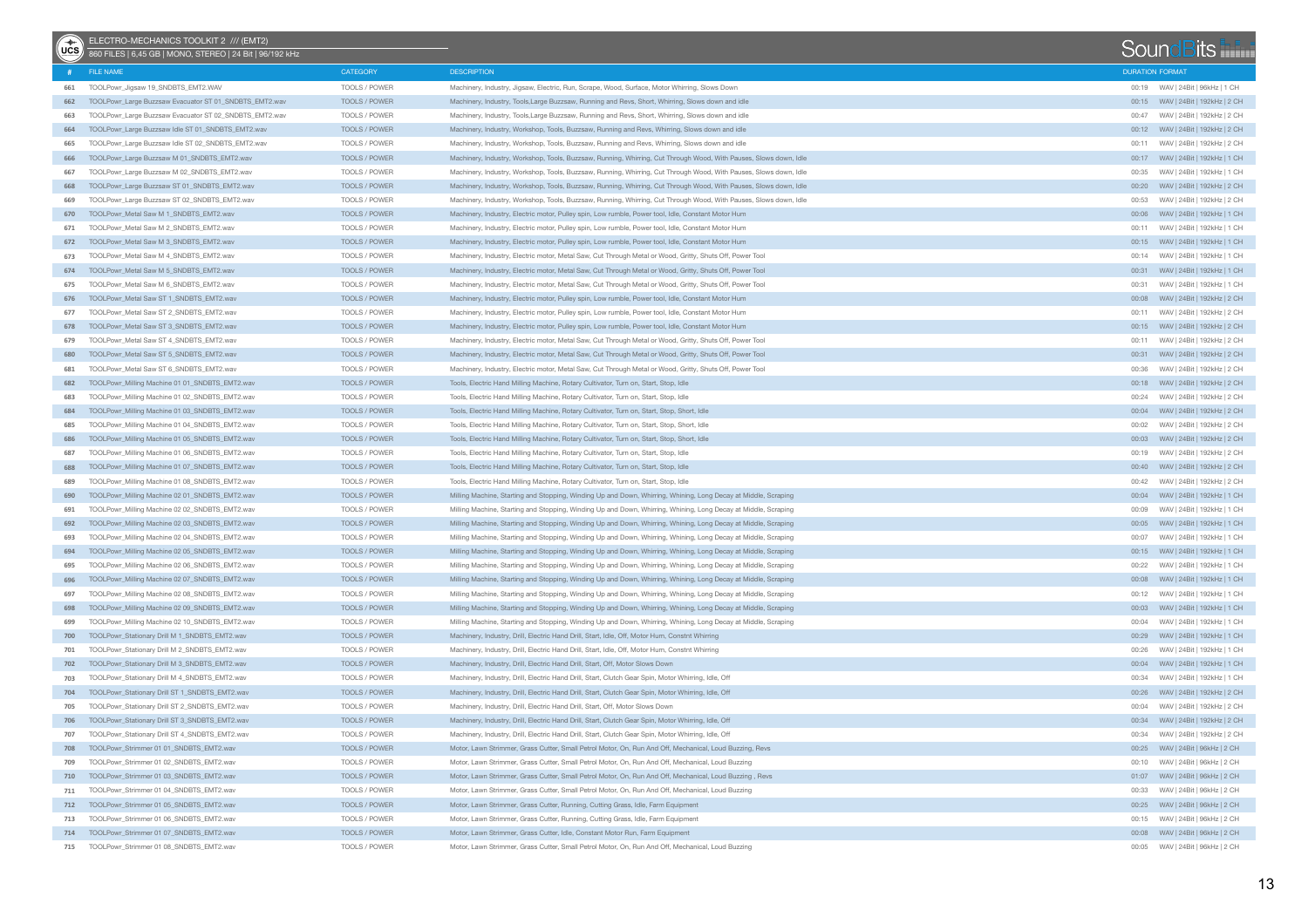| $\begin{matrix} 1 \\ \text{UCS} \end{matrix}$ | ELECTRO-MECHANICS TOOLKIT 2 /// (EMT2)<br>860 FILES   6,45 GB   MONO, STEREO   24 Bit   96/192 kHz |                      |                                                                                                                   |                        | SoundBits                                                        |  |
|-----------------------------------------------|----------------------------------------------------------------------------------------------------|----------------------|-------------------------------------------------------------------------------------------------------------------|------------------------|------------------------------------------------------------------|--|
|                                               | FILE NAME                                                                                          | CATEGORY             | <b>DESCRIPTION</b>                                                                                                | <b>DURATION FORMAT</b> |                                                                  |  |
|                                               | 661 TOOLPowr_Jigsaw 19_SNDBTS_EMT2.WAV                                                             | TOOLS / POWER        | Machinery, Industry, Jigsaw, Electric, Run, Scrape, Wood, Surface, Motor Whirring, Slows Down                     |                        | 00:19 WAV   24Bit   96kHz   1 CH                                 |  |
| 662                                           | TOOLPowr_Large Buzzsaw Evacuator ST 01_SNDBTS_EMT2.wav                                             | TOOLS / POWER        | Machinery, Industry, Tools, Large Buzzsaw, Running and Revs, Short, Whirring, Slows down and idle                 |                        |                                                                  |  |
| 663                                           | TOOLPowr_Large Buzzsaw Evacuator ST 02_SNDBTS_EMT2.wav                                             | TOOLS / POWER        | Machinery, Industry, Tools, Large Buzzsaw, Running and Revs, Short, Whirring, Slows down and idle                 | 00:47                  | WAV   24Bit   192kHz   2 CH                                      |  |
| 664                                           | TOOLPowr_Large Buzzsaw Idle ST 01_SNDBTS_EMT2.wav                                                  | TOOLS / POWER        | Machinery, Industry, Workshop, Tools, Buzzsaw, Running and Revs, Whirring, Slows down and idle                    |                        |                                                                  |  |
| 665                                           | TOOLPowr_Large Buzzsaw Idle ST 02_SNDBTS_EMT2.wav                                                  | TOOLS / POWER        | Machinery, Industry, Workshop, Tools, Buzzsaw, Running and Revs, Whirring, Slows down and idle                    | 00:11                  | WAV   24Bit   192kHz   2 CH                                      |  |
| 666                                           | TOOLPowr_Large Buzzsaw M 01_SNDBTS_EMT2.wav                                                        | TOOLS / POWER        | Machinery, Industry, Workshop, Tools, Buzzsaw, Running, Whirring, Cut Through Wood, With Pauses, Slows down, Idle |                        |                                                                  |  |
| 667                                           | TOOLPowr_Large Buzzsaw M 02_SNDBTS_EMT2.wav                                                        | TOOLS / POWER        | Machinery, Industry, Workshop, Tools, Buzzsaw, Running, Whirring, Cut Through Wood, With Pauses, Slows down, Idle | 00:35                  | WAV   24Bit   192kHz   1 CH                                      |  |
| 668                                           | TOOLPowr_Large Buzzsaw ST 01_SNDBTS_EMT2.wav                                                       | TOOLS / POWER        | Machinery, Industry, Workshop, Tools, Buzzsaw, Running, Whirring, Cut Through Wood, With Pauses, Slows down, Idle |                        | 00:20 WAV   24Bit   192kHz   2 CH                                |  |
| 669                                           | TOOLPowr_Large Buzzsaw ST 02_SNDBTS_EMT2.wav                                                       | TOOLS / POWER        | Machinery, Industry, Workshop, Tools, Buzzsaw, Running, Whirring, Cut Through Wood, With Pauses, Slows down, Idle | 00:53                  | WAV   24Bit   192kHz   2 CH                                      |  |
| 670                                           | TOOLPowr Metal Saw M 1 SNDBTS EMT2.wav                                                             | TOOLS / POWER        | Machinery, Industry, Electric motor, Pulley spin, Low rumble, Power tool, Idle, Constant Motor Hum                |                        |                                                                  |  |
| 671                                           | TOOLPowr_Metal Saw M 2_SNDBTS_EMT2.wav                                                             | TOOLS / POWER        | Machinery, Industry, Electric motor, Pulley spin, Low rumble, Power tool, Idle, Constant Motor Hum                | 00:11                  | WAV   24Bit   192kHz   1 CH                                      |  |
| 672                                           | TOOLPowr_Metal Saw M 3_SNDBTS_EMT2.wav                                                             | TOOLS / POWER        | Machinery, Industry, Electric motor, Pulley spin, Low rumble, Power tool, Idle, Constant Motor Hum                |                        | 00:15 WAV   24Bit   192kHz   1 CH                                |  |
| 673                                           | TOOLPowr_Metal Saw M 4_SNDBTS_EMT2.wav                                                             | TOOLS / POWER        | Machinery, Industry, Electric motor, Metal Saw, Cut Through Metal or Wood, Gritty, Shuts Off, Power Tool          | 00:14                  | WAV   24Bit   192kHz   1 CH                                      |  |
| 674                                           | TOOLPowr_Metal Saw M 5_SNDBTS_EMT2.wav                                                             | TOOLS / POWER        | Machinery, Industry, Electric motor, Metal Saw, Cut Through Metal or Wood, Gritty, Shuts Off, Power Tool          |                        | 00:31 WAV   24Bit   192kHz   1 CH                                |  |
| 675                                           | TOOLPowr_Metal Saw M 6_SNDBTS_EMT2.wav                                                             | TOOLS / POWER        | Machinery, Industry, Electric motor, Metal Saw, Cut Through Metal or Wood, Gritty, Shuts Off, Power Tool          | 00:31                  | WAV   24Bit   192kHz   1 CH                                      |  |
| 676                                           | TOOLPowr_Metal Saw ST 1_SNDBTS_EMT2.wav                                                            | TOOLS / POWER        | Machinery, Industry, Electric motor, Pulley spin, Low rumble, Power tool, Idle, Constant Motor Hum                |                        |                                                                  |  |
| 677                                           | TOOLPowr_Metal Saw ST 2_SNDBTS_EMT2.wav                                                            | TOOLS / POWER        | Machinery, Industry, Electric motor, Pulley spin, Low rumble, Power tool, Idle, Constant Motor Hum                | 00:11                  | WAV   24Bit   192kHz   2 CH                                      |  |
| 678                                           | TOOLPowr_Metal Saw ST 3_SNDBTS_EMT2.wav                                                            | TOOLS / POWER        | Machinery, Industry, Electric motor, Pulley spin, Low rumble, Power tool, Idle, Constant Motor Hum                |                        | 00:15 WAV   24Bit   192kHz   2 CH                                |  |
| 679                                           | TOOLPowr_Metal Saw ST 4 SNDBTS_EMT2.wav                                                            | TOOLS / POWER        | Machinery, Industry, Electric motor, Metal Saw, Cut Through Metal or Wood, Gritty, Shuts Off, Power Tool          | 00:11                  | WAV   24Bit   192kHz   2 CH                                      |  |
| 680                                           | TOOLPowr_Metal Saw ST 5_SNDBTS_EMT2.wav                                                            | TOOLS / POWER        | Machinery, Industry, Electric motor, Metal Saw, Cut Through Metal or Wood, Gritty, Shuts Off, Power Tool          |                        | 00:31 WAV   24Bit   192kHz   2 CH                                |  |
| 681                                           | TOOLPowr_Metal Saw ST 6_SNDBTS_EMT2.wav                                                            | TOOLS / POWER        | Machinery, Industry, Electric motor, Metal Saw, Cut Through Metal or Wood, Gritty, Shuts Off, Power Tool          | 00:36                  | WAV   24Bit   192kHz   2 CH                                      |  |
| 682                                           | TOOLPowr_Milling Machine 01 01_SNDBTS_EMT2.wav                                                     | TOOLS / POWER        | Tools, Electric Hand Milling Machine, Rotary Cultivator, Turn on, Start, Stop, Idle                               |                        |                                                                  |  |
| 683                                           | TOOLPowr_Milling Machine 01 02 SNDBTS_EMT2.wav                                                     | TOOLS / POWER        | Tools, Electric Hand Milling Machine, Rotary Cultivator, Turn on, Start, Stop, Idle                               | 00:24                  | WAV   24Bit   192kHz   2 CH                                      |  |
| 684                                           | TOOLPowr_Milling Machine 01 03_SNDBTS_EMT2.wav                                                     | TOOLS / POWER        | Tools, Electric Hand Milling Machine, Rotary Cultivator, Turn on, Start, Stop, Short, Idle                        |                        | 00:04 WAV   24Bit   192kHz   2 CH                                |  |
|                                               | TOOLPowr Milling Machine 01 04 SNDBTS EMT2.wav                                                     | TOOLS / POWER        | Tools, Electric Hand Milling Machine, Rotary Cultivator, Turn on, Start, Stop, Short, Idle                        | 00:02                  | WAV   24Bit   192kHz   2 CH                                      |  |
| 685                                           |                                                                                                    |                      |                                                                                                                   |                        |                                                                  |  |
| 686                                           | TOOLPowr_Milling Machine 01 05 SNDBTS_EMT2.wav                                                     | <b>TOOLS / POWER</b> | Tools, Electric Hand Milling Machine, Rotary Cultivator, Turn on, Start, Stop, Short, Idle                        |                        |                                                                  |  |
| 687                                           | TOOLPowr_Milling Machine 01 06 SNDBTS_EMT2.wav                                                     | TOOLS / POWER        | Tools, Electric Hand Milling Machine, Rotary Cultivator, Turn on, Start, Stop, Idle                               | 00:19                  | WAV   24Bit   192kHz   2 CH<br>00:40 WAV   24Bit   192kHz   2 CH |  |
| 688                                           | TOOLPowr_Milling Machine 01 07 SNDBTS_EMT2.wav                                                     | <b>TOOLS / POWER</b> | Tools, Electric Hand Milling Machine, Rotary Cultivator, Turn on, Start, Stop, Idle                               |                        |                                                                  |  |
| 689                                           | TOOLPowr_Milling Machine 01 08_SNDBTS_EMT2.wav                                                     | TOOLS / POWER        | Tools, Electric Hand Milling Machine, Rotary Cultivator, Turn on, Start, Stop, Idle                               | 00:42                  | WAV   24Bit   192kHz   2 CH                                      |  |
| 690                                           | TOOLPowr_Milling Machine 02 01_SNDBTS_EMT2.wav                                                     | <b>TOOLS / POWER</b> | Milling Machine, Starting and Stopping, Winding Up and Down, Whirring, Whining, Long Decay at Middle, Scraping    |                        | 00:04 WAV   24Bit   192kHz   1 CH                                |  |
| 691                                           | TOOLPowr_Milling Machine 02 02_SNDBTS_EMT2.wav                                                     | TOOLS / POWER        | Milling Machine, Starting and Stopping, Winding Up and Down, Whirring, Whining, Long Decay at Middle, Scraping    | 00:09                  | WAV   24Bit   192kHz   1 CH                                      |  |
| 692                                           | TOOLPowr_Milling Machine 02 03_SNDBTS_EMT2.wav                                                     | TOOLS / POWER        | Milling Machine, Starting and Stopping, Winding Up and Down, Whirring, Whining, Long Decay at Middle, Scraping    |                        |                                                                  |  |
| 693                                           | TOOLPowr_Milling Machine 02 04_SNDBTS_EMT2.wav                                                     | TOOLS / POWER        | Milling Machine, Starting and Stopping, Winding Up and Down, Whirring, Whining, Long Decay at Middle, Scraping    | 00:07                  | WAV   24Bit   192kHz   1 CH                                      |  |
| 694                                           | TOOLPowr_Milling Machine 02 05_SNDBTS_EMT2.wav                                                     | TOOLS / POWER        | Milling Machine, Starting and Stopping, Winding Up and Down, Whirring, Whining, Long Decay at Middle, Scraping    |                        |                                                                  |  |
| 695                                           | TOOLPowr_Milling Machine 02 06_SNDBTS_EMT2.wav                                                     | TOOLS / POWER        | Milling Machine, Starting and Stopping, Winding Up and Down, Whirring, Whining, Long Decay at Middle, Scraping    | 00:22                  | WAV   24Bit   192kHz   1 CH                                      |  |
| 696                                           | TOOLPowr_Milling Machine 02 07_SNDBTS_EMT2.wav                                                     | TOOLS / POWER        | Milling Machine, Starting and Stopping, Winding Up and Down, Whirring, Whining, Long Decay at Middle, Scraping    |                        |                                                                  |  |
| 697                                           | TOOLPowr_Milling Machine 02 08_SNDBTS_EMT2.wav                                                     | TOOLS / POWER        | Milling Machine, Starting and Stopping, Winding Up and Down, Whirring, Whining, Long Decay at Middle, Scraping    | 00:12                  | WAV   24Bit   192kHz   1 CH                                      |  |
| 698                                           | TOOLPowr_Milling Machine 02 09_SNDBTS_EMT2.wav                                                     | TOOLS / POWER        | Milling Machine, Starting and Stopping, Winding Up and Down, Whirring, Whining, Long Decay at Middle, Scraping    |                        | 00:03 WAV   24Bit   192kHz   1 CH                                |  |
| 699                                           | TOOLPowr_Milling Machine 02 10_SNDBTS_EMT2.wav                                                     | TOOLS / POWER        | Milling Machine, Starting and Stopping, Winding Up and Down, Whirring, Whining, Long Decay at Middle, Scraping    | 00:04                  | WAV   24Bit   192kHz   1 CH                                      |  |
| 700                                           | TOOLPowr_Stationary Drill M 1_SNDBTS_EMT2.wav                                                      | TOOLS / POWER        | Machinery, Industry, Drill, Electric Hand Drill, Start, Idle, Off, Motor Hum, Constnt Whirring                    |                        | 00:29 WAV   24Bit   192kHz   1 CH                                |  |
| 701                                           | TOOLPowr_Stationary Drill M 2_SNDBTS_EMT2.wav                                                      | TOOLS / POWER        | Machinery, Industry, Drill, Electric Hand Drill, Start, Idle, Off, Motor Hum, Constnt Whirring                    | 00:26                  | WAV   24Bit   192kHz   1 CH                                      |  |
| 702                                           | TOOLPowr_Stationary Drill M 3_SNDBTS_EMT2.wav                                                      | TOOLS / POWER        | Machinery, Industry, Drill, Electric Hand Drill, Start, Off, Motor Slows Down                                     |                        | 00:04 WAV   24Bit   192kHz   1 CH                                |  |
| 703                                           | TOOLPowr_Stationary Drill M 4_SNDBTS_EMT2.wav                                                      | TOOLS / POWER        | Machinery, Industry, Drill, Electric Hand Drill, Start, Clutch Gear Spin, Motor Whirring, Idle, Off               | 00:34                  | WAV   24Bit   192kHz   1 CH                                      |  |
| 704                                           | TOOLPowr_Stationary Drill ST 1_SNDBTS_EMT2.wav                                                     | TOOLS / POWER        | Machinery, Industry, Drill, Electric Hand Drill, Start, Clutch Gear Spin, Motor Whirring, Idle, Off               |                        |                                                                  |  |
| 705                                           | TOOLPowr_Stationary Drill ST 2_SNDBTS_EMT2.wav                                                     | TOOLS / POWER        | Machinery, Industry, Drill, Electric Hand Drill, Start, Off, Motor Slows Down                                     | 00:04                  | WAV   24Bit   192kHz   2 CH                                      |  |
| 706                                           | TOOLPowr Stationary Drill ST 3 SNDBTS EMT2.wav                                                     | TOOLS / POWER        | Machinery, Industry, Drill, Electric Hand Drill, Start, Clutch Gear Spin, Motor Whirring, Idle, Off               |                        | 00:34 WAV   24Bit   192kHz   2 CH                                |  |
| 707                                           | TOOLPowr_Stationary Drill ST 4_SNDBTS_EMT2.wav                                                     | TOOLS / POWER        | Machinery, Industry, Drill, Electric Hand Drill, Start, Clutch Gear Spin, Motor Whirring, Idle, Off               |                        | 00:34 WAV   24Bit   192kHz   2 CH                                |  |
|                                               | 708 TOOLPowr_Strimmer 01 01_SNDBTS_EMT2.wav                                                        | TOOLS / POWER        | Motor, Lawn Strimmer, Grass Cutter, Small Petrol Motor, On, Run And Off, Mechanical, Loud Buzzing, Revs           |                        | 00:25 WAV   24Bit   96kHz   2 CH                                 |  |
| 709                                           | TOOLPowr_Strimmer 01 02_SNDBTS_EMT2.wav                                                            | TOOLS / POWER        | Motor, Lawn Strimmer, Grass Cutter, Small Petrol Motor, On, Run And Off, Mechanical, Loud Buzzing                 | 00:10                  | WAV   24Bit   96kHz   2 CH                                       |  |
|                                               | 710 TOOLPowr_Strimmer 01 03_SNDBTS_EMT2.wav                                                        | TOOLS / POWER        | Motor, Lawn Strimmer, Grass Cutter, Small Petrol Motor, On, Run And Off, Mechanical, Loud Buzzing, Revs           |                        |                                                                  |  |
| 711                                           | TOOLPowr_Strimmer 01 04_SNDBTS_EMT2.wav                                                            | TOOLS / POWER        | Motor, Lawn Strimmer, Grass Cutter, Small Petrol Motor, On, Run And Off, Mechanical, Loud Buzzing                 | 00:33                  | WAV   24Bit   96kHz   2 CH                                       |  |
|                                               | 712 TOOLPowr Strimmer 01 05 SNDBTS EMT2.wav                                                        | TOOLS / POWER        | Motor, Lawn Strimmer, Grass Cutter, Running, Cutting Grass, Idle, Farm Equipment                                  |                        | 00:25 WAV   24Bit   96kHz   2 CH                                 |  |
|                                               | 713 TOOLPowr Strimmer 01 06 SNDBTS EMT2.wav                                                        | TOOLS / POWER        | Motor, Lawn Strimmer, Grass Cutter, Running, Cutting Grass, Idle, Farm Equipment                                  |                        | 00:15 WAV   24Bit   96kHz   2 CH                                 |  |
|                                               | 714 TOOLPowr_Strimmer 01 07_SNDBTS_EMT2.wav                                                        | TOOLS / POWER        | Motor, Lawn Strimmer, Grass Cutter, Idle, Constant Motor Run, Farm Equipment                                      |                        |                                                                  |  |
|                                               | 715 TOOLPowr_Strimmer 01 08_SNDBTS_EMT2.wav                                                        | TOOLS / POWER        | Motor, Lawn Strimmer, Grass Cutter, Small Petrol Motor, On, Run And Off, Mechanical, Loud Buzzing                 |                        | 00:05 WAV   24Bit   96kHz   2 CH                                 |  |
|                                               |                                                                                                    |                      |                                                                                                                   |                        |                                                                  |  |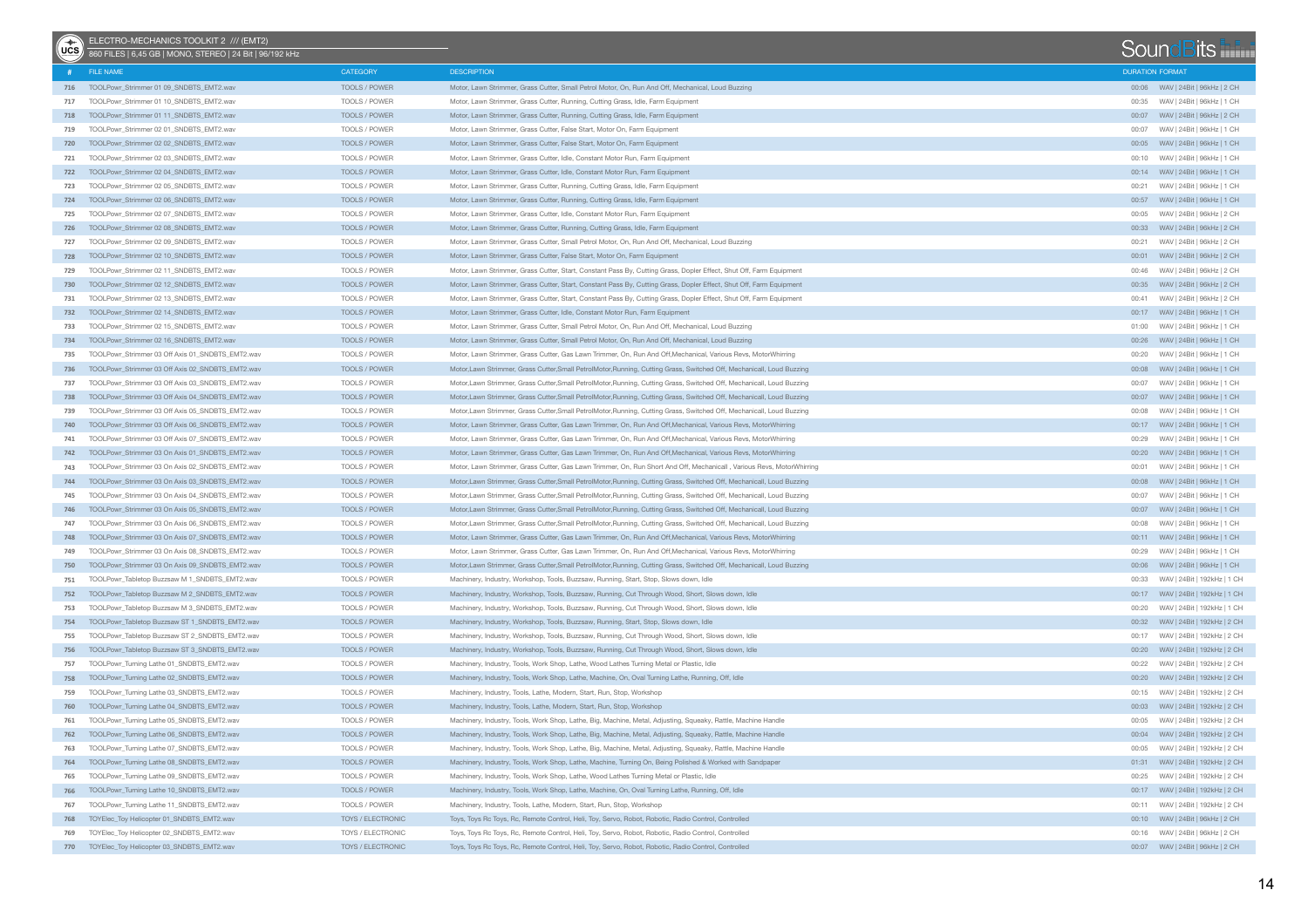| $\begin{pmatrix} + & 1 \\ 0 & -1 \end{pmatrix}$ | ELECTRO-MECHANICS TOOLKIT 2 /// (EMT2)<br>860 FILES   6,45 GB   MONO, STEREO   24 Bit   96/192 kHz |                      |                                                                                                                        |                        | SoundBits                             |  |
|-------------------------------------------------|----------------------------------------------------------------------------------------------------|----------------------|------------------------------------------------------------------------------------------------------------------------|------------------------|---------------------------------------|--|
|                                                 | FILE NAME                                                                                          | CATEGORY             | <b>DESCRIPTION</b>                                                                                                     | <b>DURATION FORMAT</b> |                                       |  |
|                                                 | 716 TOOLPowr_Strimmer 01 09_SNDBTS_EMT2.wav                                                        | TOOLS / POWER        | Motor, Lawn Strimmer, Grass Cutter, Small Petrol Motor, On, Run And Off, Mechanical, Loud Buzzing                      |                        |                                       |  |
| 717                                             | TOOLPowr Strimmer 01 10 SNDBTS EMT2.wav                                                            | TOOLS / POWER        | Motor, Lawn Strimmer, Grass Cutter, Running, Cutting Grass, Idle, Farm Equipment                                       | 00:35                  | WAV   24Bit   96kHz   1 CH            |  |
|                                                 | 718 TOOLPowr Strimmer 01 11 SNDBTS EMT2.wav                                                        | TOOLS / POWER        | Motor, Lawn Strimmer, Grass Cutter, Running, Cutting Grass, Idle, Farm Equipment                                       |                        |                                       |  |
| 719                                             | TOOLPowr_Strimmer 02 01_SNDBTS_EMT2.wav                                                            | TOOLS / POWER        | Motor, Lawn Strimmer, Grass Cutter, False Start, Motor On, Farm Equipment                                              | 00:07                  | WAV   24Bit   96kHz   1 CH            |  |
| 720                                             | TOOLPowr_Strimmer 02 02_SNDBTS_EMT2.wav                                                            | TOOLS / POWER        | Motor, Lawn Strimmer, Grass Cutter, False Start, Motor On, Farm Equipment                                              |                        |                                       |  |
| 721                                             | TOOLPowr_Strimmer 02 03_SNDBTS_EMT2.wav                                                            | TOOLS / POWER        | Motor, Lawn Strimmer, Grass Cutter, Idle, Constant Motor Run, Farm Equipment                                           | 00:10                  | WAV   24Bit   96kHz   1 CH            |  |
|                                                 | 722 TOOLPowr_Strimmer 02 04_SNDBTS_EMT2.wav                                                        | TOOLS / POWER        | Motor, Lawn Strimmer, Grass Cutter, Idle, Constant Motor Run, Farm Equipment                                           |                        | 00:14 WAV   24Bit   96kHz   1 CH      |  |
| 723                                             | TOOLPowr_Strimmer 02 05_SNDBTS_EMT2.wav                                                            | TOOLS / POWER        | Motor, Lawn Strimmer, Grass Cutter, Running, Cutting Grass, Idle, Farm Equipment                                       | 00:21                  | WAV   24Bit   96kHz   1 CH            |  |
|                                                 | 724 TOOLPowr_Strimmer 02 06_SNDBTS_EMT2.wav                                                        | TOOLS / POWER        | Motor, Lawn Strimmer, Grass Cutter, Running, Cutting Grass, Idle, Farm Equipment                                       |                        | 00:57 WAV   24Bit   96kHz   1 CH      |  |
| 725                                             | TOOLPowr_Strimmer 02 07_SNDBTS_EMT2.wav                                                            | TOOLS / POWER        | Motor, Lawn Strimmer, Grass Cutter, Idle, Constant Motor Run, Farm Equipment                                           | 00:05                  | WAV   24Bit   96kHz   2 CH            |  |
| 726                                             | TOOLPowr_Strimmer 02 08_SNDBTS_EMT2.wav                                                            | TOOLS / POWER        | Motor, Lawn Strimmer, Grass Cutter, Running, Cutting Grass, Idle, Farm Equipment                                       |                        | 00:33 WAV   24Bit   96kHz   2 CH      |  |
| 727                                             | TOOLPowr_Strimmer 02 09_SNDBTS_EMT2.wav                                                            | TOOLS / POWER        | Motor, Lawn Strimmer, Grass Cutter, Small Petrol Motor, On, Run And Off, Mechanical, Loud Buzzing                      | 00:21                  | WAV   24Bit   96kHz   2 CH            |  |
| 728                                             | TOOLPowr_Strimmer 02 10_SNDBTS_EMT2.wav                                                            | TOOLS / POWER        | Motor, Lawn Strimmer, Grass Cutter, False Start, Motor On, Farm Equipment                                              |                        |                                       |  |
| 729                                             | TOOLPowr_Strimmer 02 11_SNDBTS_EMT2.wav                                                            | TOOLS / POWER        | Motor, Lawn Strimmer, Grass Cutter, Start, Constant Pass By, Cutting Grass, Dopler Effect, Shut Off, Farm Equipment    | 00:46                  | WAV   24Bit   96kHz   2 CH            |  |
| 730                                             | TOOLPowr_Strimmer 02 12_SNDBTS_EMT2.wav                                                            | TOOLS / POWER        | Motor, Lawn Strimmer, Grass Cutter, Start, Constant Pass By, Cutting Grass, Dopler Effect, Shut Off, Farm Equipment    |                        | 00:35 WAV   24Bit   96kHz   2 CH      |  |
| 731                                             | TOOLPowr_Strimmer 02 13_SNDBTS_EMT2.wav                                                            | TOOLS / POWER        | Motor, Lawn Strimmer, Grass Cutter, Start, Constant Pass By, Cutting Grass, Dopler Effect, Shut Off, Farm Equipment    |                        | 00:41 WAV   24Bit   96kHz   2 CH      |  |
|                                                 | 732 TOOLPowr_Strimmer 02 14_SNDBTS_EMT2.wav                                                        | TOOLS / POWER        | Motor, Lawn Strimmer, Grass Cutter, Idle, Constant Motor Run, Farm Equipment                                           |                        |                                       |  |
| 733                                             | TOOLPowr_Strimmer 02 15_SNDBTS_EMT2.wav                                                            | TOOLS / POWER        | Motor, Lawn Strimmer, Grass Cutter, Small Petrol Motor, On, Run And Off, Mechanical, Loud Buzzing                      |                        | 01:00 WAV   24Bit   96kHz   1 CH      |  |
|                                                 | 734 TOOLPowr_Strimmer 02 16_SNDBTS_EMT2.wav                                                        | TOOLS / POWER        | Motor, Lawn Strimmer, Grass Cutter, Small Petrol Motor, On, Run And Off, Mechanical, Loud Buzzing                      |                        | 00:26 WAV   24Bit   96kHz   1 CH      |  |
| 735                                             | TOOLPowr Strimmer 03 Off Axis 01 SNDBTS EMT2.wav                                                   | TOOLS / POWER        | Motor, Lawn Strimmer, Grass Cutter, Gas Lawn Trimmer, On, Run And Off, Mechanical, Various Revs, Motor Whirring        | 00:20                  | WAV   24Bit   96kHz   1 CH            |  |
| 736                                             | TOOLPowr_Strimmer 03 Off Axis 02_SNDBTS_EMT2.wav                                                   | <b>TOOLS / POWER</b> | Motor, Lawn Strimmer, Grass Cutter, Small PetrolMotor, Running, Cutting Grass, Switched Off, Mechanicall, Loud Buzzing |                        |                                       |  |
| 737                                             | TOOLPowr_Strimmer 03 Off Axis 03_SNDBTS_EMT2.wav                                                   | TOOLS / POWER        | Motor, Lawn Strimmer, Grass Cutter, Small PetrolMotor, Running, Cutting Grass, Switched Off, Mechanicall, Loud Buzzing |                        | 00:07 WAV   24Bit   96kHz   1 CH      |  |
| 738                                             | TOOLPowr_Strimmer 03 Off Axis 04 SNDBTS_EMT2.wav                                                   | TOOLS / POWER        | Motor, Lawn Strimmer, Grass Cutter, Small PetrolMotor, Running, Cutting Grass, Switched Off, Mechanicall, Loud Buzzing |                        |                                       |  |
| 739                                             | TOOLPowr Strimmer 03 Off Axis 05 SNDBTS EMT2.wav                                                   | TOOLS / POWER        | Motor, Lawn Strimmer, Grass Cutter, Small PetrolMotor, Running, Cutting Grass, Switched Off, Mechanicall, Loud Buzzing | 00:08                  | WAV   24Bit   96kHz   1 CH            |  |
| 740                                             | TOOLPowr Strimmer 03 Off Axis 06 SNDBTS EMT2.wav                                                   | <b>TOOLS / POWER</b> | Motor, Lawn Strimmer, Grass Cutter, Gas Lawn Trimmer, On, Run And Off, Mechanical, Various Revs, Motor Whirring        |                        | 00:17 WAV   24Bit   96kHz   1 CH      |  |
| 741                                             | TOOLPowr_Strimmer 03 Off Axis 07_SNDBTS_EMT2.wav                                                   | TOOLS / POWER        | Motor, Lawn Strimmer, Grass Cutter, Gas Lawn Trimmer, On, Run And Off, Mechanical, Various Revs, Motor Whirring        | 00:29                  | WAV   24Bit   96kHz   1 CH            |  |
| 742                                             | TOOLPowr_Strimmer 03 On Axis 01_SNDBTS_EMT2.wav                                                    | TOOLS / POWER        | Motor, Lawn Strimmer, Grass Cutter, Gas Lawn Trimmer, On, Run And Off, Mechanical, Various Revs, Motor Whirring        |                        | 00:20 WAV   24Bit   96kHz   1 CH      |  |
| 743                                             | TOOLPowr_Strimmer 03 On Axis 02_SNDBTS_EMT2.wav                                                    | TOOLS / POWER        | Motor, Lawn Strimmer, Grass Cutter, Gas Lawn Trimmer, On, Run Short And Off, Mechanicall, Various Revs, MotorWhirring  | 00:01                  | WAV   24Bit   96kHz   1 CH            |  |
| 744                                             | TOOLPowr_Strimmer 03 On Axis 03_SNDBTS_EMT2.wav                                                    | TOOLS / POWER        | Motor, Lawn Strimmer, Grass Cutter, Small PetrolMotor, Running, Cutting Grass, Switched Off, Mechanicall, Loud Buzzing |                        |                                       |  |
| 745                                             | TOOLPowr_Strimmer 03 On Axis 04_SNDBTS_EMT2.wav                                                    | TOOLS / POWER        | Motor, Lawn Strimmer, Grass Cutter, Small PetrolMotor, Running, Cutting Grass, Switched Off, Mechanicall, Loud Buzzing |                        |                                       |  |
| 746                                             | TOOLPowr_Strimmer 03 On Axis 05_SNDBTS_EMT2.wav                                                    | TOOLS / POWER        | Motor, Lawn Strimmer, Grass Cutter, Small PetrolMotor, Running, Cutting Grass, Switched Off, Mechanicall, Loud Buzzing |                        |                                       |  |
| 747                                             | TOOLPowr_Strimmer 03 On Axis 06_SNDBTS_EMT2.wav                                                    | TOOLS / POWER        | Motor, Lawn Strimmer, Grass Cutter, Small PetrolMotor, Running, Cutting Grass, Switched Off, Mechanicall, Loud Buzzing | 00:08                  | WAV   24Bit   96kHz   1 CH            |  |
| 748                                             | TOOLPowr_Strimmer 03 On Axis 07_SNDBTS_EMT2.wav                                                    | TOOLS / POWER        | Motor, Lawn Strimmer, Grass Cutter, Gas Lawn Trimmer, On, Run And Off, Mechanical, Various Revs, Motor Whirring        |                        |                                       |  |
| 749                                             | TOOLPowr_Strimmer 03 On Axis 08_SNDBTS_EMT2.wav                                                    | TOOLS / POWER        | Motor, Lawn Strimmer, Grass Cutter, Gas Lawn Trimmer, On, Run And Off, Mechanical, Various Revs, Motor Whirring        | 00:29                  | WAV   24Bit   96kHz   1 CH            |  |
| 750                                             | TOOLPowr_Strimmer 03 On Axis 09_SNDBTS_EMT2.wav                                                    | TOOLS / POWER        | Motor, Lawn Strimmer, Grass Cutter, Small PetrolMotor, Running, Cutting Grass, Switched Off, Mechanicall, Loud Buzzing | 00:06                  | WAV   24Bit   96kHz   1 CH            |  |
| 751                                             | TOOLPowr_Tabletop Buzzsaw M 1_SNDBTS_EMT2.wav                                                      | TOOLS / POWER        | Machinery, Industry, Workshop, Tools, Buzzsaw, Running, Start, Stop, Slows down, Idle                                  | 00:33                  | WAV   24Bit   192kHz   1 CH           |  |
| 752                                             | TOOLPowr_Tabletop Buzzsaw M 2_SNDBTS_EMT2.wav                                                      | TOOLS / POWER        | Machinery, Industry, Workshop, Tools, Buzzsaw, Running, Cut Through Wood, Short, Slows down, Idle                      |                        |                                       |  |
| 753                                             | TOOLPowr_Tabletop Buzzsaw M 3_SNDBTS_EMT2.wav                                                      | TOOLS / POWER        | Machinery, Industry, Workshop, Tools, Buzzsaw, Running, Cut Through Wood, Short, Slows down, Idle                      | 00:20                  | WAV   24Bit   192kHz   1 CH           |  |
| 754                                             | TOOLPowr_Tabletop Buzzsaw ST 1_SNDBTS_EMT2.wav                                                     | TOOLS / POWER        | Machinery, Industry, Workshop, Tools, Buzzsaw, Running, Start, Stop, Slows down, Idle                                  | 00:32                  | WAV   24Bit   192kHz   2 CH           |  |
| 755                                             | TOOLPowr_Tabletop Buzzsaw ST 2_SNDBTS_EMT2.wav                                                     | TOOLS / POWER        | Machinery, Industry, Workshop, Tools, Buzzsaw, Running, Cut Through Wood, Short, Slows down, Idle                      |                        | WAV   24Bit   192kHz   2 CH           |  |
| 756                                             | TOOLPowr_Tabletop Buzzsaw ST 3_SNDBTS_EMT2.wav                                                     | TOOLS / POWER        | Machinery, Industry, Workshop, Tools, Buzzsaw, Running, Cut Through Wood, Short, Slows down, Idle                      |                        | 00:20 WAV   24Bit   192kHz   2 CH     |  |
| 757                                             | TOOLPowr_Turning Lathe 01_SNDBTS_EMT2.wav                                                          | TOOLS / POWER        | Machinery, Industry, Tools, Work Shop, Lathe, Wood Lathes Turning Metal or Plastic, Idle                               | 00:22                  | WAV   24Bit   192kHz   2 CH           |  |
| 758                                             | TOOLPowr_Turning Lathe 02 SNDBTS_EMT2.wav                                                          | TOOLS / POWER        | Machinery, Industry, Tools, Work Shop, Lathe, Machine, On, Oval Turning Lathe, Running, Off, Idle                      |                        | 00:20 WAV   24Bit   192kHz   2 CH     |  |
| 759                                             | TOOLPowr_Turning Lathe 03_SNDBTS_EMT2.wav                                                          | TOOLS / POWER        | Machinery, Industry, Tools, Lathe, Modern, Start, Run, Stop, Workshop                                                  |                        | WAV   24Bit   192kHz   2 CH           |  |
|                                                 | 760 TOOLPowr_Turning Lathe 04_SNDBTS_EMT2.wav                                                      | TOOLS / POWER        | Machinery, Industry, Tools, Lathe, Modern, Start, Run, Stop, Workshop                                                  |                        | 00:03     WAV   24Bit   192kHz   2 CH |  |
| 761                                             | TOOLPowr_Turning Lathe 05_SNDBTS_EMT2.wav                                                          | TOOLS / POWER        | Machinery, Industry, Tools, Work Shop, Lathe, Big, Machine, Metal, Adjusting, Squeaky, Rattle, Machine Handle          | 00:05                  | WAV   24Bit   192kHz   2 CH           |  |
|                                                 | 762 TOOLPowr_Turning Lathe 06_SNDBTS_EMT2.wav                                                      | TOOLS / POWER        | Machinery, Industry, Tools, Work Shop, Lathe, Big, Machine, Metal, Adjusting, Squeaky, Rattle, Machine Handle          |                        | 00:04 WAV   24Bit   192kHz   2 CH     |  |
|                                                 | 763 TOOLPowr_Turning Lathe 07_SNDBTS_EMT2.wav                                                      | TOOLS / POWER        | Machinery, Industry, Tools, Work Shop, Lathe, Big, Machine, Metal, Adjusting, Squeaky, Rattle, Machine Handle          |                        | 00:05 WAV   24Bit   192kHz   2 CH     |  |
|                                                 | 764 TOOLPowr_Turning Lathe 08_SNDBTS_EMT2.wav                                                      | TOOLS / POWER        | Machinery, Industry, Tools, Work Shop, Lathe, Machine, Turning On, Being Polished & Worked with Sandpaper              |                        | 01:31 WAV   24Bit   192kHz   2 CH     |  |
|                                                 | 765 TOOLPowr_Turning Lathe 09_SNDBTS_EMT2.wav                                                      | TOOLS / POWER        | Machinery, Industry, Tools, Work Shop, Lathe, Wood Lathes Turning Metal or Plastic, Idle                               |                        | 00:25 WAV   24Bit   192kHz   2 CH     |  |
|                                                 | 766 TOOLPowr_Turning Lathe 10_SNDBTS_EMT2.wav                                                      | TOOLS / POWER        | Machinery, Industry, Tools, Work Shop, Lathe, Machine, On, Oval Turning Lathe, Running, Off, Idle                      |                        |                                       |  |
|                                                 | 767 TOOLPowr_Turning Lathe 11_SNDBTS_EMT2.wav                                                      | TOOLS / POWER        | Machinery, Industry, Tools, Lathe, Modern, Start, Run, Stop, Workshop                                                  |                        | 00:11 WAV   24Bit   192kHz   2 CH     |  |
|                                                 | 768 TOYElec_Toy Helicopter 01_SNDBTS_EMT2.wav                                                      | TOYS / ELECTRONIC    | Toys, Toys Rc Toys, Rc, Remote Control, Heli, Toy, Servo, Robot, Robotic, Radio Control, Controlled                    |                        | 00:10 WAV   24Bit   96kHz   2 CH      |  |
| 769                                             | TOYElec_Toy Helicopter 02_SNDBTS_EMT2.wav                                                          | TOYS / ELECTRONIC    | Toys, Toys Rc Toys, Rc, Remote Control, Heli, Toy, Servo, Robot, Robotic, Radio Control, Controlled                    |                        | 00:16 WAV   24Bit   96kHz   2 CH      |  |
|                                                 | 770 TOYElec_Toy Helicopter 03_SNDBTS_EMT2.wav                                                      | TOYS / ELECTRONIC    | Toys, Toys Rc Toys, Rc, Remote Control, Heli, Toy, Servo, Robot, Robotic, Radio Control, Controlled                    |                        | 00:07 WAV   24Bit   96kHz   2 CH      |  |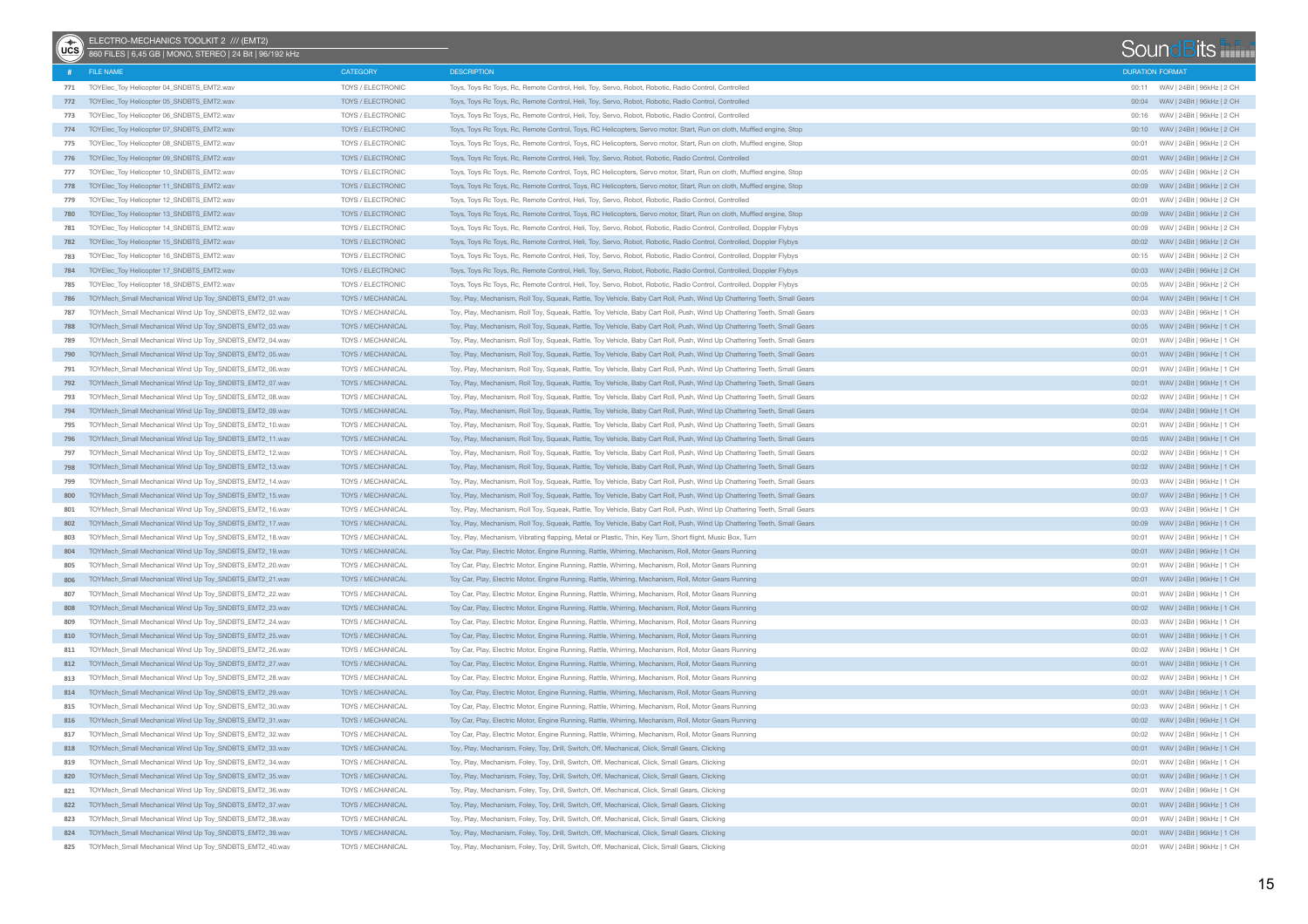| $\binom{2}{1}$ | ELECTRO-MECHANICS TOOLKIT 2 /// (EMT2)<br>860 FILES   6,45 GB   MONO, STEREO   24 Bit   96/192 kHz                     |                                        |                                                                                                                                                                                                                |       |                            | SoundBits                            |
|----------------|------------------------------------------------------------------------------------------------------------------------|----------------------------------------|----------------------------------------------------------------------------------------------------------------------------------------------------------------------------------------------------------------|-------|----------------------------|--------------------------------------|
|                | # FILE NAME                                                                                                            | CATEGORY                               | <b>DESCRIPTION</b>                                                                                                                                                                                             |       | <b>DURATION FORMAT</b>     |                                      |
| 771            | TOYElec_Toy Helicopter 04_SNDBTS_EMT2.wav                                                                              | TOYS / ELECTRONIC                      | Toys, Toys Rc Toys, Rc, Remote Control, Heli, Toy, Servo, Robot, Robotic, Radio Control, Controlled                                                                                                            |       |                            | 00:11 WAV   24Bit   96kHz   2 CH     |
|                | 772 TOYElec_Toy Helicopter 05_SNDBTS_EMT2.wav                                                                          | TOYS / ELECTRONIC                      | Toys, Toys Rc Toys, Rc, Remote Control, Heli, Toy, Servo, Robot, Robotic, Radio Control, Controlled                                                                                                            |       |                            | 00:04 WAV   24Bit   96kHz   2 CH     |
| 773            | TOYElec_Toy Helicopter 06_SNDBTS_EMT2.wav                                                                              | TOYS / ELECTRONIC                      | Toys, Toys Rc Toys, Rc, Remote Control, Heli, Toy, Servo, Robot, Robotic, Radio Control, Controlled                                                                                                            |       |                            |                                      |
|                | 774 TOYElec_Toy Helicopter 07_SNDBTS_EMT2.wav                                                                          | TOYS / ELECTRONIC                      | Toys, Toys Rc Toys, Rc, Remote Control, Toys, RC Helicopters, Servo motor, Start, Run on cloth, Muffled engine, Stop                                                                                           |       |                            |                                      |
| 775            | TOYElec_Toy Helicopter 08_SNDBTS_EMT2.wav                                                                              | TOYS / ELECTRONIC                      | Toys, Toys Rc Toys, Rc, Remote Control, Toys, RC Helicopters, Servo motor, Start, Run on cloth, Muffled engine, Stop                                                                                           | 00:01 | WAV   24Bit   96kHz   2 CH |                                      |
|                | 776 TOYElec_Toy Helicopter 09_SNDBTS_EMT2.wav                                                                          | TOYS / ELECTRONIC                      | Toys, Toys Rc Toys, Rc, Remote Control, Heli, Toy, Servo, Robot, Robotic, Radio Control, Controlled                                                                                                            |       |                            |                                      |
| 777            | TOYElec_Toy Helicopter 10_SNDBTS_EMT2.wav                                                                              | TOYS / ELECTRONIC                      | Toys, Toys Rc Toys, Rc, Remote Control, Toys, RC Helicopters, Servo motor, Start, Run on cloth, Muffled engine, Stop                                                                                           |       |                            | WAV   24Bit   96kHz   2 CH           |
|                | 778 TOYElec_Toy Helicopter 11_SNDBTS_EMT2.wav                                                                          | TOYS / ELECTRONIC                      | Toys, Toys Rc Toys, Rc, Remote Control, Toys, RC Helicopters, Servo motor, Start, Run on cloth, Muffled engine, Stop                                                                                           |       |                            | 00:09     WAV   24Bit   96kHz   2 CH |
| 779            | TOYElec_Toy Helicopter 12_SNDBTS_EMT2.wav                                                                              | TOYS / ELECTRONIC                      | Toys, Toys Rc Toys, Rc, Remote Control, Heli, Toy, Servo, Robot, Robotic, Radio Control, Controlled                                                                                                            |       |                            | WAV   24Bit   96kHz   2 CH           |
|                | 780 TOYElec_Toy Helicopter 13_SNDBTS_EMT2.wav                                                                          | TOYS / ELECTRONIC                      | Toys, Toys Rc Toys, Rc, Remote Control, Toys, RC Helicopters, Servo motor, Start, Run on cloth, Muffled engine, Stop                                                                                           |       |                            |                                      |
| 781            | TOYElec_Toy Helicopter 14 SNDBTS_EMT2.wav                                                                              | TOYS / ELECTRONIC                      | Toys, Toys Rc Toys, Rc, Remote Control, Heli, Toy, Servo, Robot, Robotic, Radio Control, Controlled, Doppler Flybys                                                                                            |       |                            | WAV   24Bit   96kHz   2 CH           |
|                | 782 TOYElec_Toy Helicopter 15_SNDBTS_EMT2.wav                                                                          | TOYS / ELECTRONIC                      | Toys, Toys Rc Toys, Rc, Remote Control, Heli, Toy, Servo, Robot, Robotic, Radio Control, Controlled, Doppler Flybys                                                                                            |       |                            |                                      |
| 783            | TOYEIec_Toy Helicopter 16_SNDBTS_EMT2.wav                                                                              | TOYS / ELECTRONIC                      | Toys, Toys Rc Toys, Rc, Remote Control, Heli, Toy, Servo, Robot, Robotic, Radio Control, Controlled, Doppler Flybys                                                                                            |       |                            | 00:15 WAV   24Bit   96kHz   2 CH     |
|                | 784 TOYElec_Toy Helicopter 17_SNDBTS_EMT2.wav                                                                          | TOYS / ELECTRONIC                      | Toys, Toys Rc Toys, Rc, Remote Control, Heli, Toy, Servo, Robot, Robotic, Radio Control, Controlled, Doppler Flybys                                                                                            |       |                            |                                      |
| 785            | TOYEIec_Toy Helicopter 18_SNDBTS_EMT2.wav                                                                              | TOYS / ELECTRONIC                      | Toys, Toys Rc Toys, Rc, Remote Control, Heli, Toy, Servo, Robot, Robotic, Radio Control, Controlled, Doppler Flybys                                                                                            | 00:05 |                            | WAV   24Bit   96kHz   2 CH           |
|                | 786 TOYMech_Small Mechanical Wind Up Toy_SNDBTS_EMT2_01.wav                                                            | TOYS / MECHANICAL                      | Toy, Play, Mechanism, Roll Toy, Squeak, Rattle, Toy Vehicle, Baby Cart Roll, Push, Wind Up Chattering Teeth, Small Gears                                                                                       |       |                            | 00:04 WAV   24Bit   96kHz   1 CH     |
| 787            | TOYMech_Small Mechanical Wind Up Toy_SNDBTS_EMT2_02.wav                                                                | TOYS / MECHANICAL                      | Toy, Play, Mechanism, Roll Toy, Squeak, Rattle, Toy Vehicle, Baby Cart Roll, Push, Wind Up Chattering Teeth, Small Gears                                                                                       | 00:03 |                            | WAV   24Bit   96kHz   1 CH           |
| 788            | TOYMech_Small Mechanical Wind Up Toy_SNDBTS_EMT2_03.wav                                                                | TOYS / MECHANICAL                      | Toy, Play, Mechanism, Roll Toy, Squeak, Rattle, Toy Vehicle, Baby Cart Roll, Push, Wind Up Chattering Teeth, Small Gears                                                                                       |       |                            |                                      |
| 789            | TOYMech_Small Mechanical Wind Up Toy_SNDBTS_EMT2_04.wav                                                                | TOYS / MECHANICAL                      | Toy, Play, Mechanism, Roll Toy, Squeak, Rattle, Toy Vehicle, Baby Cart Roll, Push, Wind Up Chattering Teeth, Small Gears                                                                                       | 00:01 |                            | WAV   24Bit   96kHz   1 CH           |
|                | 790 TOYMech_Small Mechanical Wind Up Toy_SNDBTS_EMT2_05.wav                                                            | TOYS / MECHANICAL                      | Toy, Play, Mechanism, Roll Toy, Squeak, Rattle, Toy Vehicle, Baby Cart Roll, Push, Wind Up Chattering Teeth, Small Gears                                                                                       |       |                            |                                      |
| 791            | TOYMech_Small Mechanical Wind Up Toy_SNDBTS_EMT2_06.wav                                                                | TOYS / MECHANICAL                      | Toy, Play, Mechanism, Roll Toy, Squeak, Rattle, Toy Vehicle, Baby Cart Roll, Push, Wind Up Chattering Teeth, Small Gears                                                                                       | 00:01 |                            | WAV   24Bit   96kHz   1 CH           |
|                | 792 TOYMech_Small Mechanical Wind Up Toy_SNDBTS_EMT2_07.wav                                                            | TOYS / MECHANICAL                      | Toy, Play, Mechanism, Roll Toy, Squeak, Rattle, Toy Vehicle, Baby Cart Roll, Push, Wind Up Chattering Teeth, Small Gears                                                                                       |       |                            |                                      |
| 793            | TOYMech_Small Mechanical Wind Up Toy_SNDBTS_EMT2_08.wav                                                                | TOYS / MECHANICAL                      | Toy, Play, Mechanism, Roll Toy, Squeak, Rattle, Toy Vehicle, Baby Cart Roll, Push, Wind Up Chattering Teeth, Small Gears                                                                                       | 00:02 |                            | WAV   24Bit   96kHz   1 CH           |
|                | 794 TOYMech_Small Mechanical Wind Up Toy_SNDBTS_EMT2_09.wav                                                            | TOYS / MECHANICAL                      | Toy, Play, Mechanism, Roll Toy, Squeak, Rattle, Toy Vehicle, Baby Cart Roll, Push, Wind Up Chattering Teeth, Small Gears                                                                                       |       |                            | 00:04 WAV   24Bit   96kHz   1 CH     |
| 795            | TOYMech_Small Mechanical Wind Up Toy_SNDBTS_EMT2_10.wav                                                                | TOYS / MECHANICAL                      | Toy, Play, Mechanism, Roll Toy, Squeak, Rattle, Toy Vehicle, Baby Cart Roll, Push, Wind Up Chattering Teeth, Small Gears                                                                                       | 00:01 |                            | WAV   24Bit   96kHz   1 CH           |
|                | 796 TOYMech_Small Mechanical Wind Up Toy_SNDBTS_EMT2_11.wav                                                            | TOYS / MECHANICAL                      | Toy, Play, Mechanism, Roll Toy, Squeak, Rattle, Toy Vehicle, Baby Cart Roll, Push, Wind Up Chattering Teeth, Small Gears                                                                                       |       |                            |                                      |
| 797            | TOYMech_Small Mechanical Wind Up Toy_SNDBTS_EMT2_12.wav                                                                | TOYS / MECHANICAL                      | Toy, Play, Mechanism, Roll Toy, Squeak, Rattle, Toy Vehicle, Baby Cart Roll, Push, Wind Up Chattering Teeth, Small Gears                                                                                       | 00:02 | WAV   24Bit   96kHz   1 CH |                                      |
|                | 798 TOYMech_Small Mechanical Wind Up Toy_SNDBTS_EMT2_13.wav                                                            | TOYS / MECHANICAL                      | Toy, Play, Mechanism, Roll Toy, Squeak, Rattle, Toy Vehicle, Baby Cart Roll, Push, Wind Up Chattering Teeth, Small Gears                                                                                       |       |                            |                                      |
| 799            | TOYMech_Small Mechanical Wind Up Toy_SNDBTS_EMT2_14.wav                                                                | TOYS / MECHANICAL                      | Toy, Play, Mechanism, Roll Toy, Squeak, Rattle, Toy Vehicle, Baby Cart Roll, Push, Wind Up Chattering Teeth, Small Gears                                                                                       | 00:03 | WAV   24Bit   96kHz   1 CH |                                      |
| 800            | TOYMech_Small Mechanical Wind Up Toy_SNDBTS_EMT2_15.wav                                                                | TOYS / MECHANICAL                      | Toy, Play, Mechanism, Roll Toy, Squeak, Rattle, Toy Vehicle, Baby Cart Roll, Push, Wind Up Chattering Teeth, Small Gears                                                                                       |       |                            |                                      |
| 801            | TOYMech_Small Mechanical Wind Up Toy_SNDBTS_EMT2_16.wav                                                                | TOYS / MECHANICAL                      | Toy, Play, Mechanism, Roll Toy, Squeak, Rattle, Toy Vehicle, Baby Cart Roll, Push, Wind Up Chattering Teeth, Small Gears                                                                                       | 00:03 | WAV   24Bit   96kHz   1 CH |                                      |
|                | 802 TOYMech_Small Mechanical Wind Up Toy_SNDBTS_EMT2_17.wav                                                            | TOYS / MECHANICAL                      | Toy, Play, Mechanism, Roll Toy, Squeak, Rattle, Toy Vehicle, Baby Cart Roll, Push, Wind Up Chattering Teeth, Small Gears                                                                                       |       |                            |                                      |
| 803            | TOYMech_Small Mechanical Wind Up Toy_SNDBTS_EMT2_18.wav                                                                | TOYS / MECHANICAL                      | Toy, Play, Mechanism, Vibrating flapping, Metal or Plastic, Thin, Key Turn, Short flight, Music Box, Turn                                                                                                      | 00:01 |                            | WAV   24Bit   96kHz   1 CH           |
| 804            | TOYMech_Small Mechanical Wind Up Toy_SNDBTS_EMT2_19.wav                                                                | TOYS / MECHANICAL                      | Toy Car, Play, Electric Motor, Engine Running, Rattle, Whirring, Mechanism, Roll, Motor Gears Running                                                                                                          |       |                            |                                      |
| 805            | TOYMech_Small Mechanical Wind Up Toy_SNDBTS_EMT2_20.wav                                                                | TOYS / MECHANICAL                      | Toy Car, Play, Electric Motor, Engine Running, Rattle, Whirring, Mechanism, Roll, Motor Gears Running                                                                                                          | 00:01 |                            | WAV   24Bit   96kHz   1 CH           |
| 806            | TOYMech_Small Mechanical Wind Up Toy_SNDBTS_EMT2_21.wav                                                                | TOYS / MECHANICAL                      |                                                                                                                                                                                                                |       |                            |                                      |
| 807            |                                                                                                                        |                                        | Toy Car, Play, Electric Motor, Engine Running, Rattle, Whirring, Mechanism, Roll, Motor Gears Running                                                                                                          | 00:01 |                            |                                      |
|                | TOYMech_Small Mechanical Wind Up Toy_SNDBTS_EMT2_22.wav<br>808 TOYMech_Small Mechanical Wind Up Toy_SNDBTS_EMT2_23.wav | TOYS / MECHANICAL<br>TOYS / MECHANICAL | Toy Car, Play, Electric Motor, Engine Running, Rattle, Whirring, Mechanism, Roll, Motor Gears Running<br>Toy Car, Play, Electric Motor, Engine Running, Rattle, Whirring, Mechanism, Roll, Motor Gears Running |       |                            | WAV   24Bit   96kHz   1 CH           |
|                |                                                                                                                        |                                        |                                                                                                                                                                                                                |       |                            |                                      |
| 809            | TOYMech_Small Mechanical Wind Up Toy_SNDBTS_EMT2_24.wav                                                                | TOYS / MECHANICAL                      | Toy Car, Play, Electric Motor, Engine Running, Rattle, Whirring, Mechanism, Roll, Motor Gears Running                                                                                                          | 00:03 |                            | WAV   24Bit   96kHz   1 CH           |
|                | 810 TOYMech_Small Mechanical Wind Up Toy_SNDBTS_EMT2_25.wav                                                            | TOYS / MECHANICAL                      | Toy Car, Play, Electric Motor, Engine Running, Rattle, Whirring, Mechanism, Roll, Motor Gears Running                                                                                                          |       |                            |                                      |
|                | 811 TOYMech_Small Mechanical Wind Up Toy_SNDBTS_EMT2_26.wav                                                            | TOYS / MECHANICAL                      | Toy Car, Play, Electric Motor, Engine Running, Rattle, Whirring, Mechanism, Roll, Motor Gears Running                                                                                                          | 00:02 |                            | WAV   24Bit   96kHz   1 CH           |
|                | 812 TOYMech_Small Mechanical Wind Up Toy_SNDBTS_EMT2_27.wav                                                            | TOYS / MECHANICAL                      | Toy Car, Play, Electric Motor, Engine Running, Rattle, Whirring, Mechanism, Roll, Motor Gears Running                                                                                                          |       |                            |                                      |
|                | 813 TOYMech_Small Mechanical Wind Up Toy_SNDBTS_EMT2_28.wav                                                            | TOYS / MECHANICAL                      | Toy Car, Play, Electric Motor, Engine Running, Rattle, Whirring, Mechanism, Roll, Motor Gears Running                                                                                                          | 00:02 |                            | WAV   24Bit   96kHz   1 CH           |
|                | 814 TOYMech_Small Mechanical Wind Up Toy_SNDBTS_EMT2_29.wav                                                            | TOYS / MECHANICAL                      | Toy Car, Play, Electric Motor, Engine Running, Rattle, Whirring, Mechanism, Roll, Motor Gears Running                                                                                                          |       |                            |                                      |
| 815            | TOYMech_Small Mechanical Wind Up Toy_SNDBTS_EMT2_30.wav                                                                | TOYS / MECHANICAL                      | Toy Car, Play, Electric Motor, Engine Running, Rattle, Whirring, Mechanism, Roll, Motor Gears Running                                                                                                          | 00:03 |                            | WAV   24Bit   96kHz   1 CH           |
|                | 816 TOYMech Small Mechanical Wind Up Toy SNDBTS EMT2 31.way                                                            | TOYS / MECHANICAL                      | Toy Car, Play, Electric Motor, Engine Running, Rattle, Whirring, Mechanism, Roll, Motor Gears Running                                                                                                          |       |                            |                                      |
| 817            | TOYMech_Small Mechanical Wind Up Toy_SNDBTS_EMT2_32.wav                                                                | TOYS / MECHANICAL                      | Toy Car, Play, Electric Motor, Engine Running, Rattle, Whirring, Mechanism, Roll, Motor Gears Running                                                                                                          |       |                            |                                      |
|                | 818 TOYMech_Small Mechanical Wind Up Toy_SNDBTS_EMT2_33.wav                                                            | TOYS / MECHANICAL                      | Toy, Play, Mechanism, Foley, Toy, Drill, Switch, Off, Mechanical, Click, Small Gears, Clicking                                                                                                                 |       |                            |                                      |
| 819            | TOYMech_Small Mechanical Wind Up Toy_SNDBTS_EMT2_34.wav                                                                | TOYS / MECHANICAL                      | Toy, Play, Mechanism, Foley, Toy, Drill, Switch, Off, Mechanical, Click, Small Gears, Clicking                                                                                                                 |       |                            |                                      |
|                | 820 TOYMech_Small Mechanical Wind Up Toy_SNDBTS_EMT2_35.wav                                                            | TOYS / MECHANICAL                      | Toy, Play, Mechanism, Foley, Toy, Drill, Switch, Off, Mechanical, Click, Small Gears, Clicking                                                                                                                 |       |                            |                                      |
| 821            | TOYMech_Small Mechanical Wind Up Toy_SNDBTS_EMT2_36.wav                                                                | TOYS / MECHANICAL                      | Toy, Play, Mechanism, Foley, Toy, Drill, Switch, Off, Mechanical, Click, Small Gears, Clicking                                                                                                                 | 00:01 |                            | WAV   24Bit   96kHz   1 CH           |
|                | 822 TOYMech_Small Mechanical Wind Up Toy_SNDBTS_EMT2_37.wav                                                            | TOYS / MECHANICAL                      | Toy, Play, Mechanism, Foley, Toy, Drill, Switch, Off, Mechanical, Click, Small Gears, Clicking                                                                                                                 |       |                            |                                      |
| 823            | TOYMech_Small Mechanical Wind Up Toy_SNDBTS_EMT2_38.wav                                                                | TOYS / MECHANICAL                      | Toy, Play, Mechanism, Foley, Toy, Drill, Switch, Off, Mechanical, Click, Small Gears, Clicking                                                                                                                 | 00:01 |                            | WAV   24Bit   96kHz   1 CH           |
|                | 824 TOYMech_Small Mechanical Wind Up Toy_SNDBTS_EMT2_39.wav                                                            | TOYS / MECHANICAL                      | Toy, Play, Mechanism, Foley, Toy, Drill, Switch, Off, Mechanical, Click, Small Gears, Clicking                                                                                                                 |       |                            |                                      |
| 825            | TOYMech_Small Mechanical Wind Up Toy_SNDBTS_EMT2_40.wav                                                                | TOYS / MECHANICAL                      | Toy, Play, Mechanism, Foley, Toy, Drill, Switch, Off, Mechanical, Click, Small Gears, Clicking                                                                                                                 |       |                            |                                      |